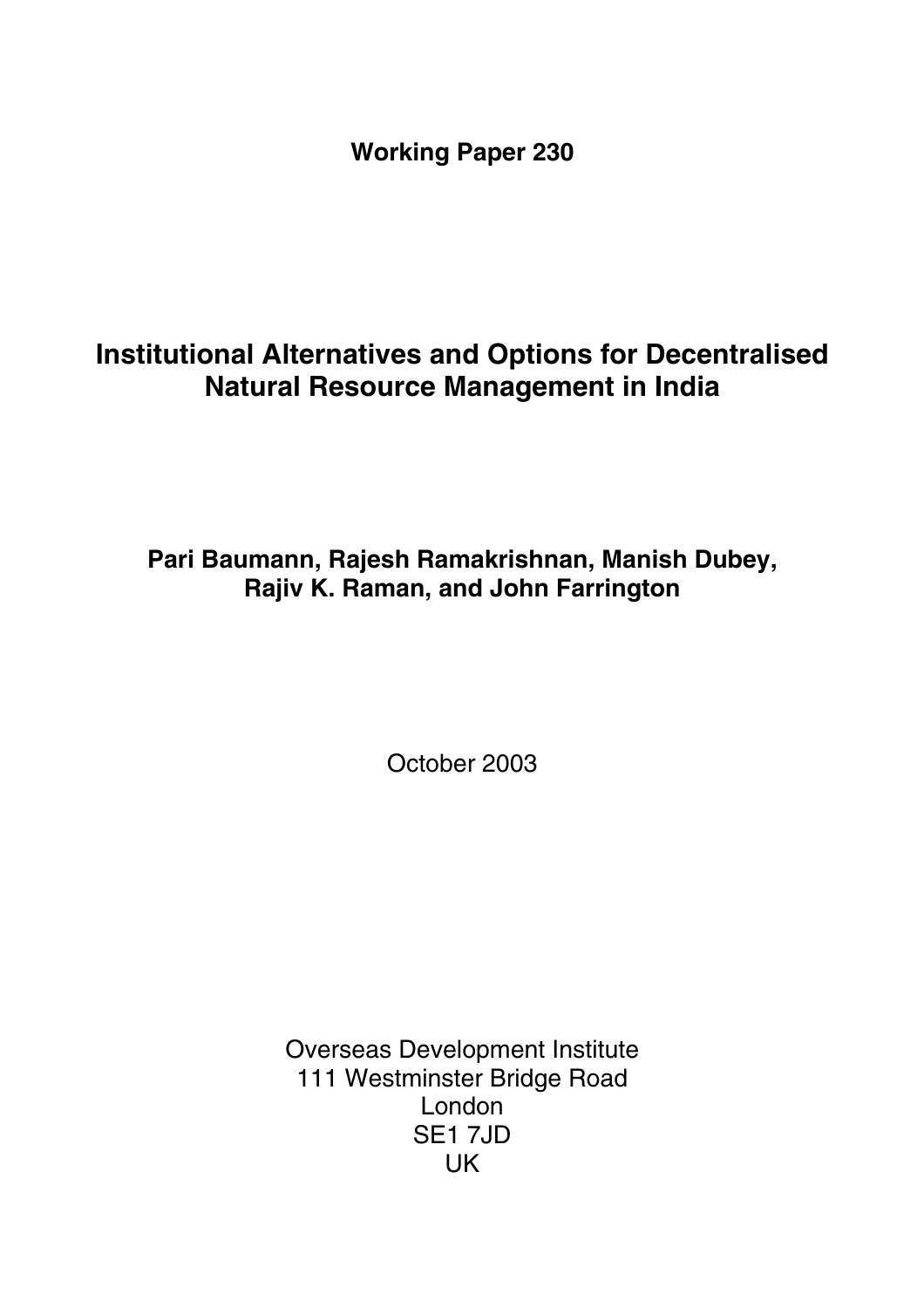**Working Paper 230** 

# **Institutional Alternatives and Options for Decentralised Natural Resource Management in India**

**Pari Baumann, Rajesh Ramakrishnan, Manish Dubey, Rajiv K. Raman, and John Farrington** 

October 2003

Overseas Development Institute 111 Westminster Bridge Road London SE1 7JD UK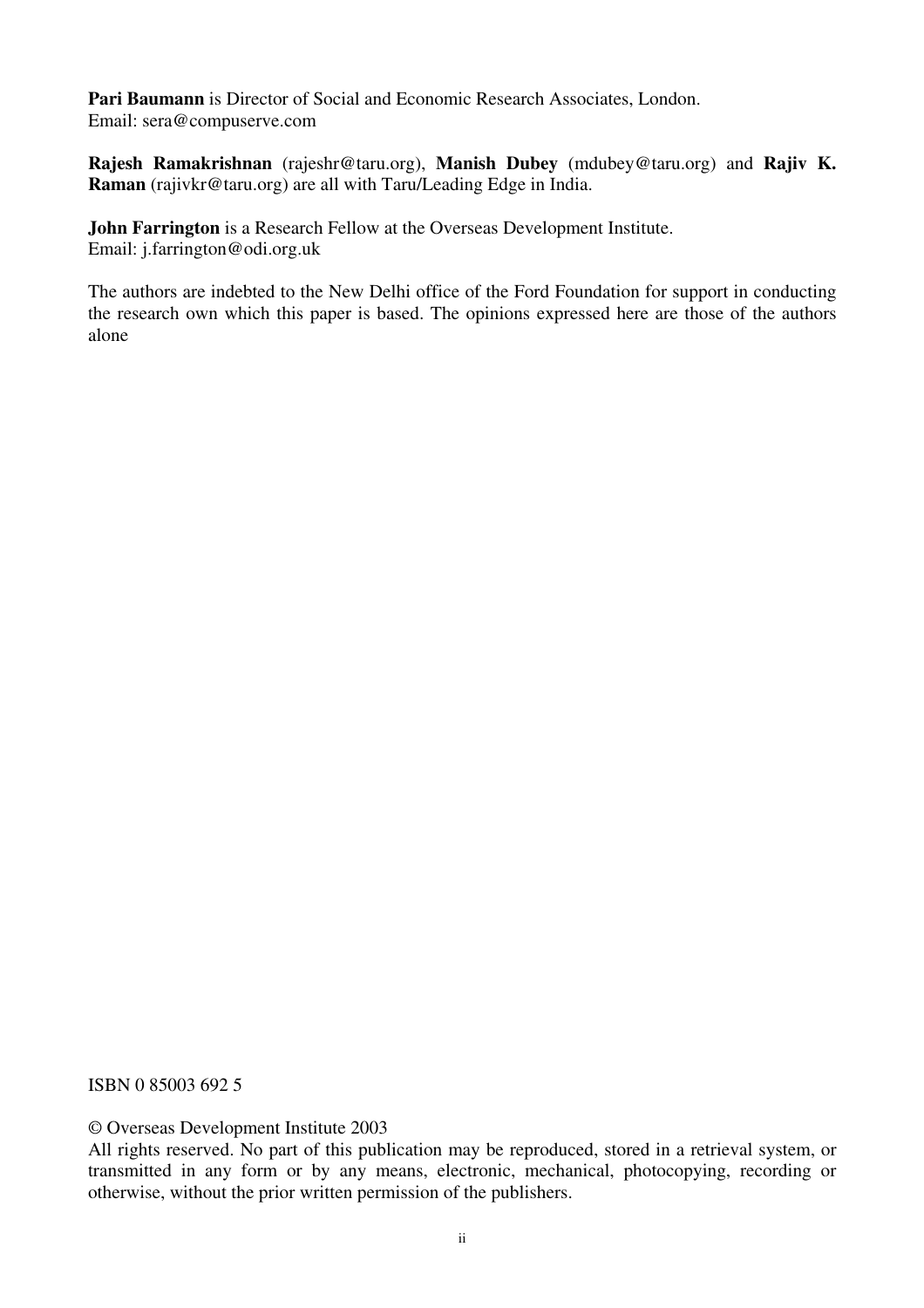**Pari Baumann** is Director of Social and Economic Research Associates, London. Email: sera@compuserve.com

**Rajesh Ramakrishnan** (rajeshr@taru.org), **Manish Dubey** (mdubey@taru.org) and **Rajiv K. Raman** (rajivkr@taru.org) are all with Taru/Leading Edge in India.

**John Farrington** is a Research Fellow at the Overseas Development Institute. Email: j.farrington@odi.org.uk

The authors are indebted to the New Delhi office of the Ford Foundation for support in conducting the research own which this paper is based. The opinions expressed here are those of the authors alone

ISBN 0 85003 692 5

© Overseas Development Institute 2003

All rights reserved. No part of this publication may be reproduced, stored in a retrieval system, or transmitted in any form or by any means, electronic, mechanical, photocopying, recording or otherwise, without the prior written permission of the publishers.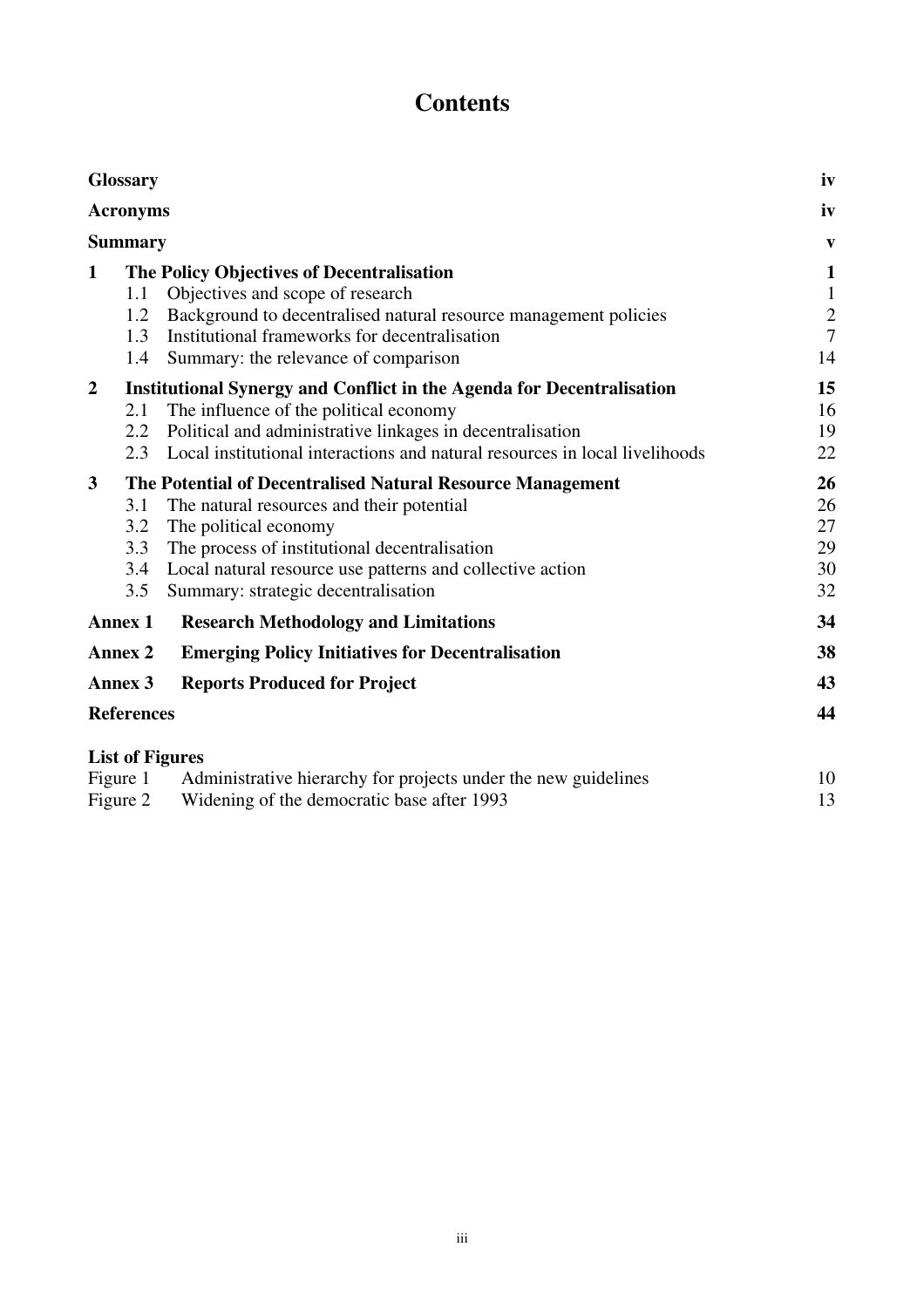# **Contents**

| <b>Glossary</b>   |                                                                              |                                                                             | iv            |
|-------------------|------------------------------------------------------------------------------|-----------------------------------------------------------------------------|---------------|
| <b>Acronyms</b>   |                                                                              |                                                                             |               |
| <b>Summary</b>    |                                                                              |                                                                             | V             |
| $\mathbf{1}$      |                                                                              | The Policy Objectives of Decentralisation                                   | $\mathbf{1}$  |
|                   | 1.1                                                                          | Objectives and scope of research                                            | $\mathbf{1}$  |
|                   | 1.2                                                                          | Background to decentralised natural resource management policies            | $\frac{2}{7}$ |
|                   | 1.3                                                                          | Institutional frameworks for decentralisation                               |               |
|                   | 1.4                                                                          | Summary: the relevance of comparison                                        | 14            |
| $\overline{2}$    | <b>Institutional Synergy and Conflict in the Agenda for Decentralisation</b> |                                                                             | 15            |
|                   | 2.1                                                                          | The influence of the political economy                                      | 16            |
|                   | 2.2                                                                          | Political and administrative linkages in decentralisation                   | 19            |
|                   | 2.3                                                                          | Local institutional interactions and natural resources in local livelihoods | 22            |
| $\mathbf{3}$      | The Potential of Decentralised Natural Resource Management                   |                                                                             | <b>26</b>     |
|                   | 3.1                                                                          | The natural resources and their potential                                   | 26            |
|                   | 3.2                                                                          | The political economy                                                       | 27            |
|                   | 3.3                                                                          | The process of institutional decentralisation                               | 29            |
|                   | 3.4                                                                          | Local natural resource use patterns and collective action                   | 30            |
|                   | 3.5                                                                          | Summary: strategic decentralisation                                         | 32            |
|                   | <b>Research Methodology and Limitations</b><br><b>Annex 1</b>                |                                                                             | 34            |
| <b>Annex 2</b>    |                                                                              | <b>Emerging Policy Initiatives for Decentralisation</b>                     | 38            |
| Annex 3           |                                                                              | <b>Reports Produced for Project</b>                                         | 43            |
| <b>References</b> |                                                                              |                                                                             | 44            |
|                   |                                                                              | <b>List of Figures</b>                                                      |               |
| Figure 1          |                                                                              | Administrative hierarchy for projects under the new guidelines              | 10            |
|                   |                                                                              |                                                                             |               |

Figure 2 Widening of the democratic base after 1993 13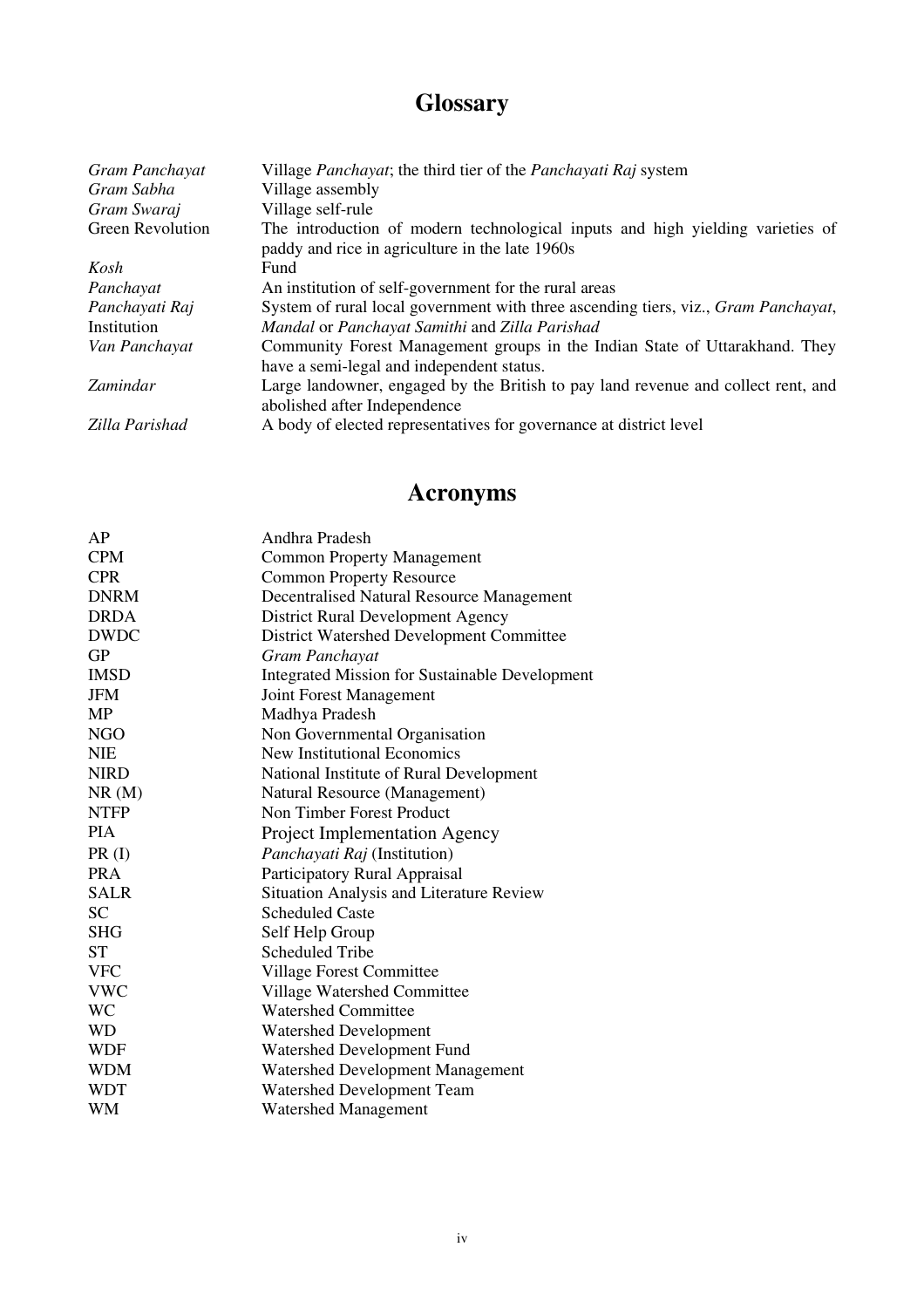# **Glossary**

| Gram Panchayat          | Village <i>Panchayat</i> ; the third tier of the <i>Panchayati Raj</i> system              |
|-------------------------|--------------------------------------------------------------------------------------------|
| Gram Sabha              | Village assembly                                                                           |
| Gram Swaraj             | Village self-rule                                                                          |
| <b>Green Revolution</b> | The introduction of modern technological inputs and high yielding varieties of             |
|                         | paddy and rice in agriculture in the late 1960s                                            |
| Kosh                    | Fund                                                                                       |
| Panchayat               | An institution of self-government for the rural areas                                      |
| Panchayati Raj          | System of rural local government with three ascending tiers, viz., <i>Gram Panchayat</i> , |
| Institution             | Mandal or Panchayat Samithi and Zilla Parishad                                             |
| Van Panchayat           | Community Forest Management groups in the Indian State of Uttarakhand. They                |
|                         | have a semi-legal and independent status.                                                  |
| Zamindar                | Large landowner, engaged by the British to pay land revenue and collect rent, and          |
|                         | abolished after Independence                                                               |
| Zilla Parishad          | A body of elected representatives for governance at district level                         |

# **Acronyms**

| AP          | Andhra Pradesh                                        |
|-------------|-------------------------------------------------------|
| <b>CPM</b>  | <b>Common Property Management</b>                     |
| <b>CPR</b>  | <b>Common Property Resource</b>                       |
| <b>DNRM</b> | Decentralised Natural Resource Management             |
| <b>DRDA</b> | <b>District Rural Development Agency</b>              |
| <b>DWDC</b> | District Watershed Development Committee              |
| <b>GP</b>   | Gram Panchayat                                        |
| <b>IMSD</b> | <b>Integrated Mission for Sustainable Development</b> |
| JFM         | Joint Forest Management                               |
| MP          | Madhya Pradesh                                        |
| <b>NGO</b>  | Non Governmental Organisation                         |
| <b>NIE</b>  | <b>New Institutional Economics</b>                    |
| <b>NIRD</b> | National Institute of Rural Development               |
| NR(M)       | Natural Resource (Management)                         |
| <b>NTFP</b> | Non Timber Forest Product                             |
| <b>PIA</b>  | <b>Project Implementation Agency</b>                  |
| PR(I)       | Panchayati Raj (Institution)                          |
| <b>PRA</b>  | Participatory Rural Appraisal                         |
| <b>SALR</b> | Situation Analysis and Literature Review              |
| <b>SC</b>   | <b>Scheduled Caste</b>                                |
| <b>SHG</b>  | Self Help Group                                       |
| <b>ST</b>   | <b>Scheduled Tribe</b>                                |
| <b>VFC</b>  | Village Forest Committee                              |
| <b>VWC</b>  | Village Watershed Committee                           |
| <b>WC</b>   | <b>Watershed Committee</b>                            |
| <b>WD</b>   | <b>Watershed Development</b>                          |
| <b>WDF</b>  | Watershed Development Fund                            |
| <b>WDM</b>  | Watershed Development Management                      |
| WDT         | Watershed Development Team                            |
| <b>WM</b>   | <b>Watershed Management</b>                           |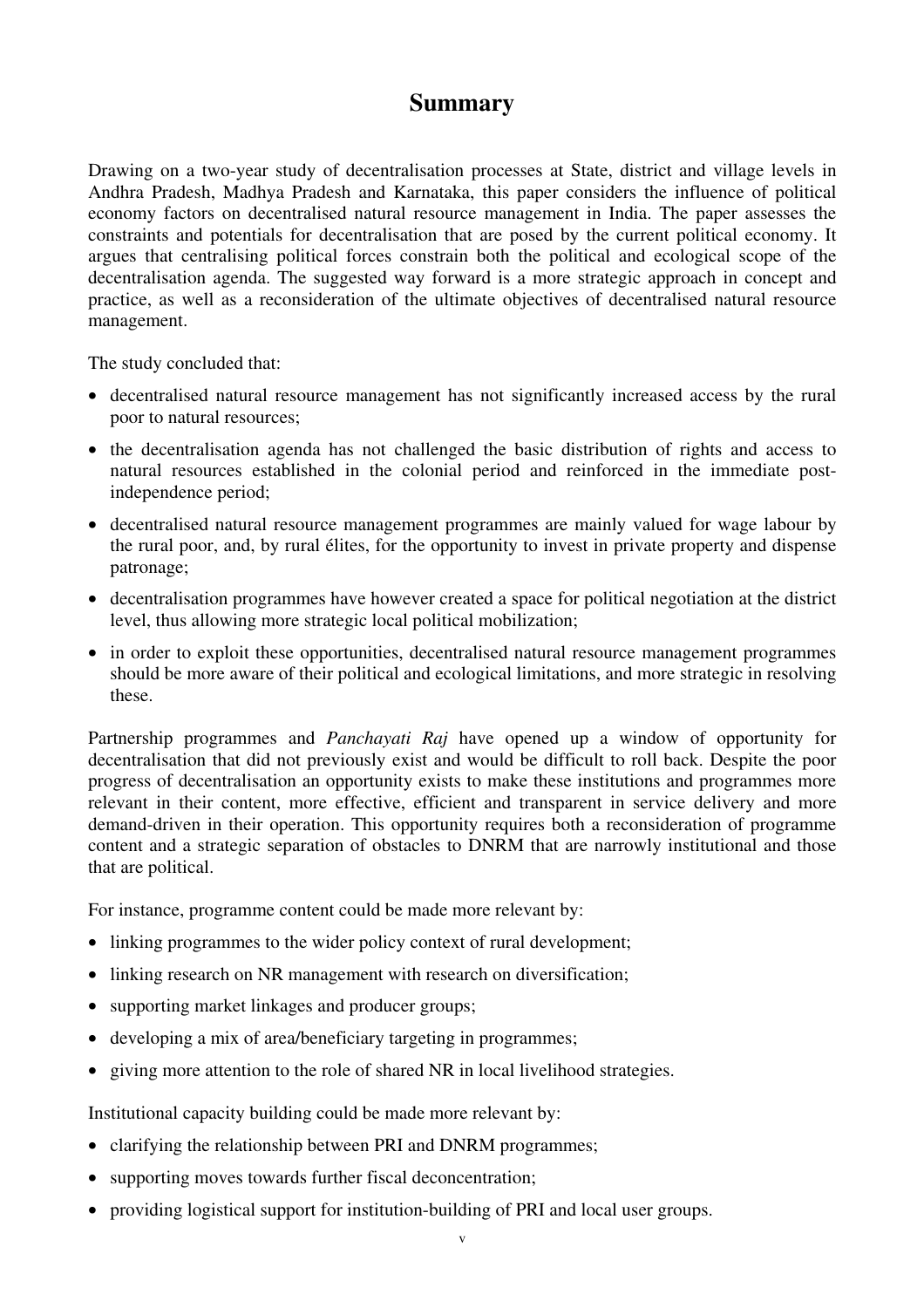# **Summary**

Drawing on a two-year study of decentralisation processes at State, district and village levels in Andhra Pradesh, Madhya Pradesh and Karnataka, this paper considers the influence of political economy factors on decentralised natural resource management in India. The paper assesses the constraints and potentials for decentralisation that are posed by the current political economy. It argues that centralising political forces constrain both the political and ecological scope of the decentralisation agenda. The suggested way forward is a more strategic approach in concept and practice, as well as a reconsideration of the ultimate objectives of decentralised natural resource management.

The study concluded that:

- decentralised natural resource management has not significantly increased access by the rural poor to natural resources;
- the decentralisation agenda has not challenged the basic distribution of rights and access to natural resources established in the colonial period and reinforced in the immediate postindependence period;
- decentralised natural resource management programmes are mainly valued for wage labour by the rural poor, and, by rural élites, for the opportunity to invest in private property and dispense patronage;
- decentralisation programmes have however created a space for political negotiation at the district level, thus allowing more strategic local political mobilization;
- in order to exploit these opportunities, decentralised natural resource management programmes should be more aware of their political and ecological limitations, and more strategic in resolving these.

Partnership programmes and *Panchayati Raj* have opened up a window of opportunity for decentralisation that did not previously exist and would be difficult to roll back. Despite the poor progress of decentralisation an opportunity exists to make these institutions and programmes more relevant in their content, more effective, efficient and transparent in service delivery and more demand-driven in their operation. This opportunity requires both a reconsideration of programme content and a strategic separation of obstacles to DNRM that are narrowly institutional and those that are political.

For instance, programme content could be made more relevant by:

- linking programmes to the wider policy context of rural development;
- linking research on NR management with research on diversification;
- supporting market linkages and producer groups;
- developing a mix of area/beneficiary targeting in programmes;
- giving more attention to the role of shared NR in local livelihood strategies.

Institutional capacity building could be made more relevant by:

- clarifying the relationship between PRI and DNRM programmes;
- supporting moves towards further fiscal deconcentration;
- providing logistical support for institution-building of PRI and local user groups.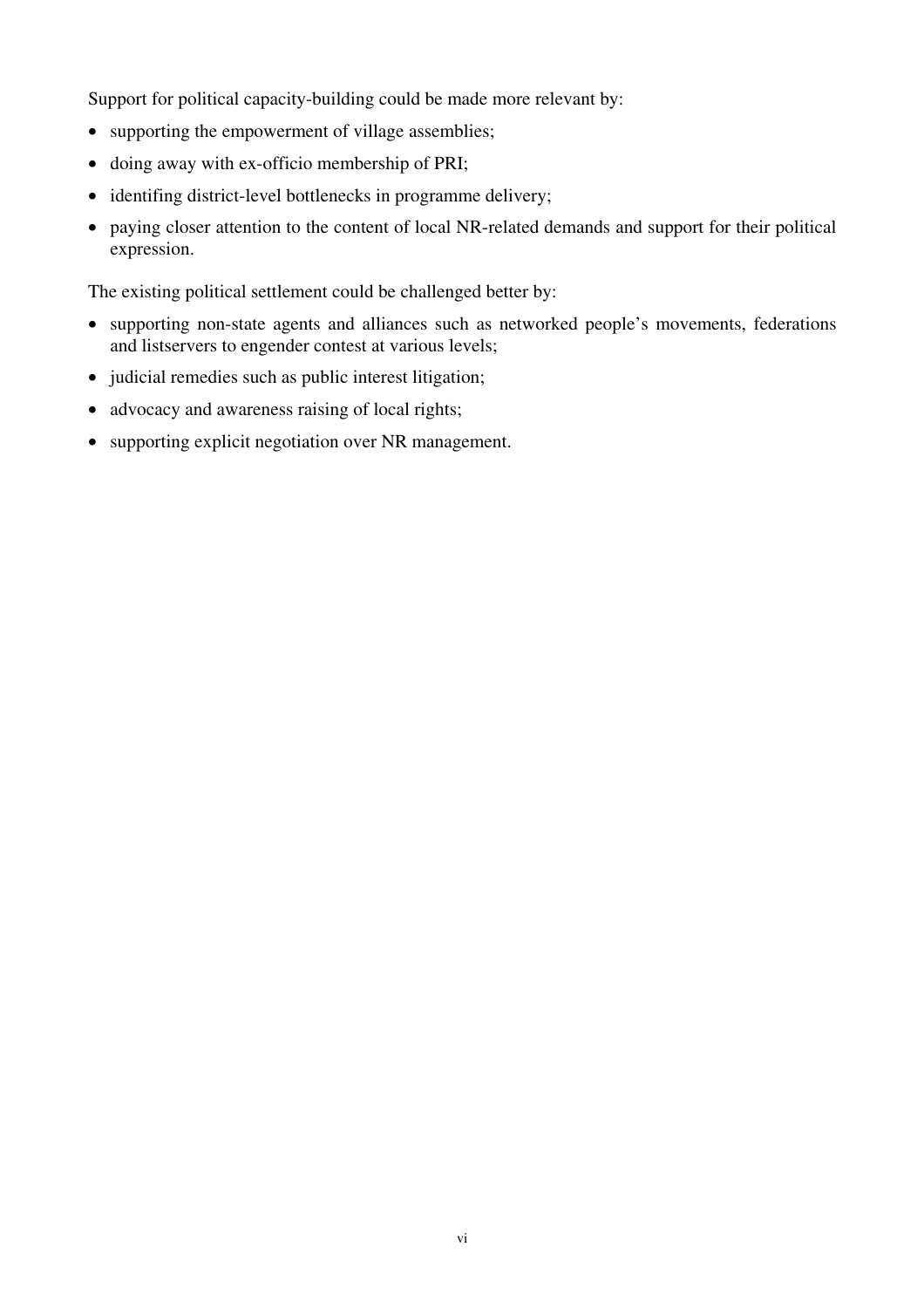Support for political capacity-building could be made more relevant by:

- supporting the empowerment of village assemblies;
- doing away with ex-officio membership of PRI;
- identifing district-level bottlenecks in programme delivery;
- paying closer attention to the content of local NR-related demands and support for their political expression.

The existing political settlement could be challenged better by:

- supporting non-state agents and alliances such as networked people's movements, federations and listservers to engender contest at various levels;
- judicial remedies such as public interest litigation;
- advocacy and awareness raising of local rights;
- supporting explicit negotiation over NR management.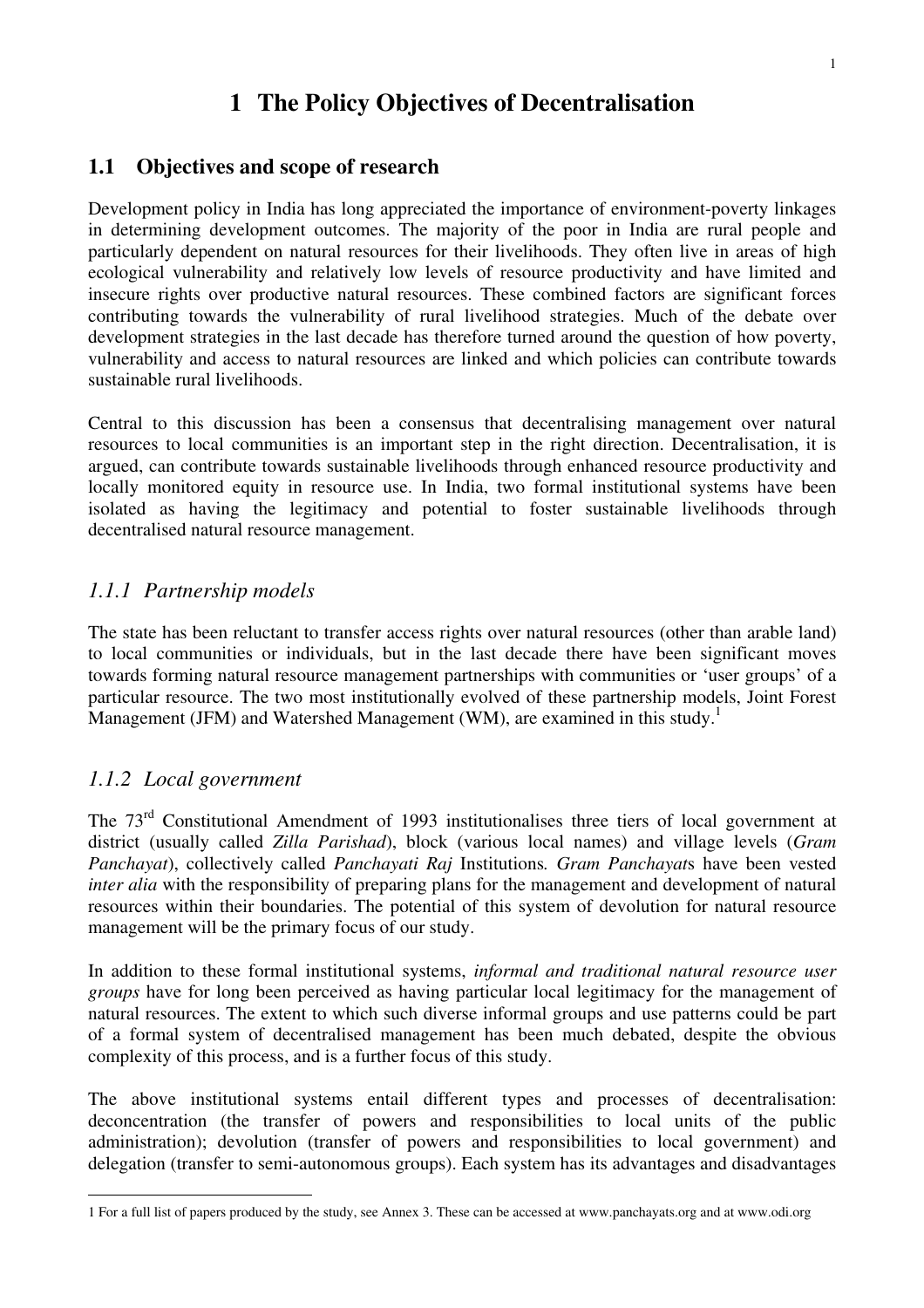# **1 The Policy Objectives of Decentralisation**

### **1.1 Objectives and scope of research**

Development policy in India has long appreciated the importance of environment-poverty linkages in determining development outcomes. The majority of the poor in India are rural people and particularly dependent on natural resources for their livelihoods. They often live in areas of high ecological vulnerability and relatively low levels of resource productivity and have limited and insecure rights over productive natural resources. These combined factors are significant forces contributing towards the vulnerability of rural livelihood strategies. Much of the debate over development strategies in the last decade has therefore turned around the question of how poverty, vulnerability and access to natural resources are linked and which policies can contribute towards sustainable rural livelihoods.

Central to this discussion has been a consensus that decentralising management over natural resources to local communities is an important step in the right direction. Decentralisation, it is argued, can contribute towards sustainable livelihoods through enhanced resource productivity and locally monitored equity in resource use. In India, two formal institutional systems have been isolated as having the legitimacy and potential to foster sustainable livelihoods through decentralised natural resource management.

### *1.1.1 Partnership models*

The state has been reluctant to transfer access rights over natural resources (other than arable land) to local communities or individuals, but in the last decade there have been significant moves towards forming natural resource management partnerships with communities or 'user groups' of a particular resource. The two most institutionally evolved of these partnership models, Joint Forest Management (JFM) and Watershed Management (WM), are examined in this study.<sup>1</sup>

### *1.1.2 Local government*

The 73<sup>rd</sup> Constitutional Amendment of 1993 institutionalises three tiers of local government at district (usually called *Zilla Parishad*), block (various local names) and village levels (*Gram Panchayat*), collectively called *Panchayati Raj* Institutions*. Gram Panchayat*s have been vested *inter alia* with the responsibility of preparing plans for the management and development of natural resources within their boundaries. The potential of this system of devolution for natural resource management will be the primary focus of our study.

In addition to these formal institutional systems, *informal and traditional natural resource user groups* have for long been perceived as having particular local legitimacy for the management of natural resources. The extent to which such diverse informal groups and use patterns could be part of a formal system of decentralised management has been much debated, despite the obvious complexity of this process, and is a further focus of this study.

The above institutional systems entail different types and processes of decentralisation: deconcentration (the transfer of powers and responsibilities to local units of the public administration); devolution (transfer of powers and responsibilities to local government) and delegation (transfer to semi-autonomous groups). Each system has its advantages and disadvantages

 $\overline{a}$ 1 For a full list of papers produced by the study, see Annex 3. These can be accessed at www.panchayats.org and at www.odi.org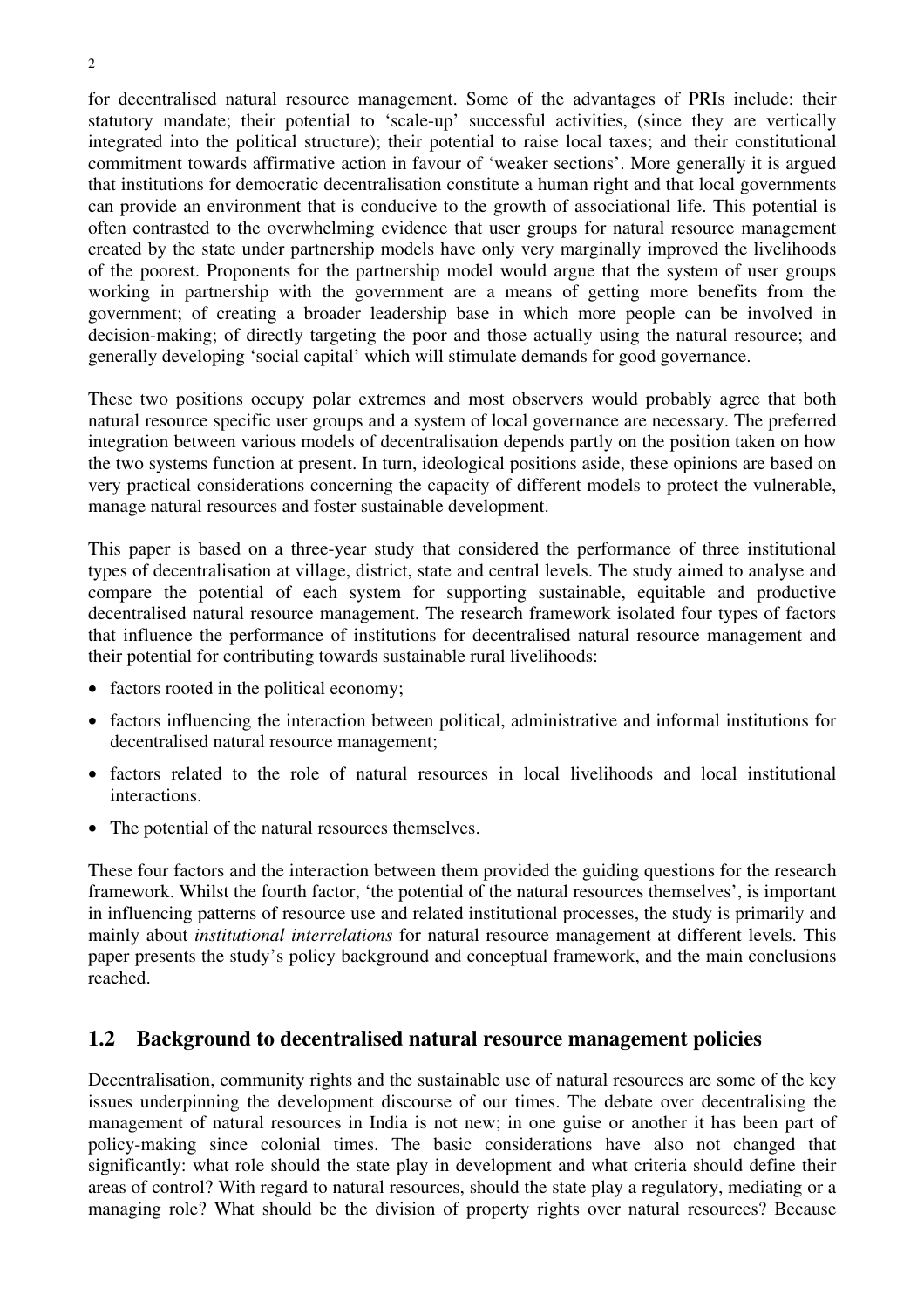for decentralised natural resource management. Some of the advantages of PRIs include: their statutory mandate; their potential to 'scale-up' successful activities, (since they are vertically integrated into the political structure); their potential to raise local taxes; and their constitutional commitment towards affirmative action in favour of 'weaker sections'. More generally it is argued that institutions for democratic decentralisation constitute a human right and that local governments can provide an environment that is conducive to the growth of associational life. This potential is often contrasted to the overwhelming evidence that user groups for natural resource management created by the state under partnership models have only very marginally improved the livelihoods of the poorest. Proponents for the partnership model would argue that the system of user groups working in partnership with the government are a means of getting more benefits from the government; of creating a broader leadership base in which more people can be involved in decision-making; of directly targeting the poor and those actually using the natural resource; and generally developing 'social capital' which will stimulate demands for good governance.

These two positions occupy polar extremes and most observers would probably agree that both natural resource specific user groups and a system of local governance are necessary. The preferred integration between various models of decentralisation depends partly on the position taken on how the two systems function at present. In turn, ideological positions aside, these opinions are based on very practical considerations concerning the capacity of different models to protect the vulnerable, manage natural resources and foster sustainable development.

This paper is based on a three-year study that considered the performance of three institutional types of decentralisation at village, district, state and central levels. The study aimed to analyse and compare the potential of each system for supporting sustainable, equitable and productive decentralised natural resource management. The research framework isolated four types of factors that influence the performance of institutions for decentralised natural resource management and their potential for contributing towards sustainable rural livelihoods:

- factors rooted in the political economy;
- factors influencing the interaction between political, administrative and informal institutions for decentralised natural resource management;
- factors related to the role of natural resources in local livelihoods and local institutional interactions.
- The potential of the natural resources themselves.

These four factors and the interaction between them provided the guiding questions for the research framework. Whilst the fourth factor, 'the potential of the natural resources themselves', is important in influencing patterns of resource use and related institutional processes, the study is primarily and mainly about *institutional interrelations* for natural resource management at different levels. This paper presents the study's policy background and conceptual framework, and the main conclusions reached.

# **1.2 Background to decentralised natural resource management policies**

Decentralisation, community rights and the sustainable use of natural resources are some of the key issues underpinning the development discourse of our times. The debate over decentralising the management of natural resources in India is not new; in one guise or another it has been part of policy-making since colonial times. The basic considerations have also not changed that significantly: what role should the state play in development and what criteria should define their areas of control? With regard to natural resources, should the state play a regulatory, mediating or a managing role? What should be the division of property rights over natural resources? Because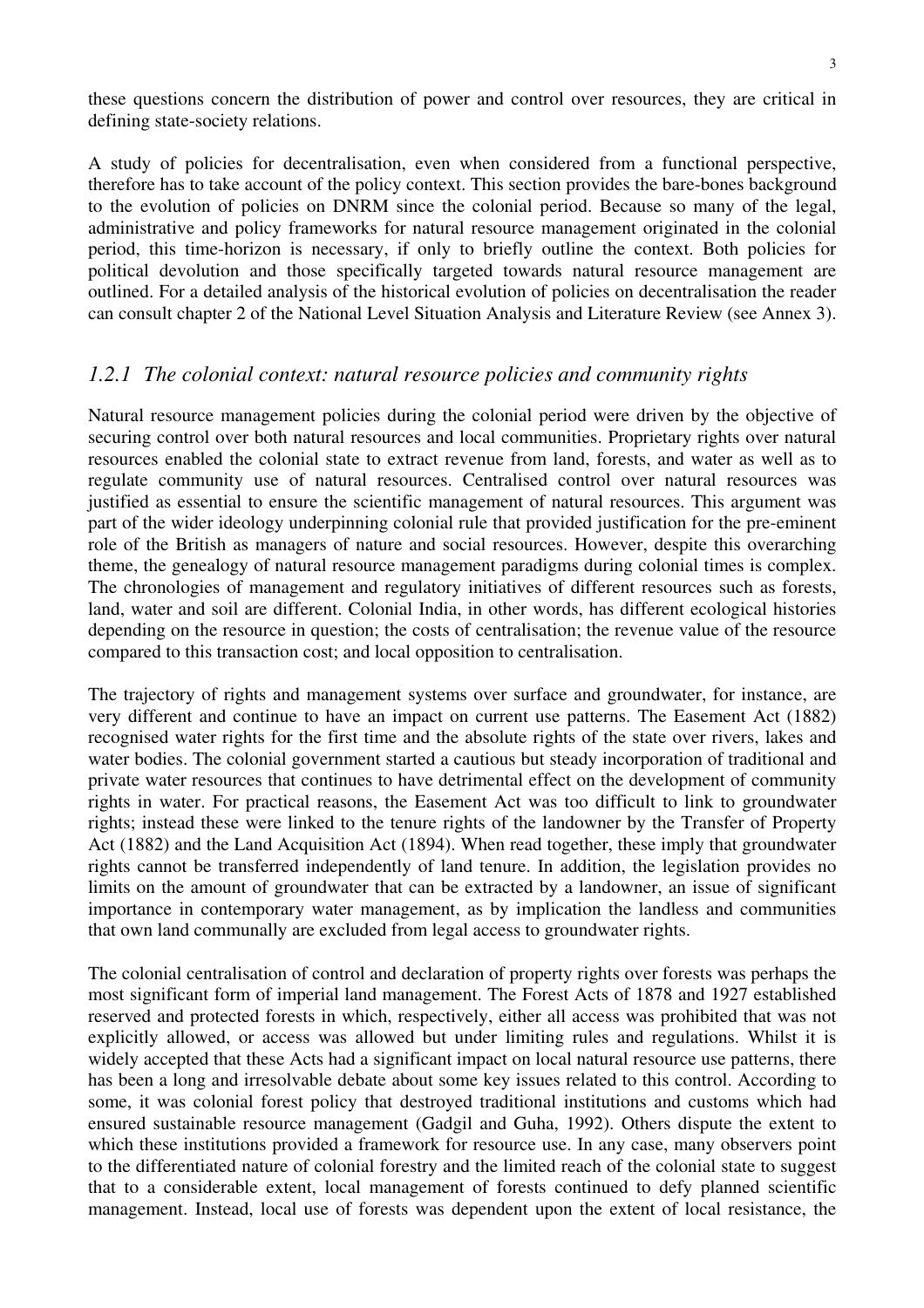these questions concern the distribution of power and control over resources, they are critical in defining state-society relations.

A study of policies for decentralisation, even when considered from a functional perspective, therefore has to take account of the policy context. This section provides the bare-bones background to the evolution of policies on DNRM since the colonial period. Because so many of the legal, administrative and policy frameworks for natural resource management originated in the colonial period, this time-horizon is necessary, if only to briefly outline the context. Both policies for political devolution and those specifically targeted towards natural resource management are outlined. For a detailed analysis of the historical evolution of policies on decentralisation the reader can consult chapter 2 of the National Level Situation Analysis and Literature Review (see Annex 3).

#### *1.2.1 The colonial context: natural resource policies and community rights*

Natural resource management policies during the colonial period were driven by the objective of securing control over both natural resources and local communities. Proprietary rights over natural resources enabled the colonial state to extract revenue from land, forests, and water as well as to regulate community use of natural resources. Centralised control over natural resources was justified as essential to ensure the scientific management of natural resources. This argument was part of the wider ideology underpinning colonial rule that provided justification for the pre-eminent role of the British as managers of nature and social resources. However, despite this overarching theme, the genealogy of natural resource management paradigms during colonial times is complex. The chronologies of management and regulatory initiatives of different resources such as forests, land, water and soil are different. Colonial India, in other words, has different ecological histories depending on the resource in question; the costs of centralisation; the revenue value of the resource compared to this transaction cost; and local opposition to centralisation.

The trajectory of rights and management systems over surface and groundwater, for instance, are very different and continue to have an impact on current use patterns. The Easement Act (1882) recognised water rights for the first time and the absolute rights of the state over rivers, lakes and water bodies. The colonial government started a cautious but steady incorporation of traditional and private water resources that continues to have detrimental effect on the development of community rights in water. For practical reasons, the Easement Act was too difficult to link to groundwater rights; instead these were linked to the tenure rights of the landowner by the Transfer of Property Act (1882) and the Land Acquisition Act (1894). When read together, these imply that groundwater rights cannot be transferred independently of land tenure. In addition, the legislation provides no limits on the amount of groundwater that can be extracted by a landowner, an issue of significant importance in contemporary water management, as by implication the landless and communities that own land communally are excluded from legal access to groundwater rights.

The colonial centralisation of control and declaration of property rights over forests was perhaps the most significant form of imperial land management. The Forest Acts of 1878 and 1927 established reserved and protected forests in which, respectively, either all access was prohibited that was not explicitly allowed, or access was allowed but under limiting rules and regulations. Whilst it is widely accepted that these Acts had a significant impact on local natural resource use patterns, there has been a long and irresolvable debate about some key issues related to this control. According to some, it was colonial forest policy that destroyed traditional institutions and customs which had ensured sustainable resource management (Gadgil and Guha, 1992). Others dispute the extent to which these institutions provided a framework for resource use. In any case, many observers point to the differentiated nature of colonial forestry and the limited reach of the colonial state to suggest that to a considerable extent, local management of forests continued to defy planned scientific management. Instead, local use of forests was dependent upon the extent of local resistance, the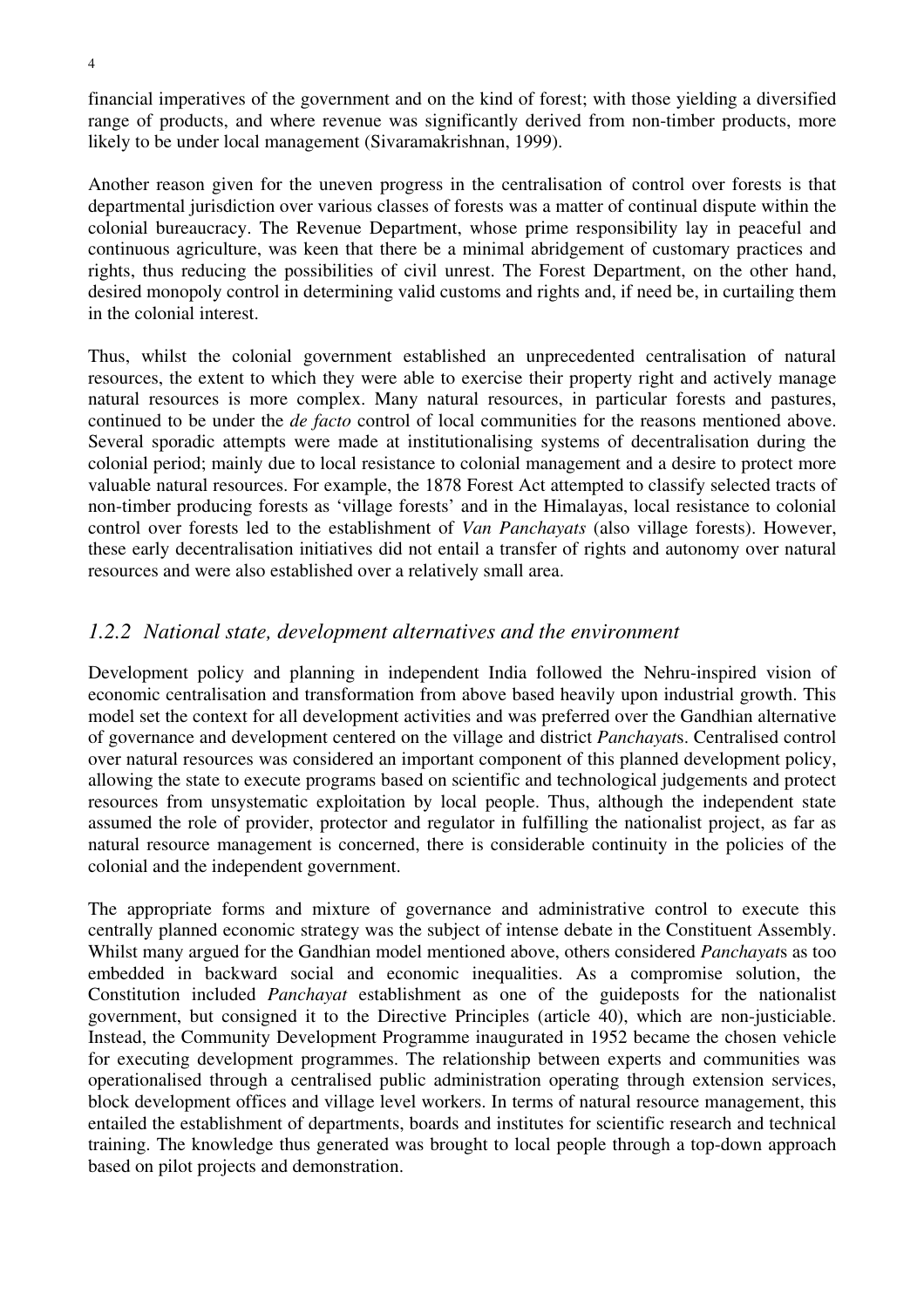financial imperatives of the government and on the kind of forest; with those yielding a diversified range of products, and where revenue was significantly derived from non-timber products, more likely to be under local management (Sivaramakrishnan, 1999).

Another reason given for the uneven progress in the centralisation of control over forests is that departmental jurisdiction over various classes of forests was a matter of continual dispute within the colonial bureaucracy. The Revenue Department, whose prime responsibility lay in peaceful and continuous agriculture, was keen that there be a minimal abridgement of customary practices and rights, thus reducing the possibilities of civil unrest. The Forest Department, on the other hand, desired monopoly control in determining valid customs and rights and, if need be, in curtailing them in the colonial interest.

Thus, whilst the colonial government established an unprecedented centralisation of natural resources, the extent to which they were able to exercise their property right and actively manage natural resources is more complex. Many natural resources, in particular forests and pastures, continued to be under the *de facto* control of local communities for the reasons mentioned above. Several sporadic attempts were made at institutionalising systems of decentralisation during the colonial period; mainly due to local resistance to colonial management and a desire to protect more valuable natural resources. For example, the 1878 Forest Act attempted to classify selected tracts of non-timber producing forests as 'village forests' and in the Himalayas, local resistance to colonial control over forests led to the establishment of *Van Panchayats* (also village forests). However, these early decentralisation initiatives did not entail a transfer of rights and autonomy over natural resources and were also established over a relatively small area.

# *1.2.2 National state, development alternatives and the environment*

Development policy and planning in independent India followed the Nehru-inspired vision of economic centralisation and transformation from above based heavily upon industrial growth. This model set the context for all development activities and was preferred over the Gandhian alternative of governance and development centered on the village and district *Panchayat*s. Centralised control over natural resources was considered an important component of this planned development policy, allowing the state to execute programs based on scientific and technological judgements and protect resources from unsystematic exploitation by local people. Thus, although the independent state assumed the role of provider, protector and regulator in fulfilling the nationalist project, as far as natural resource management is concerned, there is considerable continuity in the policies of the colonial and the independent government.

The appropriate forms and mixture of governance and administrative control to execute this centrally planned economic strategy was the subject of intense debate in the Constituent Assembly. Whilst many argued for the Gandhian model mentioned above, others considered *Panchayat*s as too embedded in backward social and economic inequalities. As a compromise solution, the Constitution included *Panchayat* establishment as one of the guideposts for the nationalist government, but consigned it to the Directive Principles (article 40), which are non-justiciable. Instead, the Community Development Programme inaugurated in 1952 became the chosen vehicle for executing development programmes. The relationship between experts and communities was operationalised through a centralised public administration operating through extension services, block development offices and village level workers. In terms of natural resource management, this entailed the establishment of departments, boards and institutes for scientific research and technical training. The knowledge thus generated was brought to local people through a top-down approach based on pilot projects and demonstration.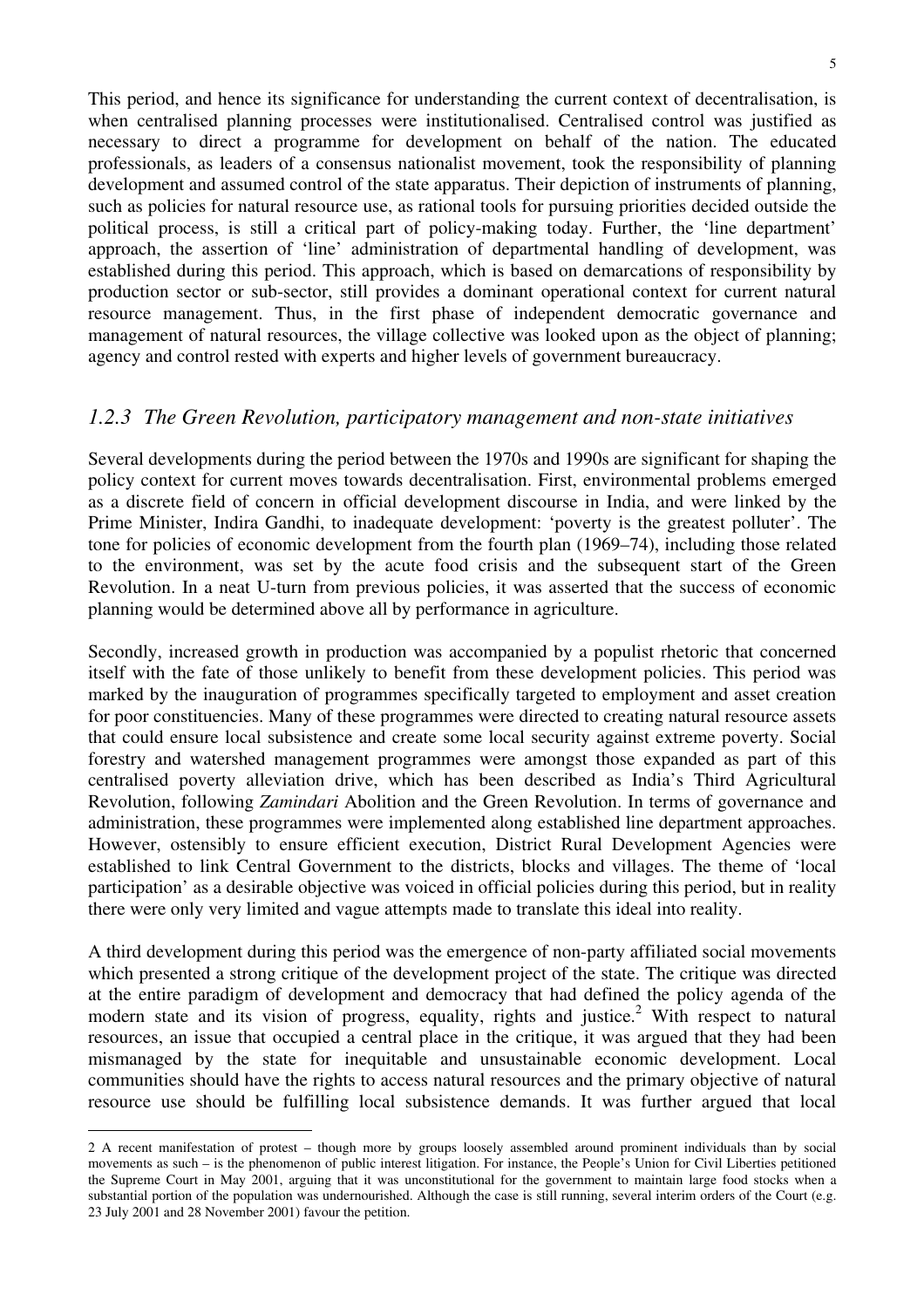This period, and hence its significance for understanding the current context of decentralisation, is when centralised planning processes were institutionalised. Centralised control was justified as necessary to direct a programme for development on behalf of the nation. The educated professionals, as leaders of a consensus nationalist movement, took the responsibility of planning development and assumed control of the state apparatus. Their depiction of instruments of planning, such as policies for natural resource use, as rational tools for pursuing priorities decided outside the political process, is still a critical part of policy-making today. Further, the 'line department' approach, the assertion of 'line' administration of departmental handling of development, was established during this period. This approach, which is based on demarcations of responsibility by production sector or sub-sector, still provides a dominant operational context for current natural resource management. Thus, in the first phase of independent democratic governance and management of natural resources, the village collective was looked upon as the object of planning: agency and control rested with experts and higher levels of government bureaucracy.

### *1.2.3 The Green Revolution, participatory management and non-state initiatives*

Several developments during the period between the 1970s and 1990s are significant for shaping the policy context for current moves towards decentralisation. First, environmental problems emerged as a discrete field of concern in official development discourse in India, and were linked by the Prime Minister, Indira Gandhi, to inadequate development: 'poverty is the greatest polluter'. The tone for policies of economic development from the fourth plan (1969–74), including those related to the environment, was set by the acute food crisis and the subsequent start of the Green Revolution. In a neat U-turn from previous policies, it was asserted that the success of economic planning would be determined above all by performance in agriculture.

Secondly, increased growth in production was accompanied by a populist rhetoric that concerned itself with the fate of those unlikely to benefit from these development policies. This period was marked by the inauguration of programmes specifically targeted to employment and asset creation for poor constituencies. Many of these programmes were directed to creating natural resource assets that could ensure local subsistence and create some local security against extreme poverty. Social forestry and watershed management programmes were amongst those expanded as part of this centralised poverty alleviation drive, which has been described as India's Third Agricultural Revolution, following *Zamindari* Abolition and the Green Revolution. In terms of governance and administration, these programmes were implemented along established line department approaches. However, ostensibly to ensure efficient execution, District Rural Development Agencies were established to link Central Government to the districts, blocks and villages. The theme of 'local participation' as a desirable objective was voiced in official policies during this period, but in reality there were only very limited and vague attempts made to translate this ideal into reality.

A third development during this period was the emergence of non-party affiliated social movements which presented a strong critique of the development project of the state. The critique was directed at the entire paradigm of development and democracy that had defined the policy agenda of the modern state and its vision of progress, equality, rights and justice.<sup>2</sup> With respect to natural resources, an issue that occupied a central place in the critique, it was argued that they had been mismanaged by the state for inequitable and unsustainable economic development. Local communities should have the rights to access natural resources and the primary objective of natural resource use should be fulfilling local subsistence demands. It was further argued that local

 $\overline{a}$ 

<sup>2</sup> A recent manifestation of protest – though more by groups loosely assembled around prominent individuals than by social movements as such – is the phenomenon of public interest litigation. For instance, the People's Union for Civil Liberties petitioned the Supreme Court in May 2001, arguing that it was unconstitutional for the government to maintain large food stocks when a substantial portion of the population was undernourished. Although the case is still running, several interim orders of the Court (e.g. 23 July 2001 and 28 November 2001) favour the petition.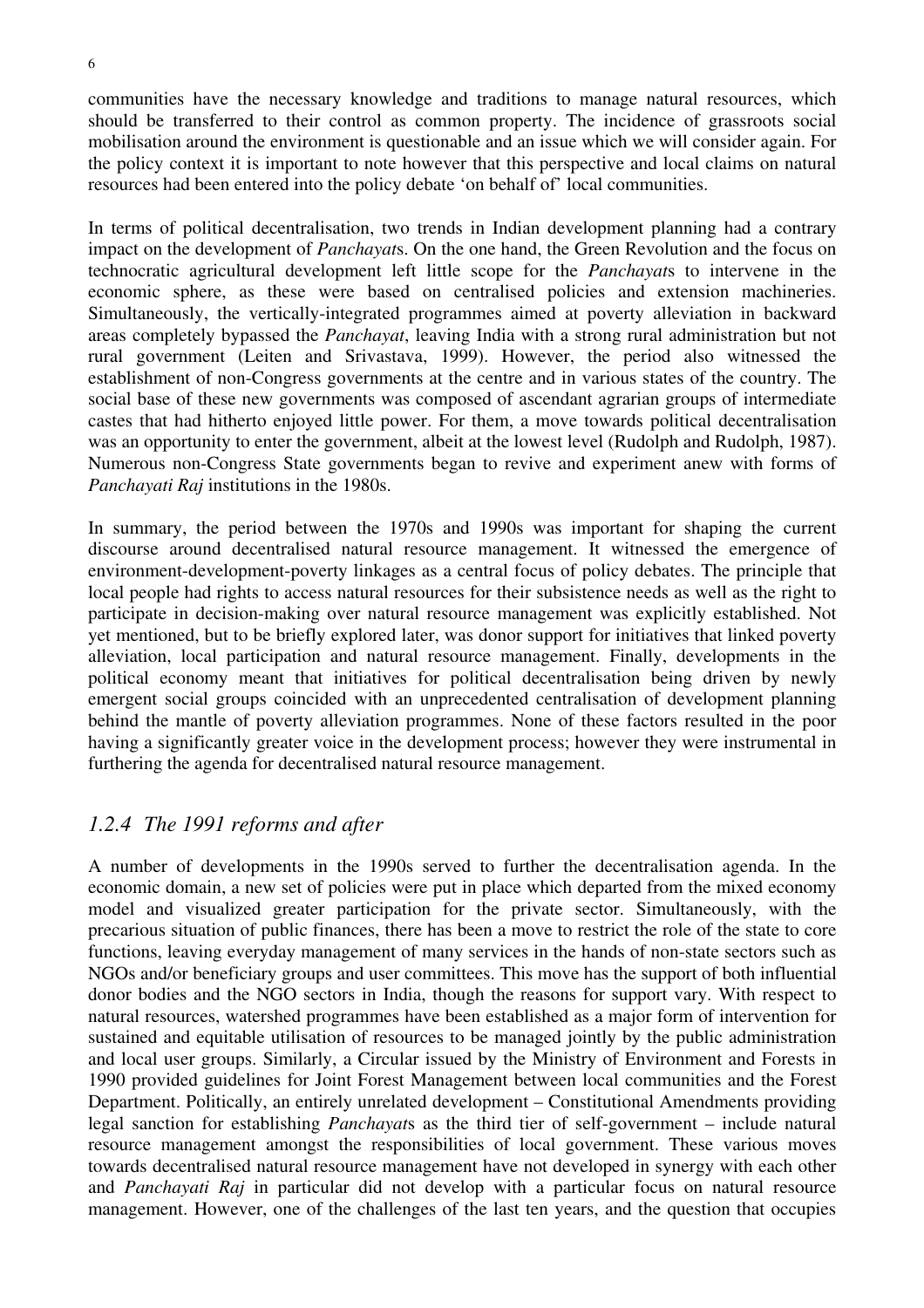communities have the necessary knowledge and traditions to manage natural resources, which should be transferred to their control as common property. The incidence of grassroots social mobilisation around the environment is questionable and an issue which we will consider again. For the policy context it is important to note however that this perspective and local claims on natural resources had been entered into the policy debate 'on behalf of' local communities.

In terms of political decentralisation, two trends in Indian development planning had a contrary impact on the development of *Panchayat*s. On the one hand, the Green Revolution and the focus on technocratic agricultural development left little scope for the *Panchayat*s to intervene in the economic sphere, as these were based on centralised policies and extension machineries. Simultaneously, the vertically-integrated programmes aimed at poverty alleviation in backward areas completely bypassed the *Panchayat*, leaving India with a strong rural administration but not rural government (Leiten and Srivastava, 1999). However, the period also witnessed the establishment of non-Congress governments at the centre and in various states of the country. The social base of these new governments was composed of ascendant agrarian groups of intermediate castes that had hitherto enjoyed little power. For them, a move towards political decentralisation was an opportunity to enter the government, albeit at the lowest level (Rudolph and Rudolph, 1987). Numerous non-Congress State governments began to revive and experiment anew with forms of *Panchayati Raj* institutions in the 1980s.

In summary, the period between the 1970s and 1990s was important for shaping the current discourse around decentralised natural resource management. It witnessed the emergence of environment-development-poverty linkages as a central focus of policy debates. The principle that local people had rights to access natural resources for their subsistence needs as well as the right to participate in decision-making over natural resource management was explicitly established. Not yet mentioned, but to be briefly explored later, was donor support for initiatives that linked poverty alleviation, local participation and natural resource management. Finally, developments in the political economy meant that initiatives for political decentralisation being driven by newly emergent social groups coincided with an unprecedented centralisation of development planning behind the mantle of poverty alleviation programmes. None of these factors resulted in the poor having a significantly greater voice in the development process; however they were instrumental in furthering the agenda for decentralised natural resource management.

# *1.2.4 The 1991 reforms and after*

A number of developments in the 1990s served to further the decentralisation agenda. In the economic domain, a new set of policies were put in place which departed from the mixed economy model and visualized greater participation for the private sector. Simultaneously, with the precarious situation of public finances, there has been a move to restrict the role of the state to core functions, leaving everyday management of many services in the hands of non-state sectors such as NGOs and/or beneficiary groups and user committees. This move has the support of both influential donor bodies and the NGO sectors in India, though the reasons for support vary. With respect to natural resources, watershed programmes have been established as a major form of intervention for sustained and equitable utilisation of resources to be managed jointly by the public administration and local user groups. Similarly, a Circular issued by the Ministry of Environment and Forests in 1990 provided guidelines for Joint Forest Management between local communities and the Forest Department. Politically, an entirely unrelated development – Constitutional Amendments providing legal sanction for establishing *Panchayat*s as the third tier of self-government – include natural resource management amongst the responsibilities of local government. These various moves towards decentralised natural resource management have not developed in synergy with each other and *Panchayati Raj* in particular did not develop with a particular focus on natural resource management. However, one of the challenges of the last ten years, and the question that occupies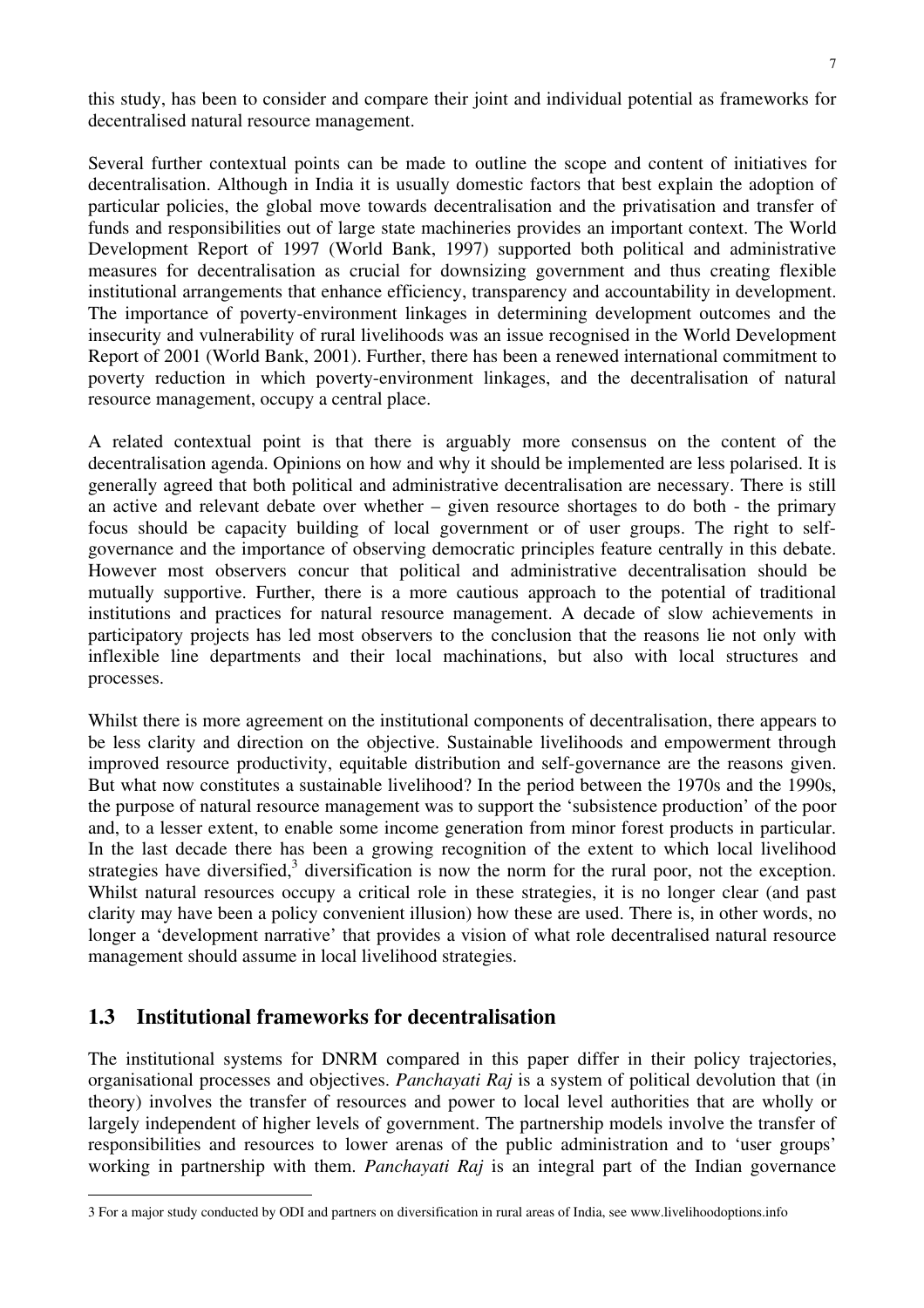this study, has been to consider and compare their joint and individual potential as frameworks for decentralised natural resource management.

Several further contextual points can be made to outline the scope and content of initiatives for decentralisation. Although in India it is usually domestic factors that best explain the adoption of particular policies, the global move towards decentralisation and the privatisation and transfer of funds and responsibilities out of large state machineries provides an important context. The World Development Report of 1997 (World Bank, 1997) supported both political and administrative measures for decentralisation as crucial for downsizing government and thus creating flexible institutional arrangements that enhance efficiency, transparency and accountability in development. The importance of poverty-environment linkages in determining development outcomes and the insecurity and vulnerability of rural livelihoods was an issue recognised in the World Development Report of 2001 (World Bank, 2001). Further, there has been a renewed international commitment to poverty reduction in which poverty-environment linkages, and the decentralisation of natural resource management, occupy a central place.

A related contextual point is that there is arguably more consensus on the content of the decentralisation agenda. Opinions on how and why it should be implemented are less polarised. It is generally agreed that both political and administrative decentralisation are necessary. There is still an active and relevant debate over whether – given resource shortages to do both - the primary focus should be capacity building of local government or of user groups. The right to selfgovernance and the importance of observing democratic principles feature centrally in this debate. However most observers concur that political and administrative decentralisation should be mutually supportive. Further, there is a more cautious approach to the potential of traditional institutions and practices for natural resource management. A decade of slow achievements in participatory projects has led most observers to the conclusion that the reasons lie not only with inflexible line departments and their local machinations, but also with local structures and processes.

Whilst there is more agreement on the institutional components of decentralisation, there appears to be less clarity and direction on the objective. Sustainable livelihoods and empowerment through improved resource productivity, equitable distribution and self-governance are the reasons given. But what now constitutes a sustainable livelihood? In the period between the 1970s and the 1990s, the purpose of natural resource management was to support the 'subsistence production' of the poor and, to a lesser extent, to enable some income generation from minor forest products in particular. In the last decade there has been a growing recognition of the extent to which local livelihood strategies have diversified, $3$  diversification is now the norm for the rural poor, not the exception. Whilst natural resources occupy a critical role in these strategies, it is no longer clear (and past clarity may have been a policy convenient illusion) how these are used. There is, in other words, no longer a 'development narrative' that provides a vision of what role decentralised natural resource management should assume in local livelihood strategies.

# **1.3 Institutional frameworks for decentralisation**

The institutional systems for DNRM compared in this paper differ in their policy trajectories, organisational processes and objectives. *Panchayati Raj* is a system of political devolution that (in theory) involves the transfer of resources and power to local level authorities that are wholly or largely independent of higher levels of government. The partnership models involve the transfer of responsibilities and resources to lower arenas of the public administration and to 'user groups' working in partnership with them. *Panchayati Raj* is an integral part of the Indian governance

 $\overline{a}$ 3 For a major study conducted by ODI and partners on diversification in rural areas of India, see www.livelihoodoptions.info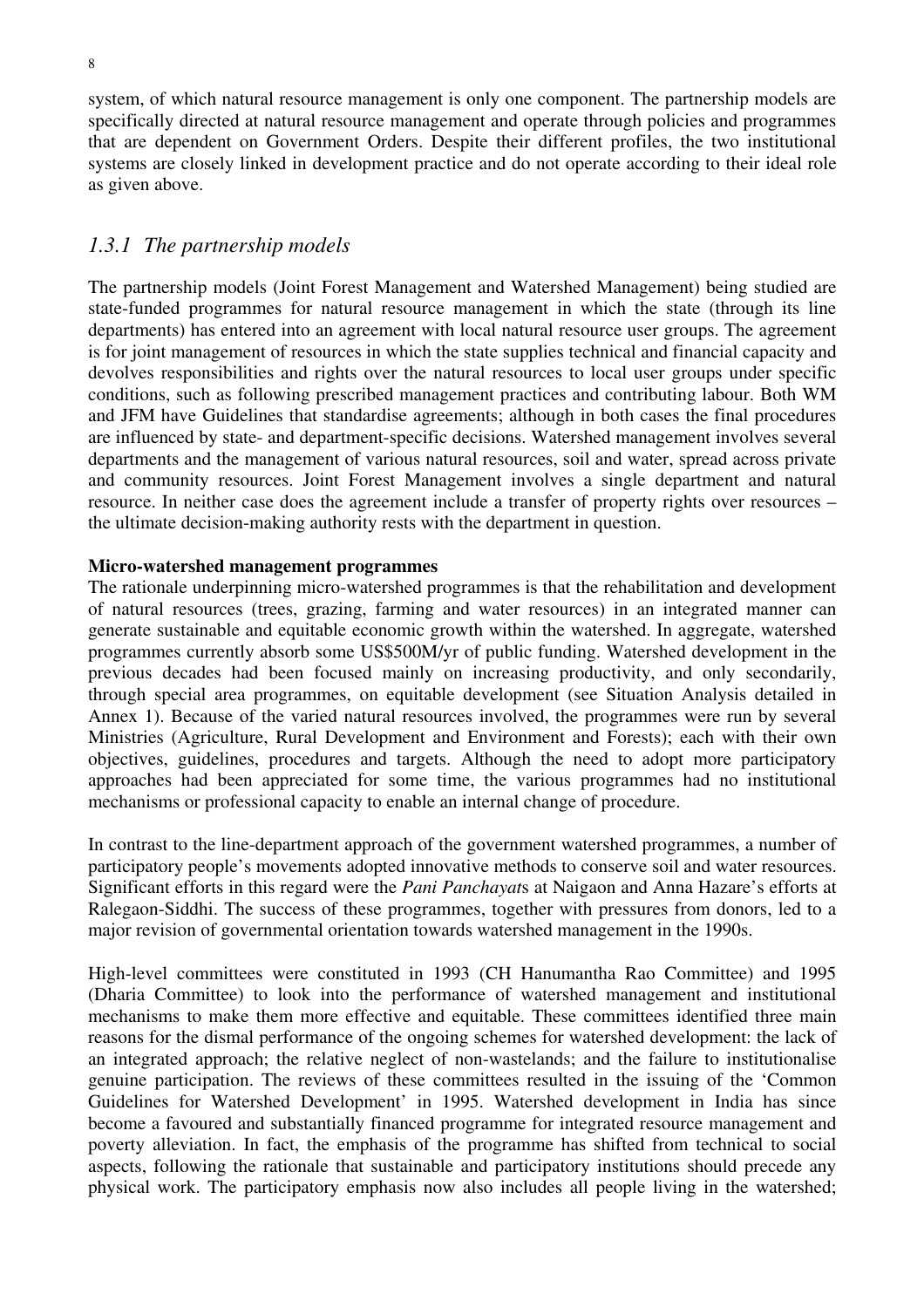system, of which natural resource management is only one component. The partnership models are specifically directed at natural resource management and operate through policies and programmes that are dependent on Government Orders. Despite their different profiles, the two institutional systems are closely linked in development practice and do not operate according to their ideal role as given above.

# *1.3.1 The partnership models*

The partnership models (Joint Forest Management and Watershed Management) being studied are state-funded programmes for natural resource management in which the state (through its line departments) has entered into an agreement with local natural resource user groups. The agreement is for joint management of resources in which the state supplies technical and financial capacity and devolves responsibilities and rights over the natural resources to local user groups under specific conditions, such as following prescribed management practices and contributing labour. Both WM and JFM have Guidelines that standardise agreements; although in both cases the final procedures are influenced by state- and department-specific decisions. Watershed management involves several departments and the management of various natural resources, soil and water, spread across private and community resources. Joint Forest Management involves a single department and natural resource. In neither case does the agreement include a transfer of property rights over resources – the ultimate decision-making authority rests with the department in question.

#### **Micro-watershed management programmes**

The rationale underpinning micro-watershed programmes is that the rehabilitation and development of natural resources (trees, grazing, farming and water resources) in an integrated manner can generate sustainable and equitable economic growth within the watershed. In aggregate, watershed programmes currently absorb some US\$500M/yr of public funding. Watershed development in the previous decades had been focused mainly on increasing productivity, and only secondarily, through special area programmes, on equitable development (see Situation Analysis detailed in Annex 1). Because of the varied natural resources involved, the programmes were run by several Ministries (Agriculture, Rural Development and Environment and Forests); each with their own objectives, guidelines, procedures and targets. Although the need to adopt more participatory approaches had been appreciated for some time, the various programmes had no institutional mechanisms or professional capacity to enable an internal change of procedure.

In contrast to the line-department approach of the government watershed programmes, a number of participatory people's movements adopted innovative methods to conserve soil and water resources. Significant efforts in this regard were the *Pani Panchayat*s at Naigaon and Anna Hazare's efforts at Ralegaon-Siddhi. The success of these programmes, together with pressures from donors, led to a major revision of governmental orientation towards watershed management in the 1990s.

High-level committees were constituted in 1993 (CH Hanumantha Rao Committee) and 1995 (Dharia Committee) to look into the performance of watershed management and institutional mechanisms to make them more effective and equitable. These committees identified three main reasons for the dismal performance of the ongoing schemes for watershed development: the lack of an integrated approach; the relative neglect of non-wastelands; and the failure to institutionalise genuine participation. The reviews of these committees resulted in the issuing of the 'Common Guidelines for Watershed Development' in 1995. Watershed development in India has since become a favoured and substantially financed programme for integrated resource management and poverty alleviation. In fact, the emphasis of the programme has shifted from technical to social aspects, following the rationale that sustainable and participatory institutions should precede any physical work. The participatory emphasis now also includes all people living in the watershed;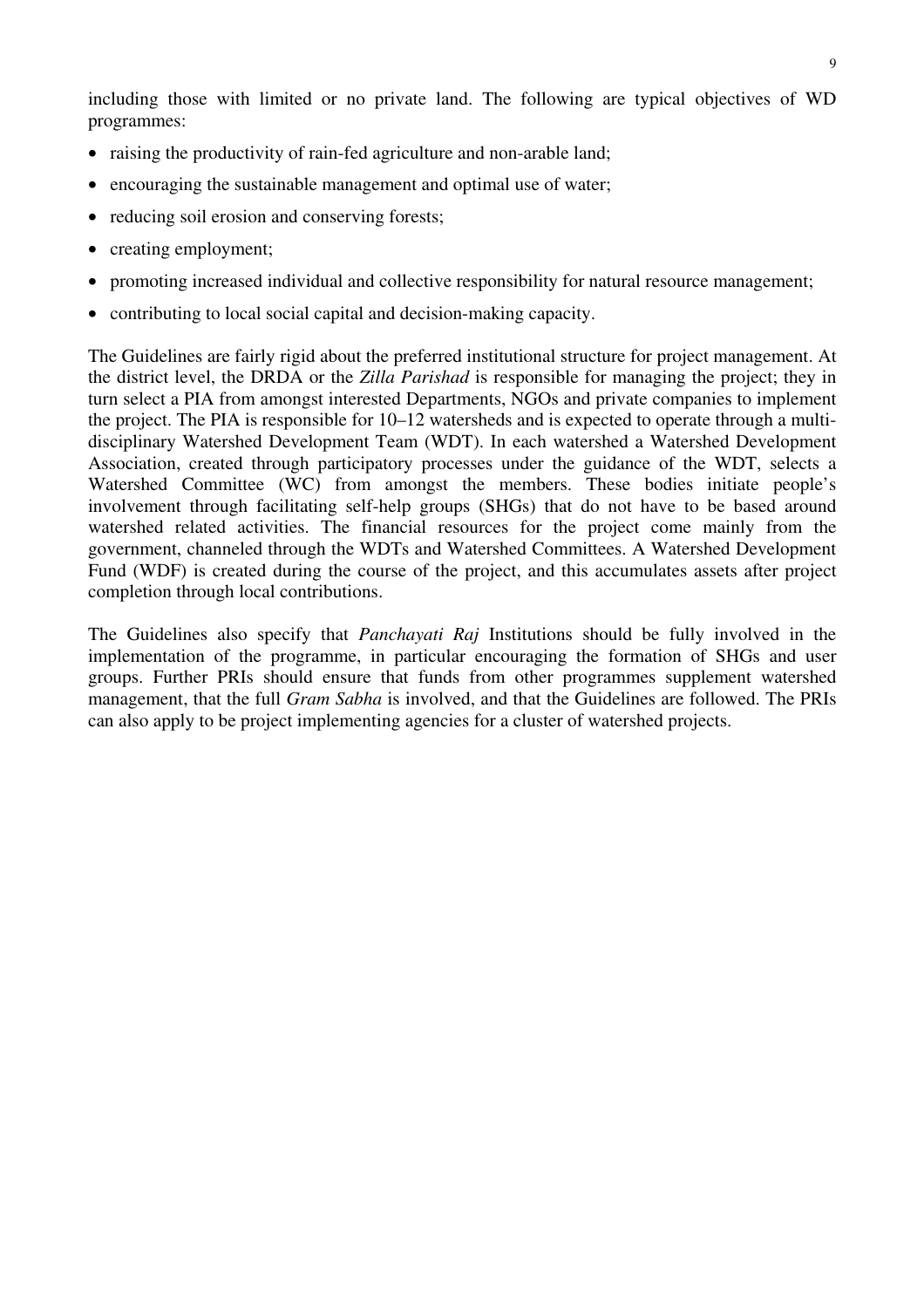including those with limited or no private land. The following are typical objectives of WD programmes:

- raising the productivity of rain-fed agriculture and non-arable land:
- encouraging the sustainable management and optimal use of water;
- reducing soil erosion and conserving forests:
- creating employment;
- promoting increased individual and collective responsibility for natural resource management;
- contributing to local social capital and decision-making capacity.

The Guidelines are fairly rigid about the preferred institutional structure for project management. At the district level, the DRDA or the *Zilla Parishad* is responsible for managing the project; they in turn select a PIA from amongst interested Departments, NGOs and private companies to implement the project. The PIA is responsible for 10–12 watersheds and is expected to operate through a multidisciplinary Watershed Development Team (WDT). In each watershed a Watershed Development Association, created through participatory processes under the guidance of the WDT, selects a Watershed Committee (WC) from amongst the members. These bodies initiate people's involvement through facilitating self-help groups (SHGs) that do not have to be based around watershed related activities. The financial resources for the project come mainly from the government, channeled through the WDTs and Watershed Committees. A Watershed Development Fund (WDF) is created during the course of the project, and this accumulates assets after project completion through local contributions.

The Guidelines also specify that *Panchayati Raj* Institutions should be fully involved in the implementation of the programme, in particular encouraging the formation of SHGs and user groups. Further PRIs should ensure that funds from other programmes supplement watershed management, that the full *Gram Sabha* is involved, and that the Guidelines are followed. The PRIs can also apply to be project implementing agencies for a cluster of watershed projects.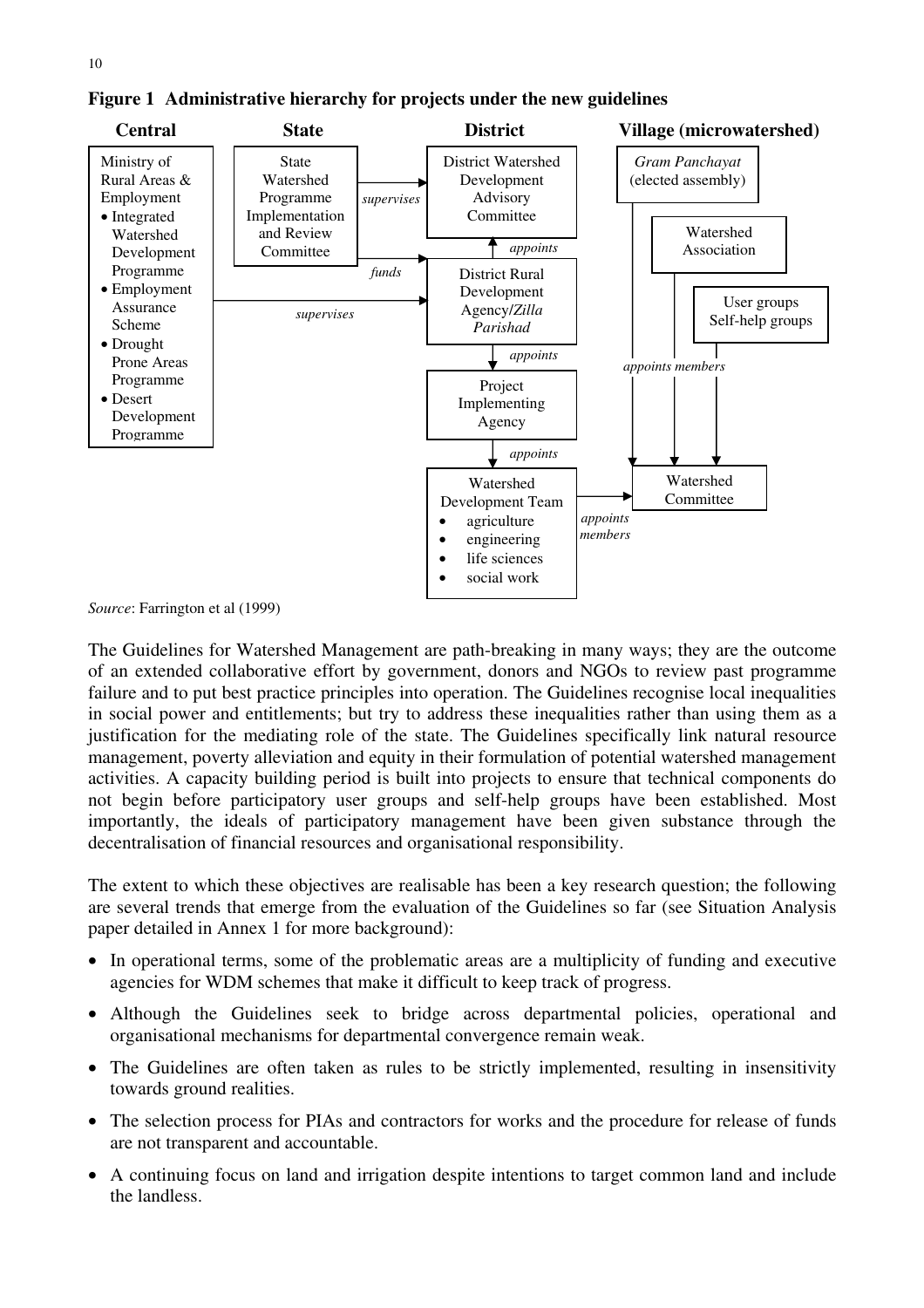

**Figure 1 Administrative hierarchy for projects under the new guidelines** 

*Source*: Farrington et al (1999)

The Guidelines for Watershed Management are path-breaking in many ways; they are the outcome of an extended collaborative effort by government, donors and NGOs to review past programme failure and to put best practice principles into operation. The Guidelines recognise local inequalities in social power and entitlements; but try to address these inequalities rather than using them as a justification for the mediating role of the state. The Guidelines specifically link natural resource management, poverty alleviation and equity in their formulation of potential watershed management activities. A capacity building period is built into projects to ensure that technical components do not begin before participatory user groups and self-help groups have been established. Most importantly, the ideals of participatory management have been given substance through the decentralisation of financial resources and organisational responsibility.

The extent to which these objectives are realisable has been a key research question; the following are several trends that emerge from the evaluation of the Guidelines so far (see Situation Analysis paper detailed in Annex 1 for more background):

- In operational terms, some of the problematic areas are a multiplicity of funding and executive agencies for WDM schemes that make it difficult to keep track of progress.
- Although the Guidelines seek to bridge across departmental policies, operational and organisational mechanisms for departmental convergence remain weak.
- The Guidelines are often taken as rules to be strictly implemented, resulting in insensitivity towards ground realities.
- The selection process for PIAs and contractors for works and the procedure for release of funds are not transparent and accountable.
- A continuing focus on land and irrigation despite intentions to target common land and include the landless.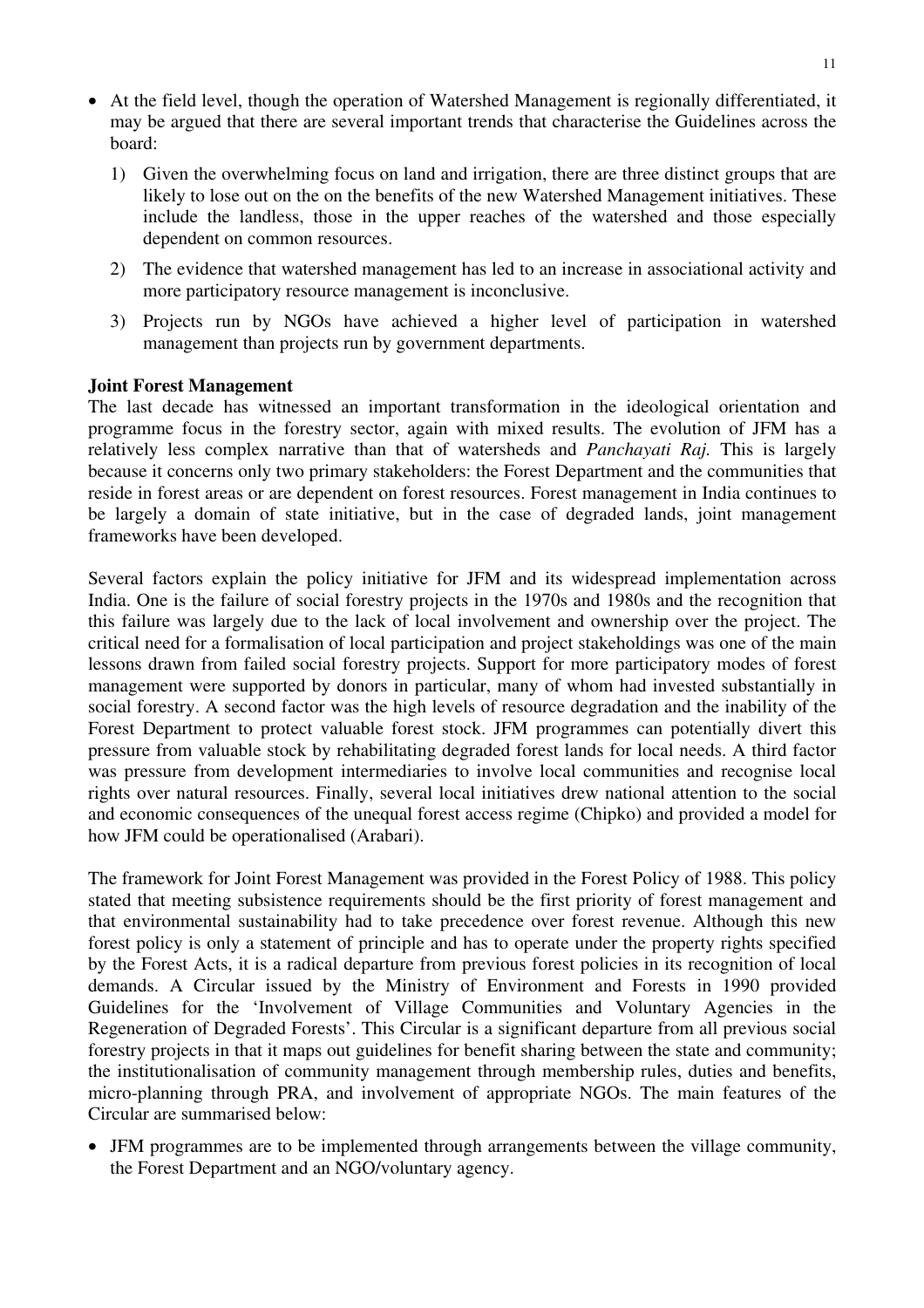- At the field level, though the operation of Watershed Management is regionally differentiated, it may be argued that there are several important trends that characterise the Guidelines across the board:
	- 1) Given the overwhelming focus on land and irrigation, there are three distinct groups that are likely to lose out on the on the benefits of the new Watershed Management initiatives. These include the landless, those in the upper reaches of the watershed and those especially dependent on common resources.
	- 2) The evidence that watershed management has led to an increase in associational activity and more participatory resource management is inconclusive.
	- 3) Projects run by NGOs have achieved a higher level of participation in watershed management than projects run by government departments.

#### **Joint Forest Management**

The last decade has witnessed an important transformation in the ideological orientation and programme focus in the forestry sector, again with mixed results. The evolution of JFM has a relatively less complex narrative than that of watersheds and *Panchayati Raj.* This is largely because it concerns only two primary stakeholders: the Forest Department and the communities that reside in forest areas or are dependent on forest resources. Forest management in India continues to be largely a domain of state initiative, but in the case of degraded lands, joint management frameworks have been developed.

Several factors explain the policy initiative for JFM and its widespread implementation across India. One is the failure of social forestry projects in the 1970s and 1980s and the recognition that this failure was largely due to the lack of local involvement and ownership over the project. The critical need for a formalisation of local participation and project stakeholdings was one of the main lessons drawn from failed social forestry projects. Support for more participatory modes of forest management were supported by donors in particular, many of whom had invested substantially in social forestry. A second factor was the high levels of resource degradation and the inability of the Forest Department to protect valuable forest stock. JFM programmes can potentially divert this pressure from valuable stock by rehabilitating degraded forest lands for local needs. A third factor was pressure from development intermediaries to involve local communities and recognise local rights over natural resources. Finally, several local initiatives drew national attention to the social and economic consequences of the unequal forest access regime (Chipko) and provided a model for how JFM could be operationalised (Arabari).

The framework for Joint Forest Management was provided in the Forest Policy of 1988. This policy stated that meeting subsistence requirements should be the first priority of forest management and that environmental sustainability had to take precedence over forest revenue. Although this new forest policy is only a statement of principle and has to operate under the property rights specified by the Forest Acts, it is a radical departure from previous forest policies in its recognition of local demands. A Circular issued by the Ministry of Environment and Forests in 1990 provided Guidelines for the 'Involvement of Village Communities and Voluntary Agencies in the Regeneration of Degraded Forests'. This Circular is a significant departure from all previous social forestry projects in that it maps out guidelines for benefit sharing between the state and community; the institutionalisation of community management through membership rules, duties and benefits, micro-planning through PRA, and involvement of appropriate NGOs. The main features of the Circular are summarised below:

• JFM programmes are to be implemented through arrangements between the village community, the Forest Department and an NGO/voluntary agency.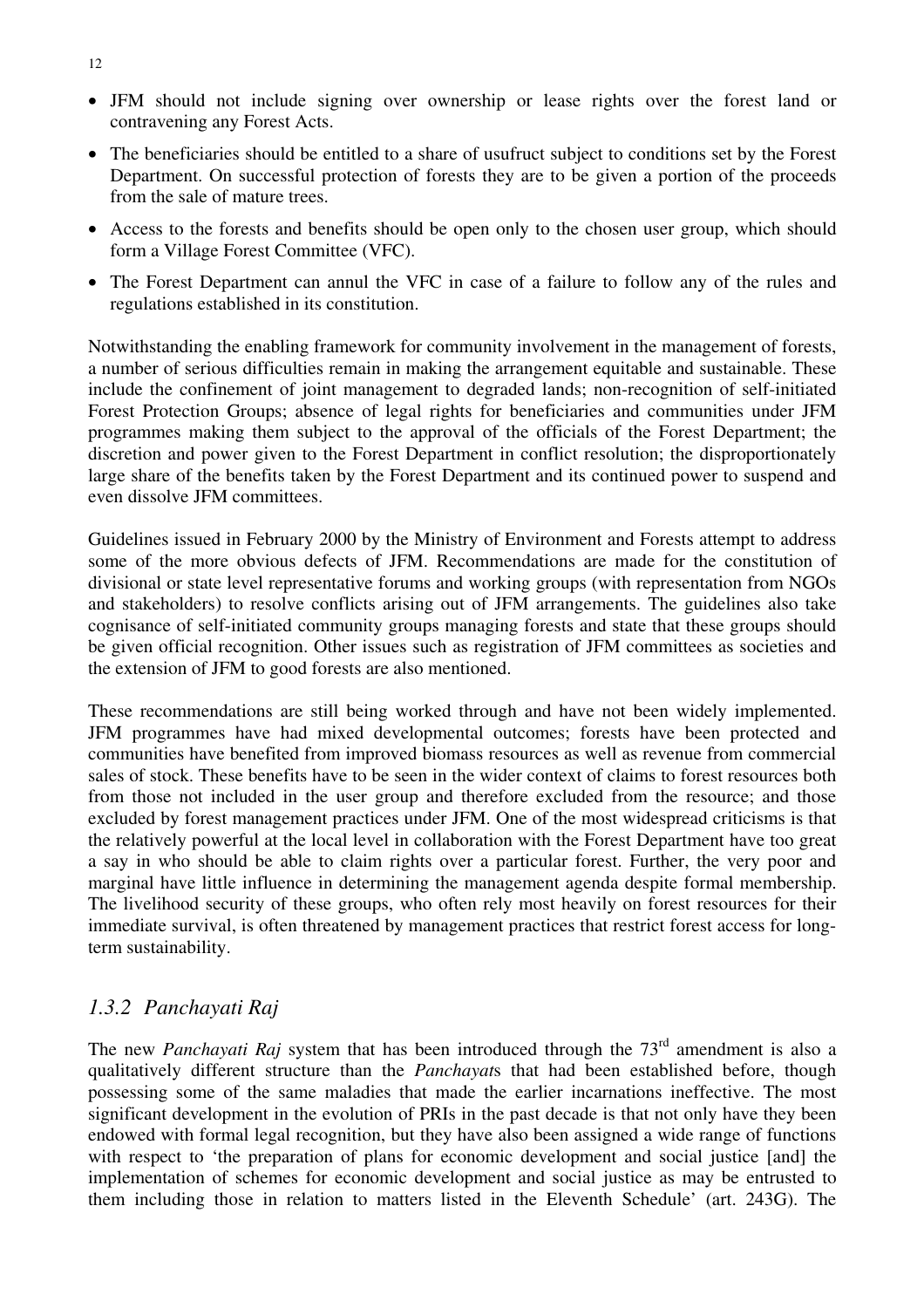- JFM should not include signing over ownership or lease rights over the forest land or contravening any Forest Acts.
- The beneficiaries should be entitled to a share of usufruct subject to conditions set by the Forest Department. On successful protection of forests they are to be given a portion of the proceeds from the sale of mature trees.
- Access to the forests and benefits should be open only to the chosen user group, which should form a Village Forest Committee (VFC).
- The Forest Department can annul the VFC in case of a failure to follow any of the rules and regulations established in its constitution.

Notwithstanding the enabling framework for community involvement in the management of forests, a number of serious difficulties remain in making the arrangement equitable and sustainable. These include the confinement of joint management to degraded lands; non-recognition of self-initiated Forest Protection Groups; absence of legal rights for beneficiaries and communities under JFM programmes making them subject to the approval of the officials of the Forest Department; the discretion and power given to the Forest Department in conflict resolution; the disproportionately large share of the benefits taken by the Forest Department and its continued power to suspend and even dissolve JFM committees.

Guidelines issued in February 2000 by the Ministry of Environment and Forests attempt to address some of the more obvious defects of JFM. Recommendations are made for the constitution of divisional or state level representative forums and working groups (with representation from NGOs and stakeholders) to resolve conflicts arising out of JFM arrangements. The guidelines also take cognisance of self-initiated community groups managing forests and state that these groups should be given official recognition. Other issues such as registration of JFM committees as societies and the extension of JFM to good forests are also mentioned.

These recommendations are still being worked through and have not been widely implemented. JFM programmes have had mixed developmental outcomes; forests have been protected and communities have benefited from improved biomass resources as well as revenue from commercial sales of stock. These benefits have to be seen in the wider context of claims to forest resources both from those not included in the user group and therefore excluded from the resource; and those excluded by forest management practices under JFM. One of the most widespread criticisms is that the relatively powerful at the local level in collaboration with the Forest Department have too great a say in who should be able to claim rights over a particular forest. Further, the very poor and marginal have little influence in determining the management agenda despite formal membership. The livelihood security of these groups, who often rely most heavily on forest resources for their immediate survival, is often threatened by management practices that restrict forest access for longterm sustainability.

# *1.3.2 Panchayati Raj*

The new *Panchayati Raj* system that has been introduced through the 73<sup>rd</sup> amendment is also a qualitatively different structure than the *Panchayat*s that had been established before, though possessing some of the same maladies that made the earlier incarnations ineffective. The most significant development in the evolution of PRIs in the past decade is that not only have they been endowed with formal legal recognition, but they have also been assigned a wide range of functions with respect to 'the preparation of plans for economic development and social justice [and] the implementation of schemes for economic development and social justice as may be entrusted to them including those in relation to matters listed in the Eleventh Schedule' (art. 243G). The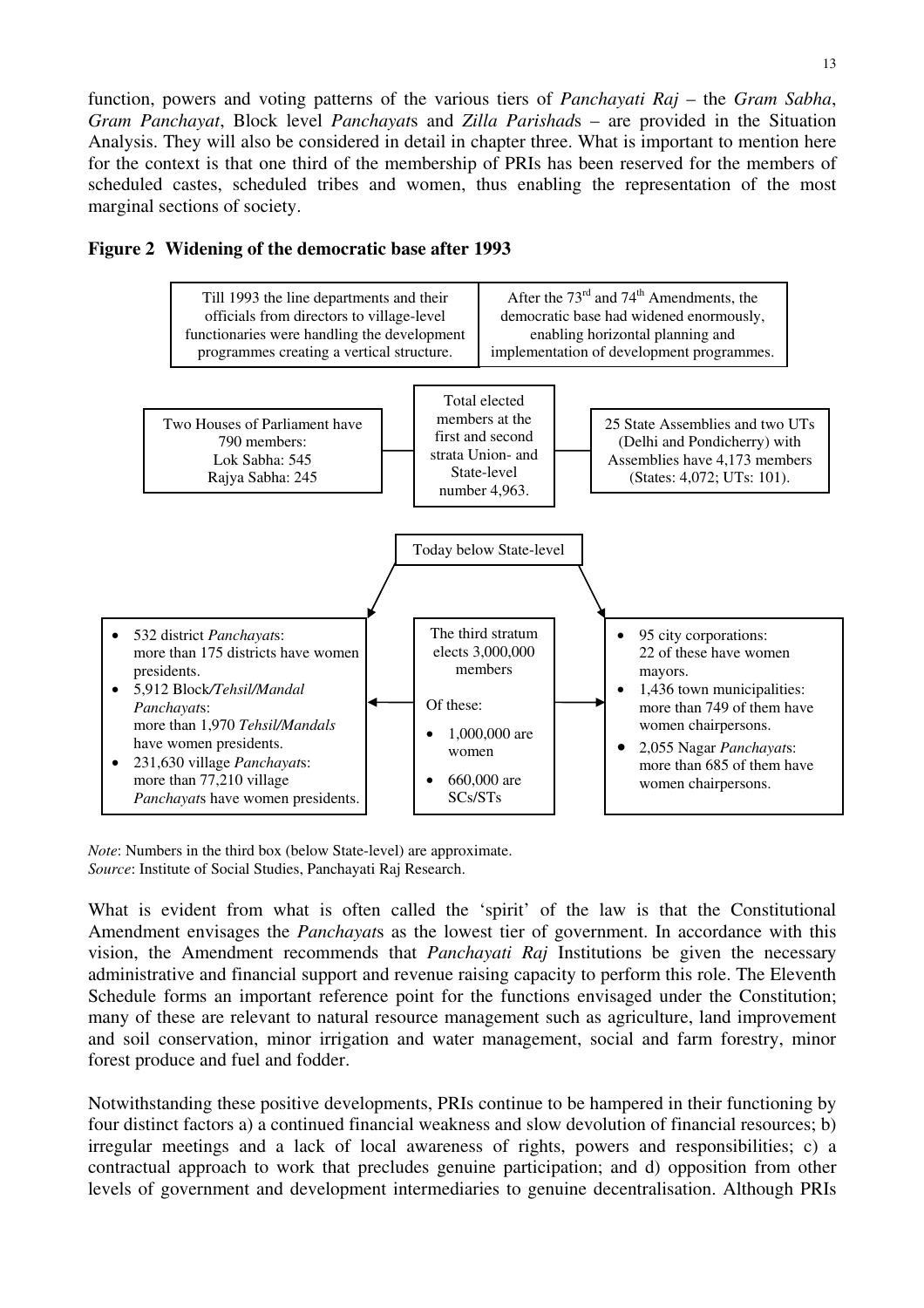function, powers and voting patterns of the various tiers of *Panchayati Raj* – the *Gram Sabha*, *Gram Panchayat*, Block level *Panchayat*s and *Zilla Parishad*s – are provided in the Situation Analysis. They will also be considered in detail in chapter three. What is important to mention here for the context is that one third of the membership of PRIs has been reserved for the members of scheduled castes, scheduled tribes and women, thus enabling the representation of the most marginal sections of society.



#### **Figure 2 Widening of the democratic base after 1993**

*Note*: Numbers in the third box (below State-level) are approximate. *Source*: Institute of Social Studies, Panchayati Raj Research.

What is evident from what is often called the 'spirit' of the law is that the Constitutional Amendment envisages the *Panchayat*s as the lowest tier of government. In accordance with this vision, the Amendment recommends that *Panchayati Raj* Institutions be given the necessary administrative and financial support and revenue raising capacity to perform this role. The Eleventh Schedule forms an important reference point for the functions envisaged under the Constitution; many of these are relevant to natural resource management such as agriculture, land improvement and soil conservation, minor irrigation and water management, social and farm forestry, minor forest produce and fuel and fodder.

Notwithstanding these positive developments, PRIs continue to be hampered in their functioning by four distinct factors a) a continued financial weakness and slow devolution of financial resources; b) irregular meetings and a lack of local awareness of rights, powers and responsibilities; c) a contractual approach to work that precludes genuine participation; and d) opposition from other levels of government and development intermediaries to genuine decentralisation. Although PRIs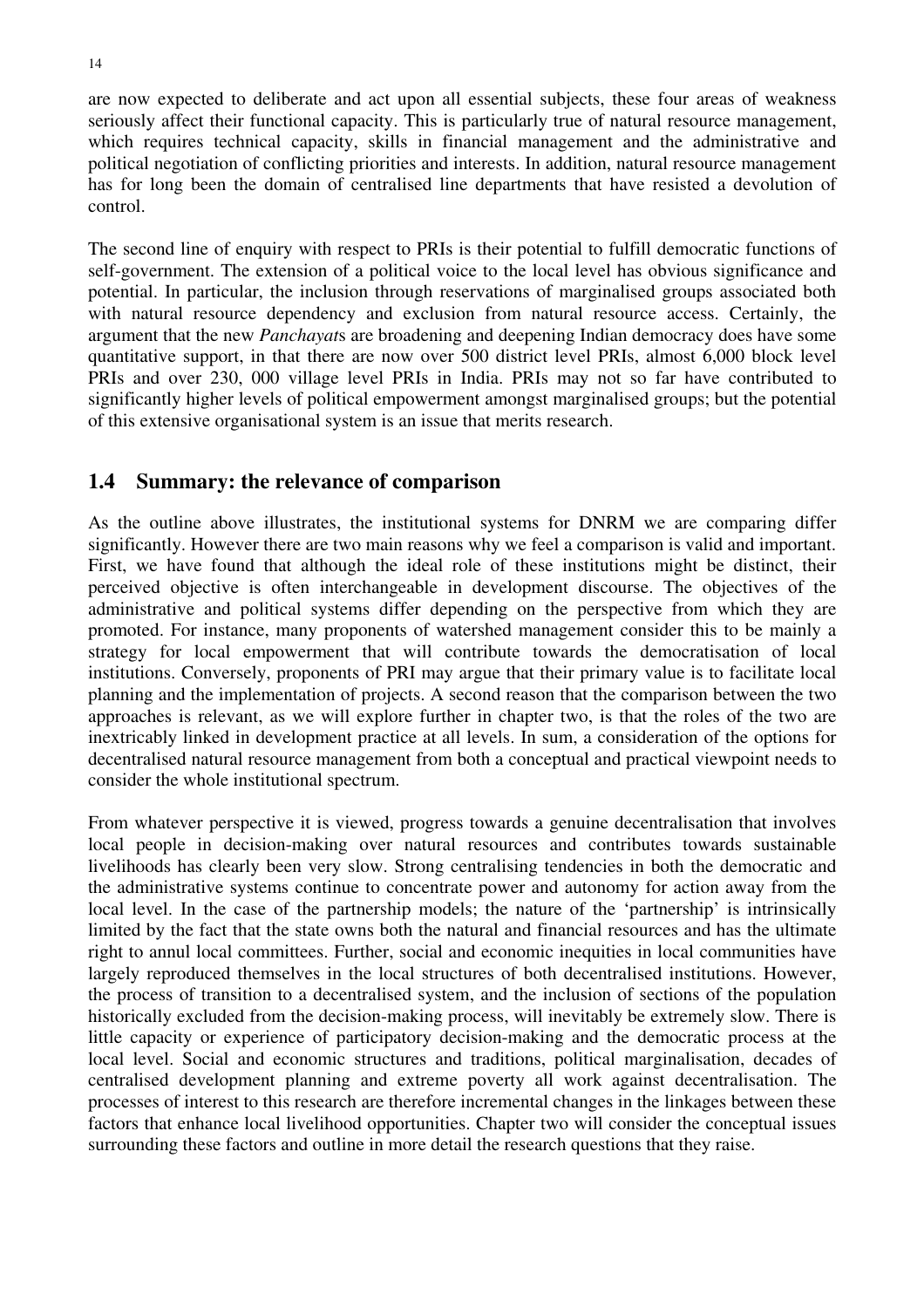are now expected to deliberate and act upon all essential subjects, these four areas of weakness seriously affect their functional capacity. This is particularly true of natural resource management, which requires technical capacity, skills in financial management and the administrative and political negotiation of conflicting priorities and interests. In addition, natural resource management has for long been the domain of centralised line departments that have resisted a devolution of control.

The second line of enquiry with respect to PRIs is their potential to fulfill democratic functions of self-government. The extension of a political voice to the local level has obvious significance and potential. In particular, the inclusion through reservations of marginalised groups associated both with natural resource dependency and exclusion from natural resource access. Certainly, the argument that the new *Panchayat*s are broadening and deepening Indian democracy does have some quantitative support, in that there are now over 500 district level PRIs, almost 6,000 block level PRIs and over 230, 000 village level PRIs in India. PRIs may not so far have contributed to significantly higher levels of political empowerment amongst marginalised groups; but the potential of this extensive organisational system is an issue that merits research.

### **1.4 Summary: the relevance of comparison**

As the outline above illustrates, the institutional systems for DNRM we are comparing differ significantly. However there are two main reasons why we feel a comparison is valid and important. First, we have found that although the ideal role of these institutions might be distinct, their perceived objective is often interchangeable in development discourse. The objectives of the administrative and political systems differ depending on the perspective from which they are promoted. For instance, many proponents of watershed management consider this to be mainly a strategy for local empowerment that will contribute towards the democratisation of local institutions. Conversely, proponents of PRI may argue that their primary value is to facilitate local planning and the implementation of projects. A second reason that the comparison between the two approaches is relevant, as we will explore further in chapter two, is that the roles of the two are inextricably linked in development practice at all levels. In sum, a consideration of the options for decentralised natural resource management from both a conceptual and practical viewpoint needs to consider the whole institutional spectrum.

From whatever perspective it is viewed, progress towards a genuine decentralisation that involves local people in decision-making over natural resources and contributes towards sustainable livelihoods has clearly been very slow. Strong centralising tendencies in both the democratic and the administrative systems continue to concentrate power and autonomy for action away from the local level. In the case of the partnership models; the nature of the 'partnership' is intrinsically limited by the fact that the state owns both the natural and financial resources and has the ultimate right to annul local committees. Further, social and economic inequities in local communities have largely reproduced themselves in the local structures of both decentralised institutions. However, the process of transition to a decentralised system, and the inclusion of sections of the population historically excluded from the decision-making process, will inevitably be extremely slow. There is little capacity or experience of participatory decision-making and the democratic process at the local level. Social and economic structures and traditions, political marginalisation, decades of centralised development planning and extreme poverty all work against decentralisation. The processes of interest to this research are therefore incremental changes in the linkages between these factors that enhance local livelihood opportunities. Chapter two will consider the conceptual issues surrounding these factors and outline in more detail the research questions that they raise.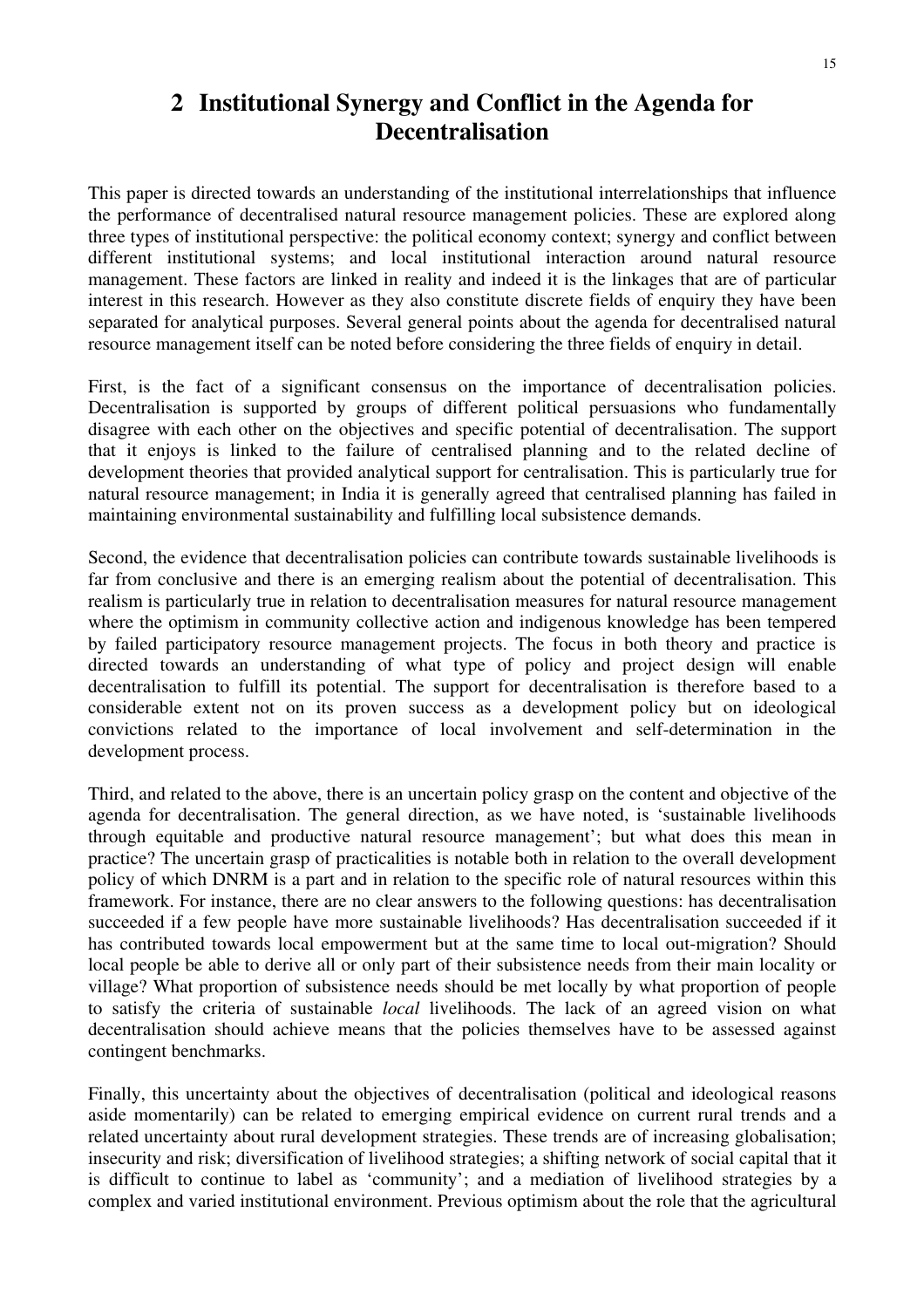# **2 Institutional Synergy and Conflict in the Agenda for Decentralisation**

This paper is directed towards an understanding of the institutional interrelationships that influence the performance of decentralised natural resource management policies. These are explored along three types of institutional perspective: the political economy context; synergy and conflict between different institutional systems; and local institutional interaction around natural resource management. These factors are linked in reality and indeed it is the linkages that are of particular interest in this research. However as they also constitute discrete fields of enquiry they have been separated for analytical purposes. Several general points about the agenda for decentralised natural resource management itself can be noted before considering the three fields of enquiry in detail.

First, is the fact of a significant consensus on the importance of decentralisation policies. Decentralisation is supported by groups of different political persuasions who fundamentally disagree with each other on the objectives and specific potential of decentralisation. The support that it enjoys is linked to the failure of centralised planning and to the related decline of development theories that provided analytical support for centralisation. This is particularly true for natural resource management; in India it is generally agreed that centralised planning has failed in maintaining environmental sustainability and fulfilling local subsistence demands.

Second, the evidence that decentralisation policies can contribute towards sustainable livelihoods is far from conclusive and there is an emerging realism about the potential of decentralisation. This realism is particularly true in relation to decentralisation measures for natural resource management where the optimism in community collective action and indigenous knowledge has been tempered by failed participatory resource management projects. The focus in both theory and practice is directed towards an understanding of what type of policy and project design will enable decentralisation to fulfill its potential. The support for decentralisation is therefore based to a considerable extent not on its proven success as a development policy but on ideological convictions related to the importance of local involvement and self-determination in the development process.

Third, and related to the above, there is an uncertain policy grasp on the content and objective of the agenda for decentralisation. The general direction, as we have noted, is 'sustainable livelihoods through equitable and productive natural resource management'; but what does this mean in practice? The uncertain grasp of practicalities is notable both in relation to the overall development policy of which DNRM is a part and in relation to the specific role of natural resources within this framework. For instance, there are no clear answers to the following questions: has decentralisation succeeded if a few people have more sustainable livelihoods? Has decentralisation succeeded if it has contributed towards local empowerment but at the same time to local out-migration? Should local people be able to derive all or only part of their subsistence needs from their main locality or village? What proportion of subsistence needs should be met locally by what proportion of people to satisfy the criteria of sustainable *local* livelihoods. The lack of an agreed vision on what decentralisation should achieve means that the policies themselves have to be assessed against contingent benchmarks.

Finally, this uncertainty about the objectives of decentralisation (political and ideological reasons aside momentarily) can be related to emerging empirical evidence on current rural trends and a related uncertainty about rural development strategies. These trends are of increasing globalisation; insecurity and risk; diversification of livelihood strategies; a shifting network of social capital that it is difficult to continue to label as 'community'; and a mediation of livelihood strategies by a complex and varied institutional environment. Previous optimism about the role that the agricultural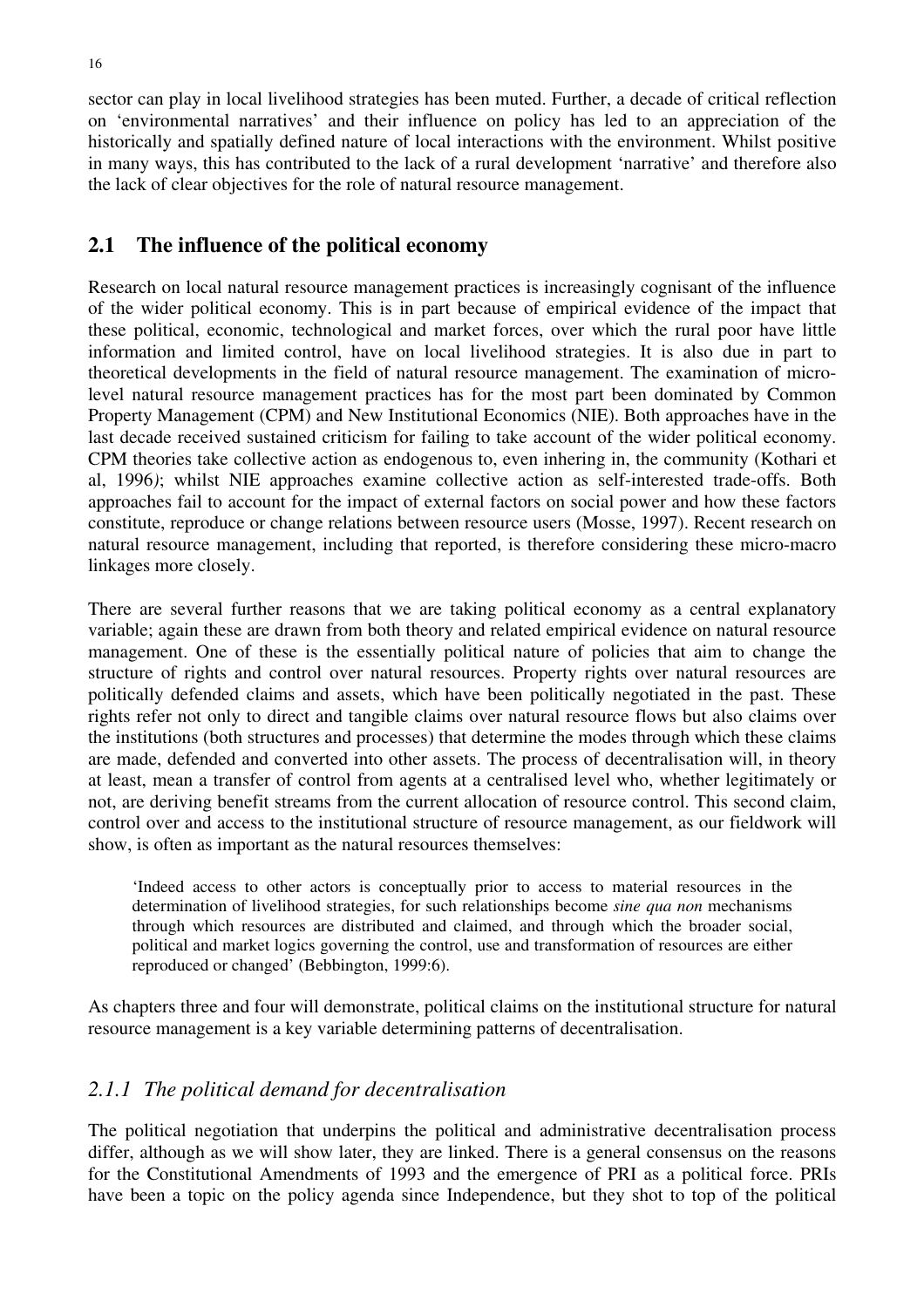sector can play in local livelihood strategies has been muted. Further, a decade of critical reflection on 'environmental narratives' and their influence on policy has led to an appreciation of the historically and spatially defined nature of local interactions with the environment. Whilst positive in many ways, this has contributed to the lack of a rural development 'narrative' and therefore also the lack of clear objectives for the role of natural resource management.

#### **2.1 The influence of the political economy**

Research on local natural resource management practices is increasingly cognisant of the influence of the wider political economy. This is in part because of empirical evidence of the impact that these political, economic, technological and market forces, over which the rural poor have little information and limited control, have on local livelihood strategies. It is also due in part to theoretical developments in the field of natural resource management. The examination of microlevel natural resource management practices has for the most part been dominated by Common Property Management (CPM) and New Institutional Economics (NIE). Both approaches have in the last decade received sustained criticism for failing to take account of the wider political economy. CPM theories take collective action as endogenous to, even inhering in, the community (Kothari et al, 1996*)*; whilst NIE approaches examine collective action as self-interested trade-offs. Both approaches fail to account for the impact of external factors on social power and how these factors constitute, reproduce or change relations between resource users (Mosse, 1997). Recent research on natural resource management, including that reported, is therefore considering these micro-macro linkages more closely.

There are several further reasons that we are taking political economy as a central explanatory variable; again these are drawn from both theory and related empirical evidence on natural resource management. One of these is the essentially political nature of policies that aim to change the structure of rights and control over natural resources. Property rights over natural resources are politically defended claims and assets, which have been politically negotiated in the past. These rights refer not only to direct and tangible claims over natural resource flows but also claims over the institutions (both structures and processes) that determine the modes through which these claims are made, defended and converted into other assets. The process of decentralisation will, in theory at least, mean a transfer of control from agents at a centralised level who, whether legitimately or not, are deriving benefit streams from the current allocation of resource control. This second claim, control over and access to the institutional structure of resource management, as our fieldwork will show, is often as important as the natural resources themselves:

'Indeed access to other actors is conceptually prior to access to material resources in the determination of livelihood strategies, for such relationships become *sine qua non* mechanisms through which resources are distributed and claimed, and through which the broader social, political and market logics governing the control, use and transformation of resources are either reproduced or changed' (Bebbington, 1999:6).

As chapters three and four will demonstrate, political claims on the institutional structure for natural resource management is a key variable determining patterns of decentralisation.

#### *2.1.1 The political demand for decentralisation*

The political negotiation that underpins the political and administrative decentralisation process differ, although as we will show later, they are linked. There is a general consensus on the reasons for the Constitutional Amendments of 1993 and the emergence of PRI as a political force. PRIs have been a topic on the policy agenda since Independence, but they shot to top of the political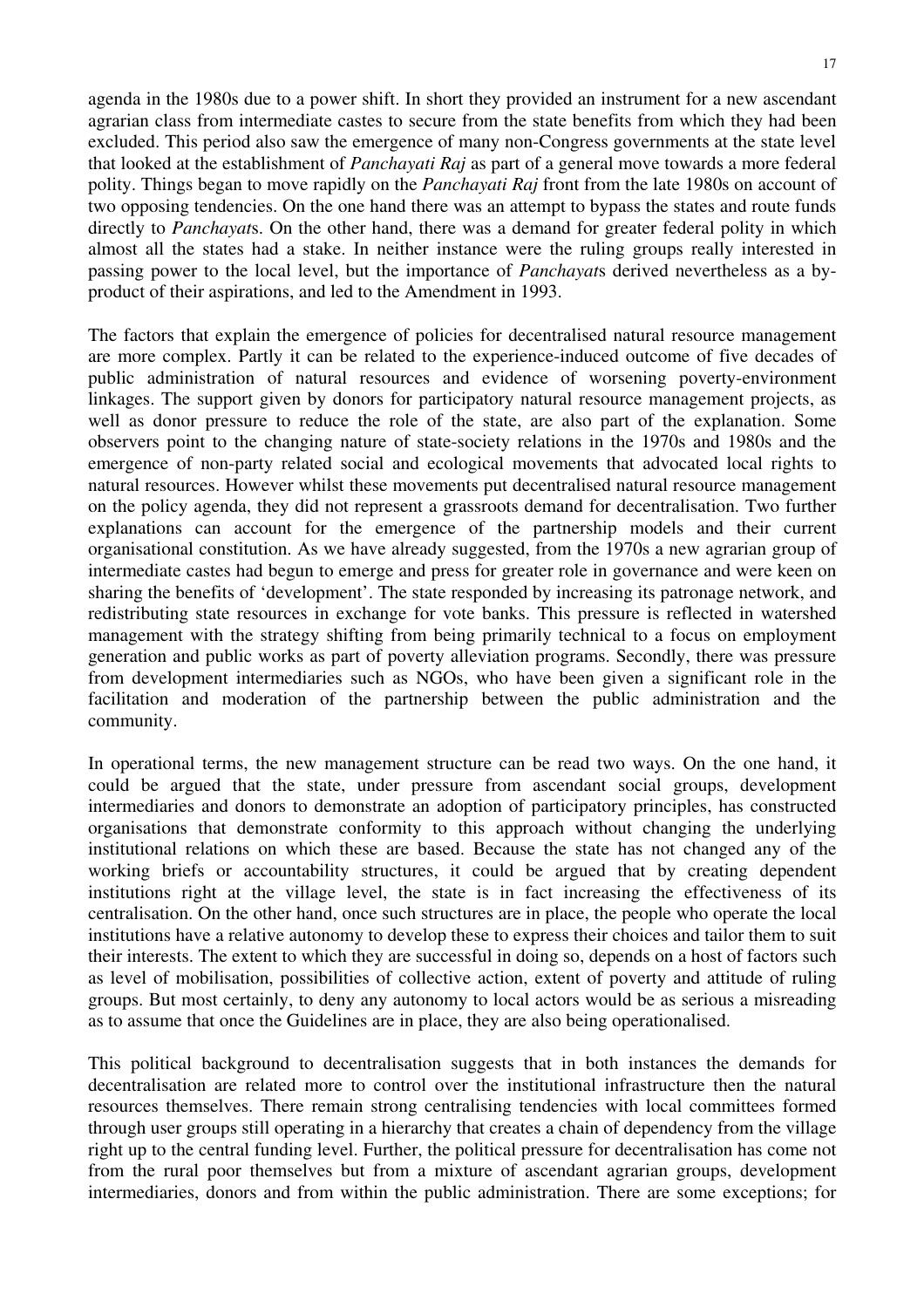agenda in the 1980s due to a power shift. In short they provided an instrument for a new ascendant agrarian class from intermediate castes to secure from the state benefits from which they had been excluded. This period also saw the emergence of many non-Congress governments at the state level that looked at the establishment of *Panchayati Raj* as part of a general move towards a more federal polity. Things began to move rapidly on the *Panchayati Raj* front from the late 1980s on account of two opposing tendencies. On the one hand there was an attempt to bypass the states and route funds directly to *Panchayat*s. On the other hand, there was a demand for greater federal polity in which almost all the states had a stake. In neither instance were the ruling groups really interested in passing power to the local level, but the importance of *Panchayat*s derived nevertheless as a byproduct of their aspirations, and led to the Amendment in 1993.

The factors that explain the emergence of policies for decentralised natural resource management are more complex. Partly it can be related to the experience-induced outcome of five decades of public administration of natural resources and evidence of worsening poverty-environment linkages. The support given by donors for participatory natural resource management projects, as well as donor pressure to reduce the role of the state, are also part of the explanation. Some observers point to the changing nature of state-society relations in the 1970s and 1980s and the emergence of non-party related social and ecological movements that advocated local rights to natural resources. However whilst these movements put decentralised natural resource management on the policy agenda, they did not represent a grassroots demand for decentralisation. Two further explanations can account for the emergence of the partnership models and their current organisational constitution. As we have already suggested, from the 1970s a new agrarian group of intermediate castes had begun to emerge and press for greater role in governance and were keen on sharing the benefits of 'development'. The state responded by increasing its patronage network, and redistributing state resources in exchange for vote banks. This pressure is reflected in watershed management with the strategy shifting from being primarily technical to a focus on employment generation and public works as part of poverty alleviation programs. Secondly, there was pressure from development intermediaries such as NGOs, who have been given a significant role in the facilitation and moderation of the partnership between the public administration and the community.

In operational terms, the new management structure can be read two ways. On the one hand, it could be argued that the state, under pressure from ascendant social groups, development intermediaries and donors to demonstrate an adoption of participatory principles, has constructed organisations that demonstrate conformity to this approach without changing the underlying institutional relations on which these are based. Because the state has not changed any of the working briefs or accountability structures, it could be argued that by creating dependent institutions right at the village level, the state is in fact increasing the effectiveness of its centralisation. On the other hand, once such structures are in place, the people who operate the local institutions have a relative autonomy to develop these to express their choices and tailor them to suit their interests. The extent to which they are successful in doing so, depends on a host of factors such as level of mobilisation, possibilities of collective action, extent of poverty and attitude of ruling groups. But most certainly, to deny any autonomy to local actors would be as serious a misreading as to assume that once the Guidelines are in place, they are also being operationalised.

This political background to decentralisation suggests that in both instances the demands for decentralisation are related more to control over the institutional infrastructure then the natural resources themselves. There remain strong centralising tendencies with local committees formed through user groups still operating in a hierarchy that creates a chain of dependency from the village right up to the central funding level. Further, the political pressure for decentralisation has come not from the rural poor themselves but from a mixture of ascendant agrarian groups, development intermediaries, donors and from within the public administration. There are some exceptions; for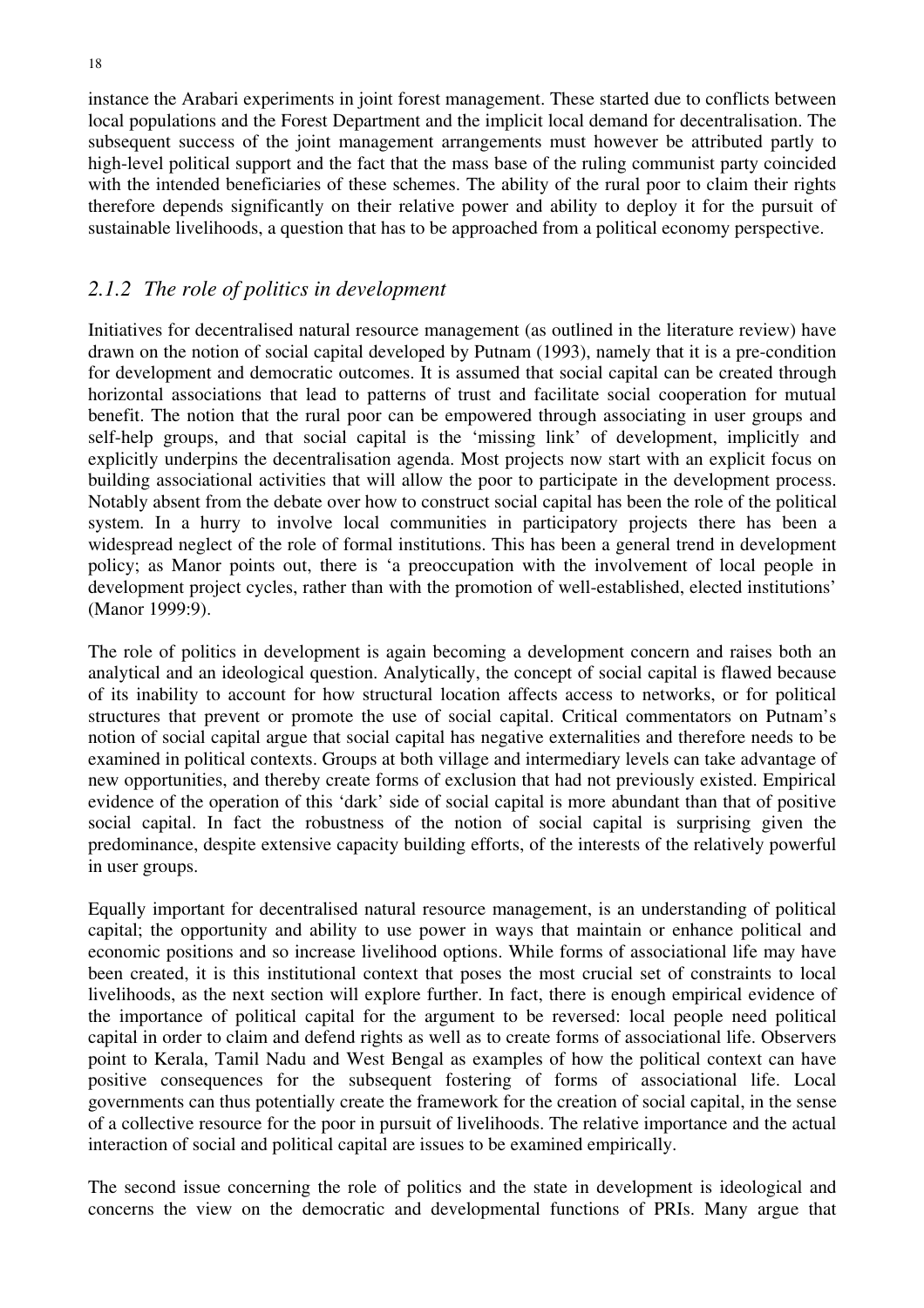instance the Arabari experiments in joint forest management. These started due to conflicts between local populations and the Forest Department and the implicit local demand for decentralisation. The subsequent success of the joint management arrangements must however be attributed partly to high-level political support and the fact that the mass base of the ruling communist party coincided with the intended beneficiaries of these schemes. The ability of the rural poor to claim their rights therefore depends significantly on their relative power and ability to deploy it for the pursuit of sustainable livelihoods, a question that has to be approached from a political economy perspective.

### *2.1.2 The role of politics in development*

Initiatives for decentralised natural resource management (as outlined in the literature review) have drawn on the notion of social capital developed by Putnam (1993), namely that it is a pre-condition for development and democratic outcomes. It is assumed that social capital can be created through horizontal associations that lead to patterns of trust and facilitate social cooperation for mutual benefit. The notion that the rural poor can be empowered through associating in user groups and self-help groups, and that social capital is the 'missing link' of development, implicitly and explicitly underpins the decentralisation agenda. Most projects now start with an explicit focus on building associational activities that will allow the poor to participate in the development process. Notably absent from the debate over how to construct social capital has been the role of the political system. In a hurry to involve local communities in participatory projects there has been a widespread neglect of the role of formal institutions. This has been a general trend in development policy; as Manor points out, there is 'a preoccupation with the involvement of local people in development project cycles, rather than with the promotion of well-established, elected institutions' (Manor 1999:9).

The role of politics in development is again becoming a development concern and raises both an analytical and an ideological question. Analytically, the concept of social capital is flawed because of its inability to account for how structural location affects access to networks, or for political structures that prevent or promote the use of social capital. Critical commentators on Putnam's notion of social capital argue that social capital has negative externalities and therefore needs to be examined in political contexts. Groups at both village and intermediary levels can take advantage of new opportunities, and thereby create forms of exclusion that had not previously existed. Empirical evidence of the operation of this 'dark' side of social capital is more abundant than that of positive social capital. In fact the robustness of the notion of social capital is surprising given the predominance, despite extensive capacity building efforts, of the interests of the relatively powerful in user groups.

Equally important for decentralised natural resource management, is an understanding of political capital; the opportunity and ability to use power in ways that maintain or enhance political and economic positions and so increase livelihood options. While forms of associational life may have been created, it is this institutional context that poses the most crucial set of constraints to local livelihoods, as the next section will explore further. In fact, there is enough empirical evidence of the importance of political capital for the argument to be reversed: local people need political capital in order to claim and defend rights as well as to create forms of associational life. Observers point to Kerala, Tamil Nadu and West Bengal as examples of how the political context can have positive consequences for the subsequent fostering of forms of associational life. Local governments can thus potentially create the framework for the creation of social capital, in the sense of a collective resource for the poor in pursuit of livelihoods. The relative importance and the actual interaction of social and political capital are issues to be examined empirically.

The second issue concerning the role of politics and the state in development is ideological and concerns the view on the democratic and developmental functions of PRIs. Many argue that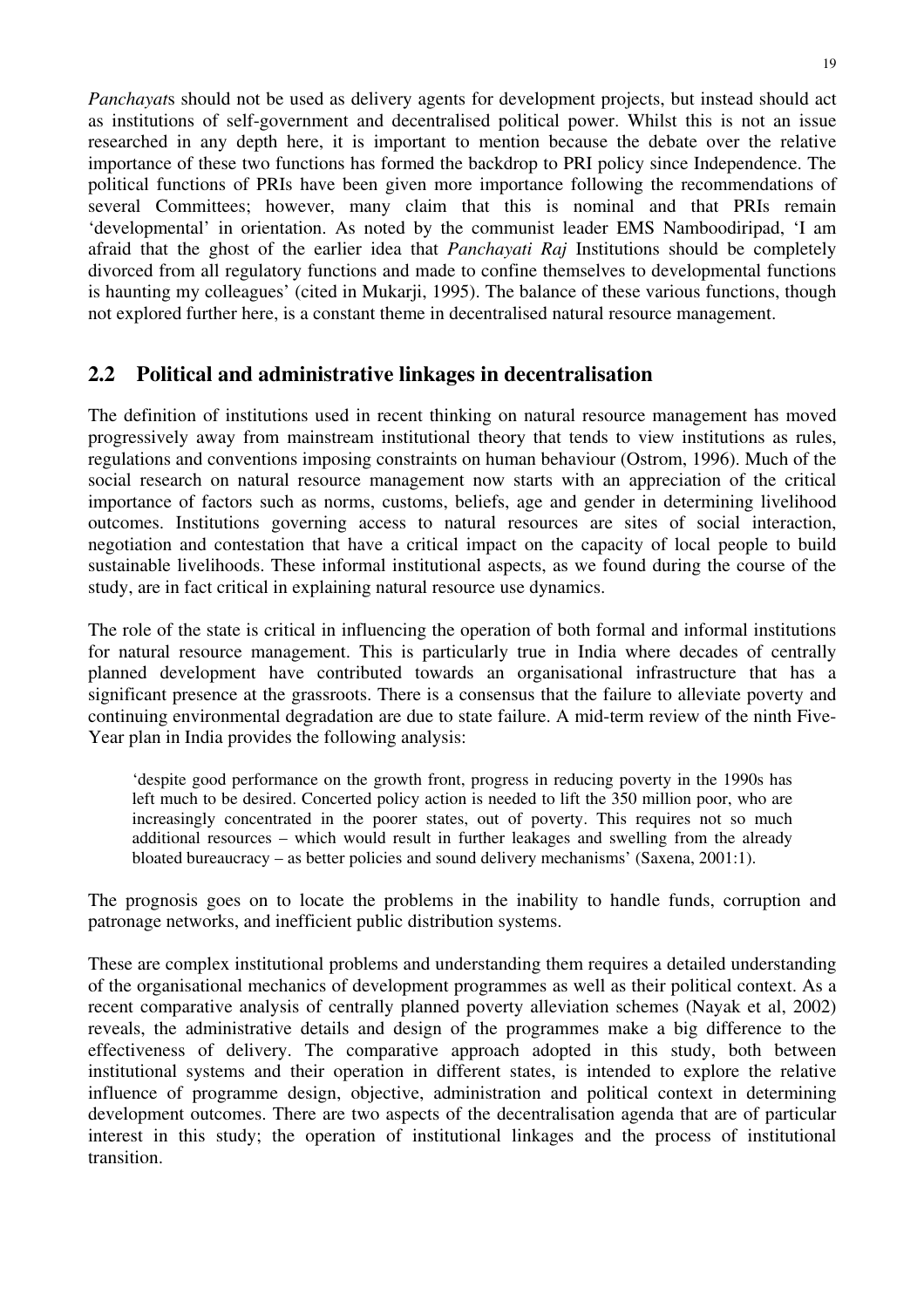*Panchayat*s should not be used as delivery agents for development projects, but instead should act as institutions of self-government and decentralised political power. Whilst this is not an issue researched in any depth here, it is important to mention because the debate over the relative importance of these two functions has formed the backdrop to PRI policy since Independence. The political functions of PRIs have been given more importance following the recommendations of several Committees; however, many claim that this is nominal and that PRIs remain 'developmental' in orientation. As noted by the communist leader EMS Namboodiripad, 'I am afraid that the ghost of the earlier idea that *Panchayati Raj* Institutions should be completely divorced from all regulatory functions and made to confine themselves to developmental functions is haunting my colleagues' (cited in Mukarji, 1995). The balance of these various functions, though not explored further here, is a constant theme in decentralised natural resource management.

# **2.2 Political and administrative linkages in decentralisation**

The definition of institutions used in recent thinking on natural resource management has moved progressively away from mainstream institutional theory that tends to view institutions as rules, regulations and conventions imposing constraints on human behaviour (Ostrom, 1996). Much of the social research on natural resource management now starts with an appreciation of the critical importance of factors such as norms, customs, beliefs, age and gender in determining livelihood outcomes. Institutions governing access to natural resources are sites of social interaction, negotiation and contestation that have a critical impact on the capacity of local people to build sustainable livelihoods. These informal institutional aspects, as we found during the course of the study, are in fact critical in explaining natural resource use dynamics.

The role of the state is critical in influencing the operation of both formal and informal institutions for natural resource management. This is particularly true in India where decades of centrally planned development have contributed towards an organisational infrastructure that has a significant presence at the grassroots. There is a consensus that the failure to alleviate poverty and continuing environmental degradation are due to state failure. A mid-term review of the ninth Five-Year plan in India provides the following analysis:

'despite good performance on the growth front, progress in reducing poverty in the 1990s has left much to be desired. Concerted policy action is needed to lift the 350 million poor, who are increasingly concentrated in the poorer states, out of poverty. This requires not so much additional resources – which would result in further leakages and swelling from the already bloated bureaucracy – as better policies and sound delivery mechanisms' (Saxena, 2001:1).

The prognosis goes on to locate the problems in the inability to handle funds, corruption and patronage networks, and inefficient public distribution systems.

These are complex institutional problems and understanding them requires a detailed understanding of the organisational mechanics of development programmes as well as their political context. As a recent comparative analysis of centrally planned poverty alleviation schemes (Nayak et al, 2002) reveals, the administrative details and design of the programmes make a big difference to the effectiveness of delivery. The comparative approach adopted in this study, both between institutional systems and their operation in different states, is intended to explore the relative influence of programme design, objective, administration and political context in determining development outcomes. There are two aspects of the decentralisation agenda that are of particular interest in this study; the operation of institutional linkages and the process of institutional transition.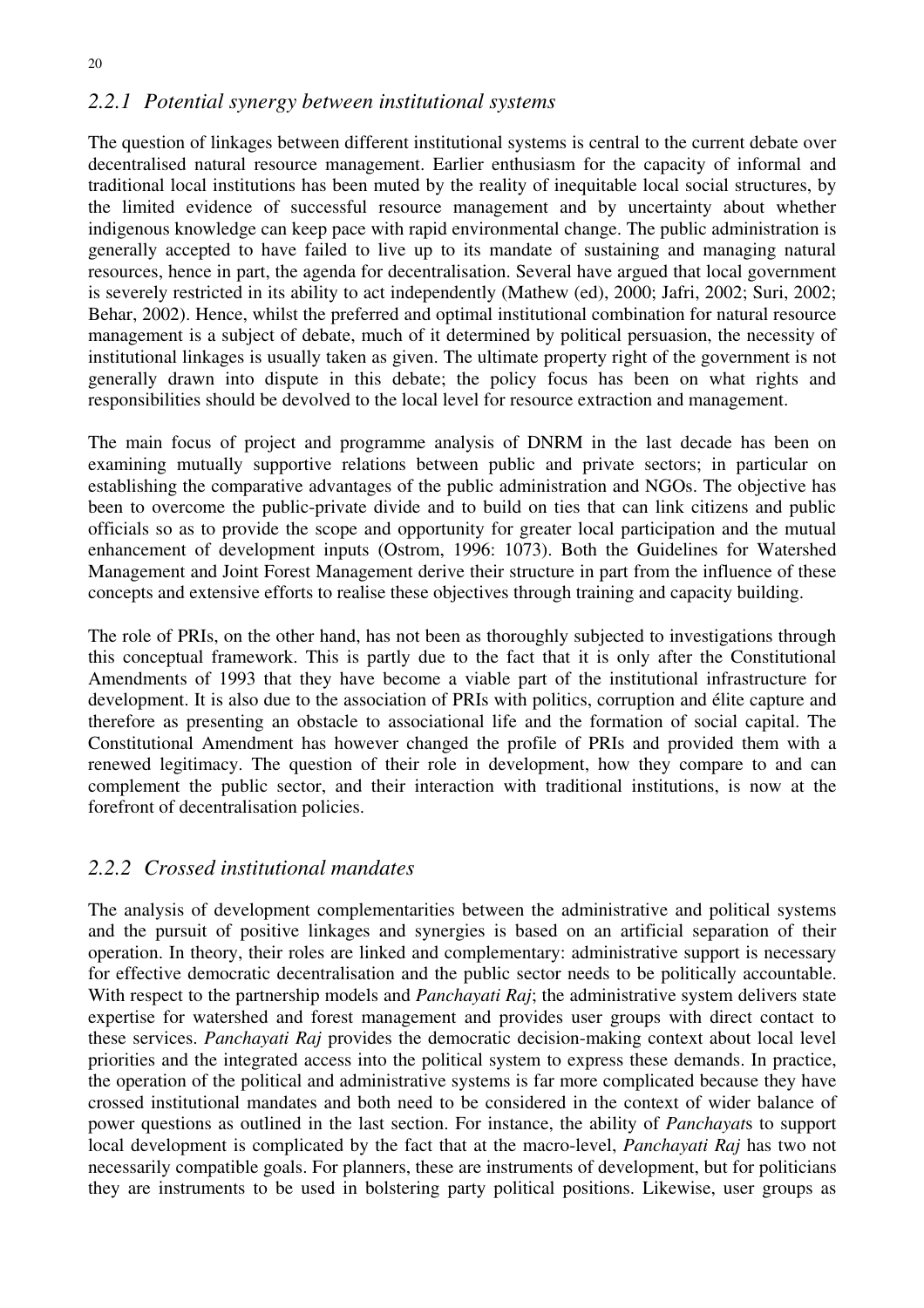# *2.2.1 Potential synergy between institutional systems*

The question of linkages between different institutional systems is central to the current debate over decentralised natural resource management. Earlier enthusiasm for the capacity of informal and traditional local institutions has been muted by the reality of inequitable local social structures, by the limited evidence of successful resource management and by uncertainty about whether indigenous knowledge can keep pace with rapid environmental change. The public administration is generally accepted to have failed to live up to its mandate of sustaining and managing natural resources, hence in part, the agenda for decentralisation. Several have argued that local government is severely restricted in its ability to act independently (Mathew (ed), 2000; Jafri, 2002; Suri, 2002; Behar, 2002). Hence, whilst the preferred and optimal institutional combination for natural resource management is a subject of debate, much of it determined by political persuasion, the necessity of institutional linkages is usually taken as given. The ultimate property right of the government is not generally drawn into dispute in this debate; the policy focus has been on what rights and responsibilities should be devolved to the local level for resource extraction and management.

The main focus of project and programme analysis of DNRM in the last decade has been on examining mutually supportive relations between public and private sectors; in particular on establishing the comparative advantages of the public administration and NGOs. The objective has been to overcome the public-private divide and to build on ties that can link citizens and public officials so as to provide the scope and opportunity for greater local participation and the mutual enhancement of development inputs (Ostrom, 1996: 1073). Both the Guidelines for Watershed Management and Joint Forest Management derive their structure in part from the influence of these concepts and extensive efforts to realise these objectives through training and capacity building.

The role of PRIs, on the other hand, has not been as thoroughly subjected to investigations through this conceptual framework. This is partly due to the fact that it is only after the Constitutional Amendments of 1993 that they have become a viable part of the institutional infrastructure for development. It is also due to the association of PRIs with politics, corruption and élite capture and therefore as presenting an obstacle to associational life and the formation of social capital. The Constitutional Amendment has however changed the profile of PRIs and provided them with a renewed legitimacy. The question of their role in development, how they compare to and can complement the public sector, and their interaction with traditional institutions, is now at the forefront of decentralisation policies.

# *2.2.2 Crossed institutional mandates*

The analysis of development complementarities between the administrative and political systems and the pursuit of positive linkages and synergies is based on an artificial separation of their operation. In theory, their roles are linked and complementary: administrative support is necessary for effective democratic decentralisation and the public sector needs to be politically accountable. With respect to the partnership models and *Panchayati Raj*; the administrative system delivers state expertise for watershed and forest management and provides user groups with direct contact to these services. *Panchayati Raj* provides the democratic decision-making context about local level priorities and the integrated access into the political system to express these demands. In practice, the operation of the political and administrative systems is far more complicated because they have crossed institutional mandates and both need to be considered in the context of wider balance of power questions as outlined in the last section. For instance, the ability of *Panchayat*s to support local development is complicated by the fact that at the macro-level, *Panchayati Raj* has two not necessarily compatible goals. For planners, these are instruments of development, but for politicians they are instruments to be used in bolstering party political positions. Likewise, user groups as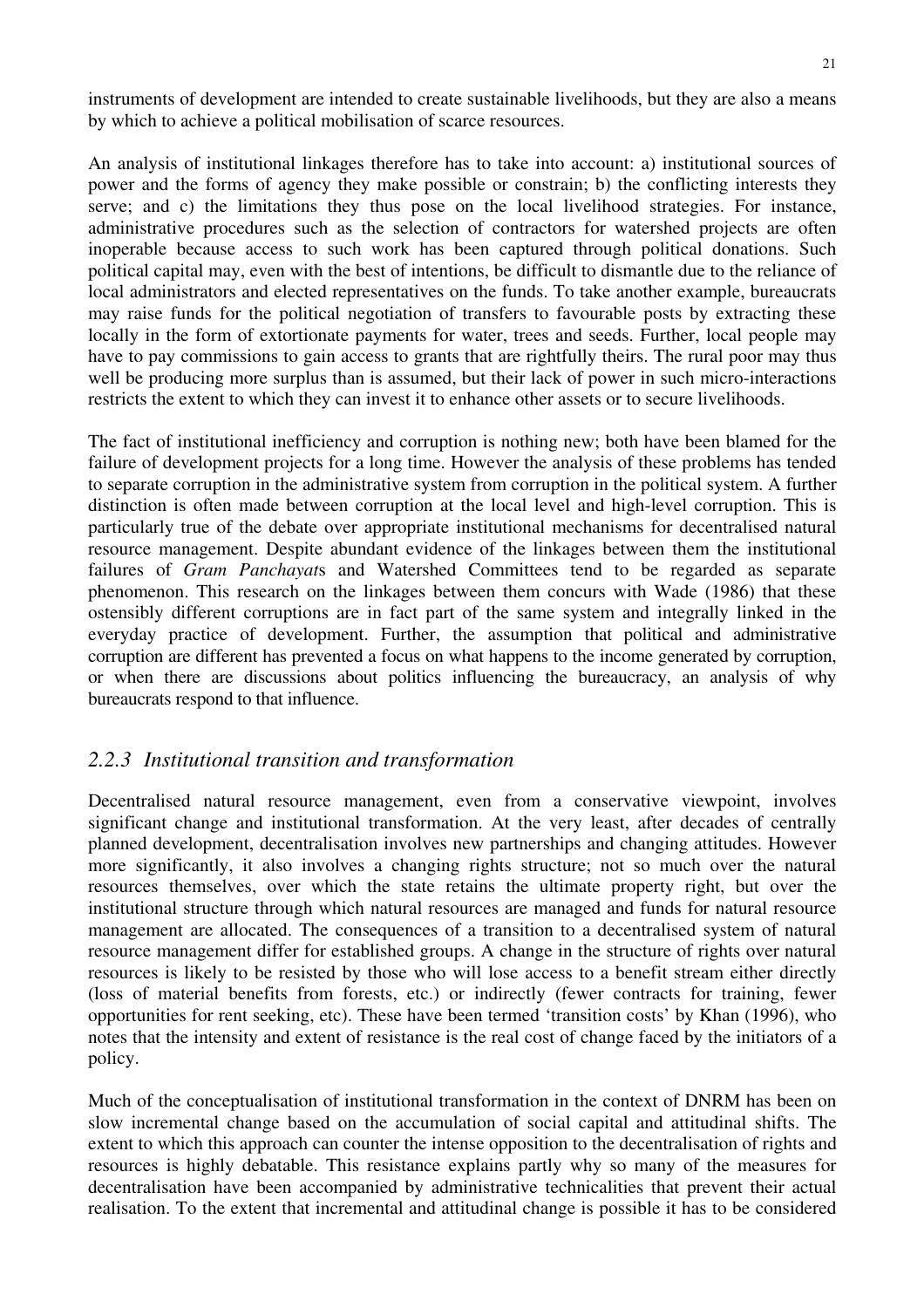instruments of development are intended to create sustainable livelihoods, but they are also a means by which to achieve a political mobilisation of scarce resources.

An analysis of institutional linkages therefore has to take into account: a) institutional sources of power and the forms of agency they make possible or constrain; b) the conflicting interests they serve; and c) the limitations they thus pose on the local livelihood strategies. For instance, administrative procedures such as the selection of contractors for watershed projects are often inoperable because access to such work has been captured through political donations. Such political capital may, even with the best of intentions, be difficult to dismantle due to the reliance of local administrators and elected representatives on the funds. To take another example, bureaucrats may raise funds for the political negotiation of transfers to favourable posts by extracting these locally in the form of extortionate payments for water, trees and seeds. Further, local people may have to pay commissions to gain access to grants that are rightfully theirs. The rural poor may thus well be producing more surplus than is assumed, but their lack of power in such micro-interactions restricts the extent to which they can invest it to enhance other assets or to secure livelihoods.

The fact of institutional inefficiency and corruption is nothing new; both have been blamed for the failure of development projects for a long time. However the analysis of these problems has tended to separate corruption in the administrative system from corruption in the political system. A further distinction is often made between corruption at the local level and high-level corruption. This is particularly true of the debate over appropriate institutional mechanisms for decentralised natural resource management. Despite abundant evidence of the linkages between them the institutional failures of *Gram Panchayat*s and Watershed Committees tend to be regarded as separate phenomenon. This research on the linkages between them concurs with Wade (1986) that these ostensibly different corruptions are in fact part of the same system and integrally linked in the everyday practice of development. Further, the assumption that political and administrative corruption are different has prevented a focus on what happens to the income generated by corruption, or when there are discussions about politics influencing the bureaucracy, an analysis of why bureaucrats respond to that influence.

# *2.2.3 Institutional transition and transformation*

Decentralised natural resource management, even from a conservative viewpoint, involves significant change and institutional transformation. At the very least, after decades of centrally planned development, decentralisation involves new partnerships and changing attitudes. However more significantly, it also involves a changing rights structure; not so much over the natural resources themselves, over which the state retains the ultimate property right, but over the institutional structure through which natural resources are managed and funds for natural resource management are allocated. The consequences of a transition to a decentralised system of natural resource management differ for established groups. A change in the structure of rights over natural resources is likely to be resisted by those who will lose access to a benefit stream either directly (loss of material benefits from forests, etc.) or indirectly (fewer contracts for training, fewer opportunities for rent seeking, etc). These have been termed 'transition costs' by Khan (1996), who notes that the intensity and extent of resistance is the real cost of change faced by the initiators of a policy.

Much of the conceptualisation of institutional transformation in the context of DNRM has been on slow incremental change based on the accumulation of social capital and attitudinal shifts. The extent to which this approach can counter the intense opposition to the decentralisation of rights and resources is highly debatable. This resistance explains partly why so many of the measures for decentralisation have been accompanied by administrative technicalities that prevent their actual realisation. To the extent that incremental and attitudinal change is possible it has to be considered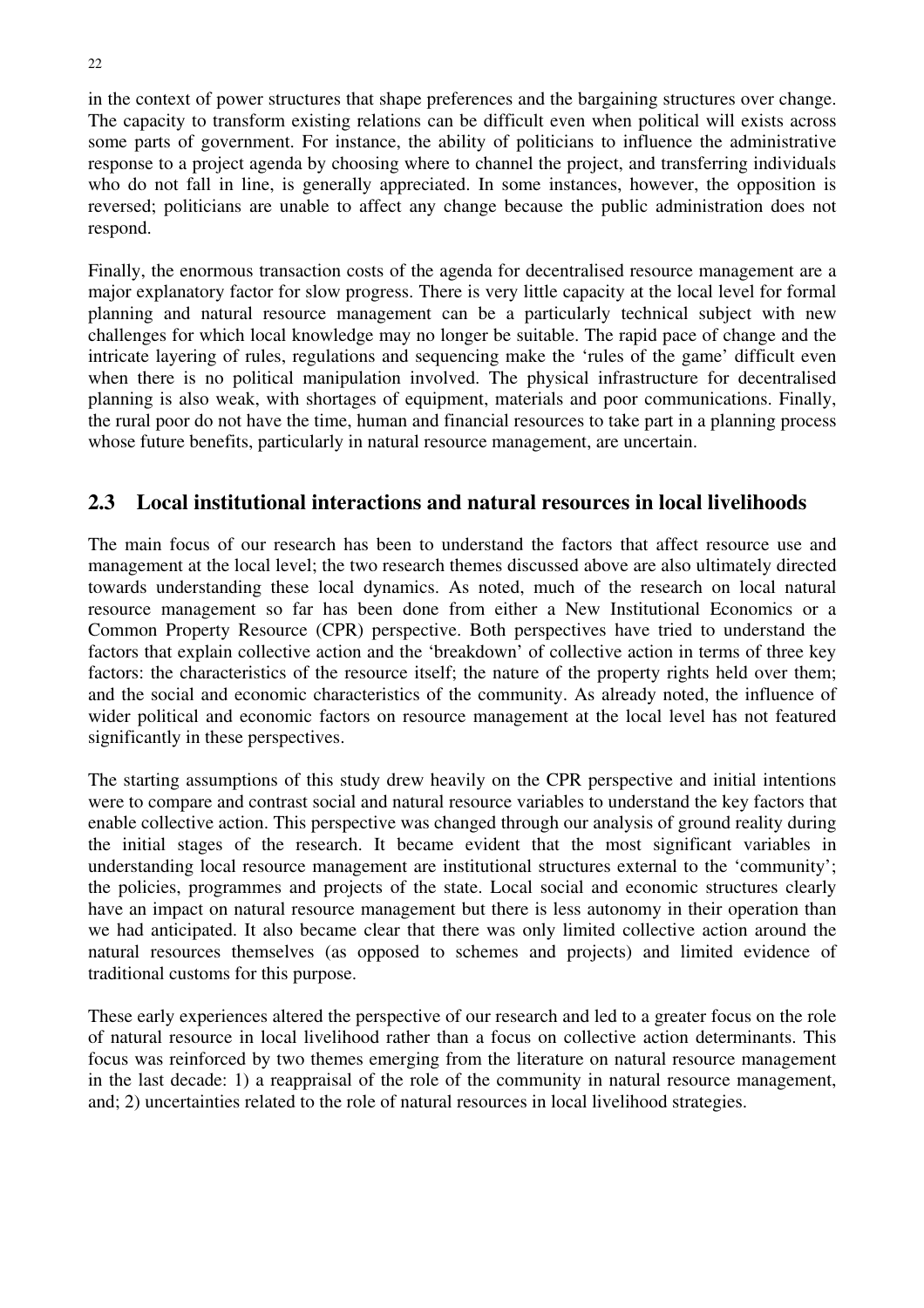in the context of power structures that shape preferences and the bargaining structures over change. The capacity to transform existing relations can be difficult even when political will exists across some parts of government. For instance, the ability of politicians to influence the administrative response to a project agenda by choosing where to channel the project, and transferring individuals who do not fall in line, is generally appreciated. In some instances, however, the opposition is reversed; politicians are unable to affect any change because the public administration does not respond.

Finally, the enormous transaction costs of the agenda for decentralised resource management are a major explanatory factor for slow progress. There is very little capacity at the local level for formal planning and natural resource management can be a particularly technical subject with new challenges for which local knowledge may no longer be suitable. The rapid pace of change and the intricate layering of rules, regulations and sequencing make the 'rules of the game' difficult even when there is no political manipulation involved. The physical infrastructure for decentralised planning is also weak, with shortages of equipment, materials and poor communications. Finally, the rural poor do not have the time, human and financial resources to take part in a planning process whose future benefits, particularly in natural resource management, are uncertain.

# **2.3 Local institutional interactions and natural resources in local livelihoods**

The main focus of our research has been to understand the factors that affect resource use and management at the local level; the two research themes discussed above are also ultimately directed towards understanding these local dynamics. As noted, much of the research on local natural resource management so far has been done from either a New Institutional Economics or a Common Property Resource (CPR) perspective. Both perspectives have tried to understand the factors that explain collective action and the 'breakdown' of collective action in terms of three key factors: the characteristics of the resource itself; the nature of the property rights held over them; and the social and economic characteristics of the community. As already noted, the influence of wider political and economic factors on resource management at the local level has not featured significantly in these perspectives.

The starting assumptions of this study drew heavily on the CPR perspective and initial intentions were to compare and contrast social and natural resource variables to understand the key factors that enable collective action. This perspective was changed through our analysis of ground reality during the initial stages of the research. It became evident that the most significant variables in understanding local resource management are institutional structures external to the 'community'; the policies, programmes and projects of the state. Local social and economic structures clearly have an impact on natural resource management but there is less autonomy in their operation than we had anticipated. It also became clear that there was only limited collective action around the natural resources themselves (as opposed to schemes and projects) and limited evidence of traditional customs for this purpose.

These early experiences altered the perspective of our research and led to a greater focus on the role of natural resource in local livelihood rather than a focus on collective action determinants. This focus was reinforced by two themes emerging from the literature on natural resource management in the last decade: 1) a reappraisal of the role of the community in natural resource management, and; 2) uncertainties related to the role of natural resources in local livelihood strategies.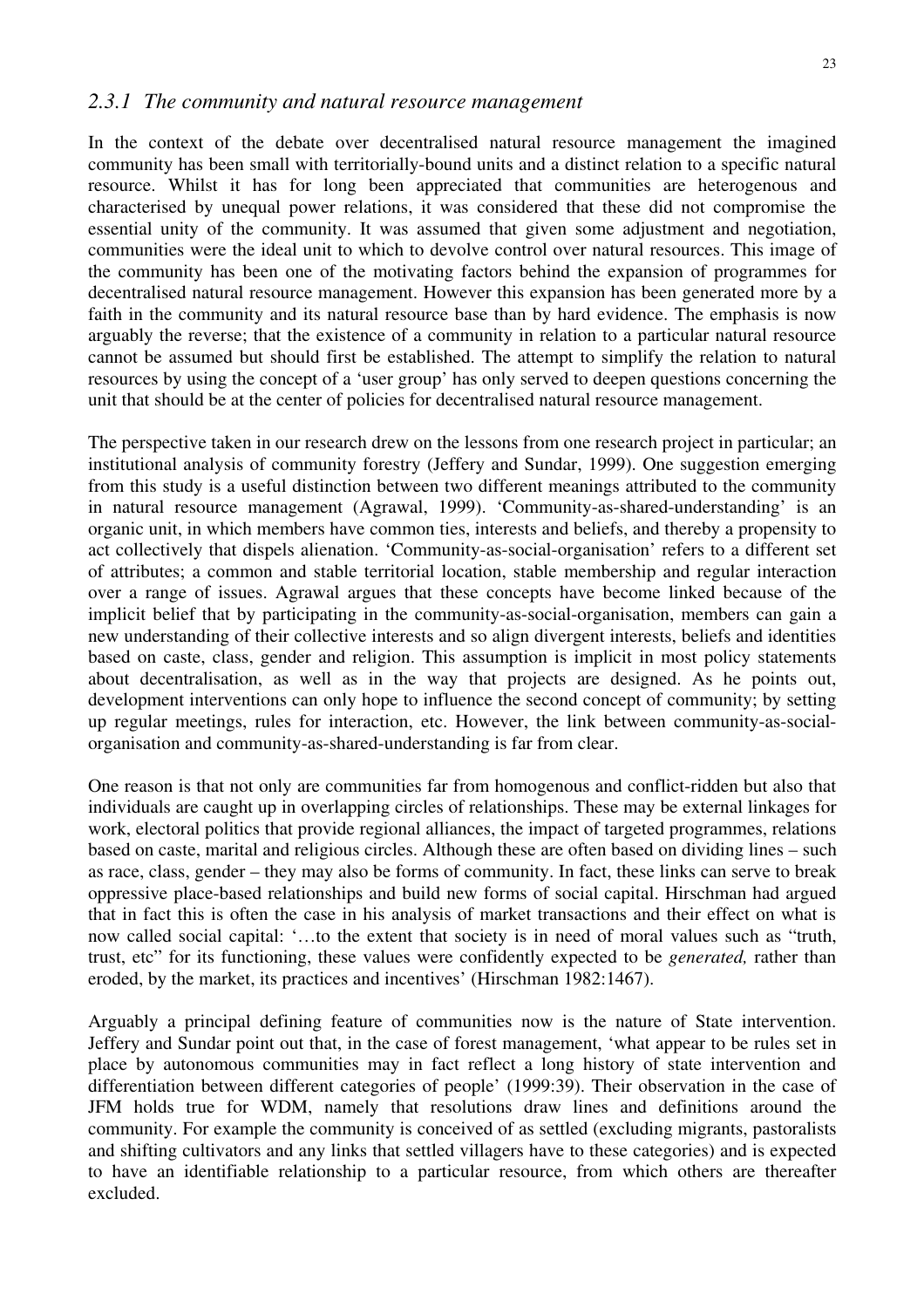#### *2.3.1 The community and natural resource management*

In the context of the debate over decentralised natural resource management the imagined community has been small with territorially-bound units and a distinct relation to a specific natural resource. Whilst it has for long been appreciated that communities are heterogenous and characterised by unequal power relations, it was considered that these did not compromise the essential unity of the community. It was assumed that given some adjustment and negotiation, communities were the ideal unit to which to devolve control over natural resources. This image of the community has been one of the motivating factors behind the expansion of programmes for decentralised natural resource management. However this expansion has been generated more by a faith in the community and its natural resource base than by hard evidence. The emphasis is now arguably the reverse; that the existence of a community in relation to a particular natural resource cannot be assumed but should first be established. The attempt to simplify the relation to natural resources by using the concept of a 'user group' has only served to deepen questions concerning the unit that should be at the center of policies for decentralised natural resource management.

The perspective taken in our research drew on the lessons from one research project in particular; an institutional analysis of community forestry (Jeffery and Sundar, 1999). One suggestion emerging from this study is a useful distinction between two different meanings attributed to the community in natural resource management (Agrawal, 1999). 'Community-as-shared-understanding' is an organic unit, in which members have common ties, interests and beliefs, and thereby a propensity to act collectively that dispels alienation. 'Community-as-social-organisation' refers to a different set of attributes; a common and stable territorial location, stable membership and regular interaction over a range of issues. Agrawal argues that these concepts have become linked because of the implicit belief that by participating in the community-as-social-organisation, members can gain a new understanding of their collective interests and so align divergent interests, beliefs and identities based on caste, class, gender and religion. This assumption is implicit in most policy statements about decentralisation, as well as in the way that projects are designed. As he points out, development interventions can only hope to influence the second concept of community; by setting up regular meetings, rules for interaction, etc. However, the link between community-as-socialorganisation and community-as-shared-understanding is far from clear.

One reason is that not only are communities far from homogenous and conflict-ridden but also that individuals are caught up in overlapping circles of relationships. These may be external linkages for work, electoral politics that provide regional alliances, the impact of targeted programmes, relations based on caste, marital and religious circles. Although these are often based on dividing lines – such as race, class, gender – they may also be forms of community. In fact, these links can serve to break oppressive place-based relationships and build new forms of social capital. Hirschman had argued that in fact this is often the case in his analysis of market transactions and their effect on what is now called social capital: '…to the extent that society is in need of moral values such as "truth, trust, etc" for its functioning, these values were confidently expected to be *generated,* rather than eroded, by the market, its practices and incentives' (Hirschman 1982:1467).

Arguably a principal defining feature of communities now is the nature of State intervention. Jeffery and Sundar point out that, in the case of forest management, 'what appear to be rules set in place by autonomous communities may in fact reflect a long history of state intervention and differentiation between different categories of people' (1999:39). Their observation in the case of JFM holds true for WDM, namely that resolutions draw lines and definitions around the community. For example the community is conceived of as settled (excluding migrants, pastoralists and shifting cultivators and any links that settled villagers have to these categories) and is expected to have an identifiable relationship to a particular resource, from which others are thereafter excluded.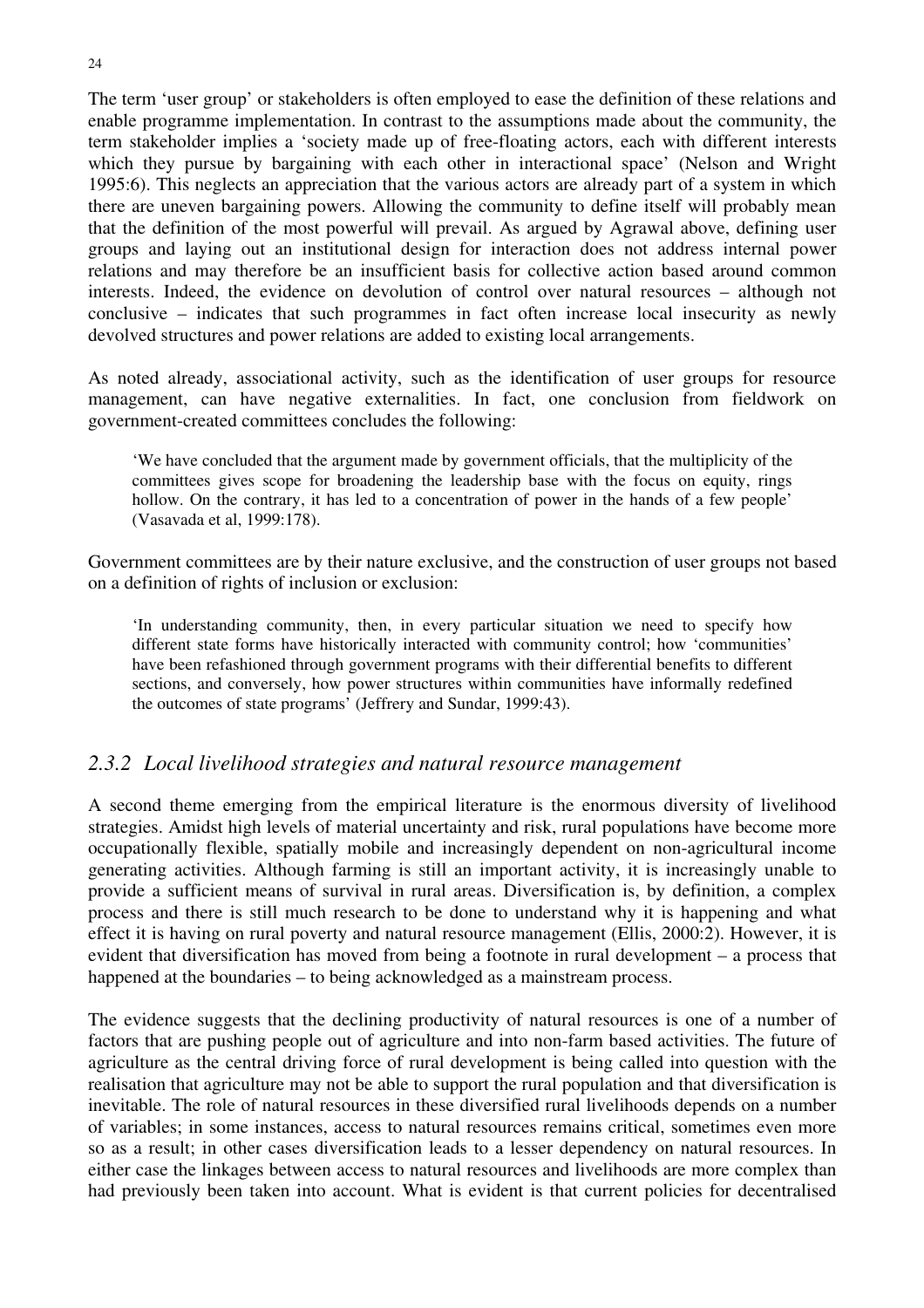The term 'user group' or stakeholders is often employed to ease the definition of these relations and enable programme implementation. In contrast to the assumptions made about the community, the term stakeholder implies a 'society made up of free-floating actors, each with different interests which they pursue by bargaining with each other in interactional space' (Nelson and Wright 1995:6). This neglects an appreciation that the various actors are already part of a system in which there are uneven bargaining powers. Allowing the community to define itself will probably mean that the definition of the most powerful will prevail. As argued by Agrawal above, defining user groups and laying out an institutional design for interaction does not address internal power relations and may therefore be an insufficient basis for collective action based around common interests. Indeed, the evidence on devolution of control over natural resources – although not conclusive – indicates that such programmes in fact often increase local insecurity as newly devolved structures and power relations are added to existing local arrangements.

As noted already, associational activity, such as the identification of user groups for resource management, can have negative externalities. In fact, one conclusion from fieldwork on government-created committees concludes the following:

'We have concluded that the argument made by government officials, that the multiplicity of the committees gives scope for broadening the leadership base with the focus on equity, rings hollow. On the contrary, it has led to a concentration of power in the hands of a few people' (Vasavada et al, 1999:178).

Government committees are by their nature exclusive, and the construction of user groups not based on a definition of rights of inclusion or exclusion:

'In understanding community, then, in every particular situation we need to specify how different state forms have historically interacted with community control; how 'communities' have been refashioned through government programs with their differential benefits to different sections, and conversely, how power structures within communities have informally redefined the outcomes of state programs' (Jeffrery and Sundar, 1999:43).

# *2.3.2 Local livelihood strategies and natural resource management*

A second theme emerging from the empirical literature is the enormous diversity of livelihood strategies. Amidst high levels of material uncertainty and risk, rural populations have become more occupationally flexible, spatially mobile and increasingly dependent on non-agricultural income generating activities. Although farming is still an important activity, it is increasingly unable to provide a sufficient means of survival in rural areas. Diversification is, by definition, a complex process and there is still much research to be done to understand why it is happening and what effect it is having on rural poverty and natural resource management (Ellis, 2000:2). However, it is evident that diversification has moved from being a footnote in rural development – a process that happened at the boundaries – to being acknowledged as a mainstream process.

The evidence suggests that the declining productivity of natural resources is one of a number of factors that are pushing people out of agriculture and into non-farm based activities. The future of agriculture as the central driving force of rural development is being called into question with the realisation that agriculture may not be able to support the rural population and that diversification is inevitable. The role of natural resources in these diversified rural livelihoods depends on a number of variables; in some instances, access to natural resources remains critical, sometimes even more so as a result; in other cases diversification leads to a lesser dependency on natural resources. In either case the linkages between access to natural resources and livelihoods are more complex than had previously been taken into account. What is evident is that current policies for decentralised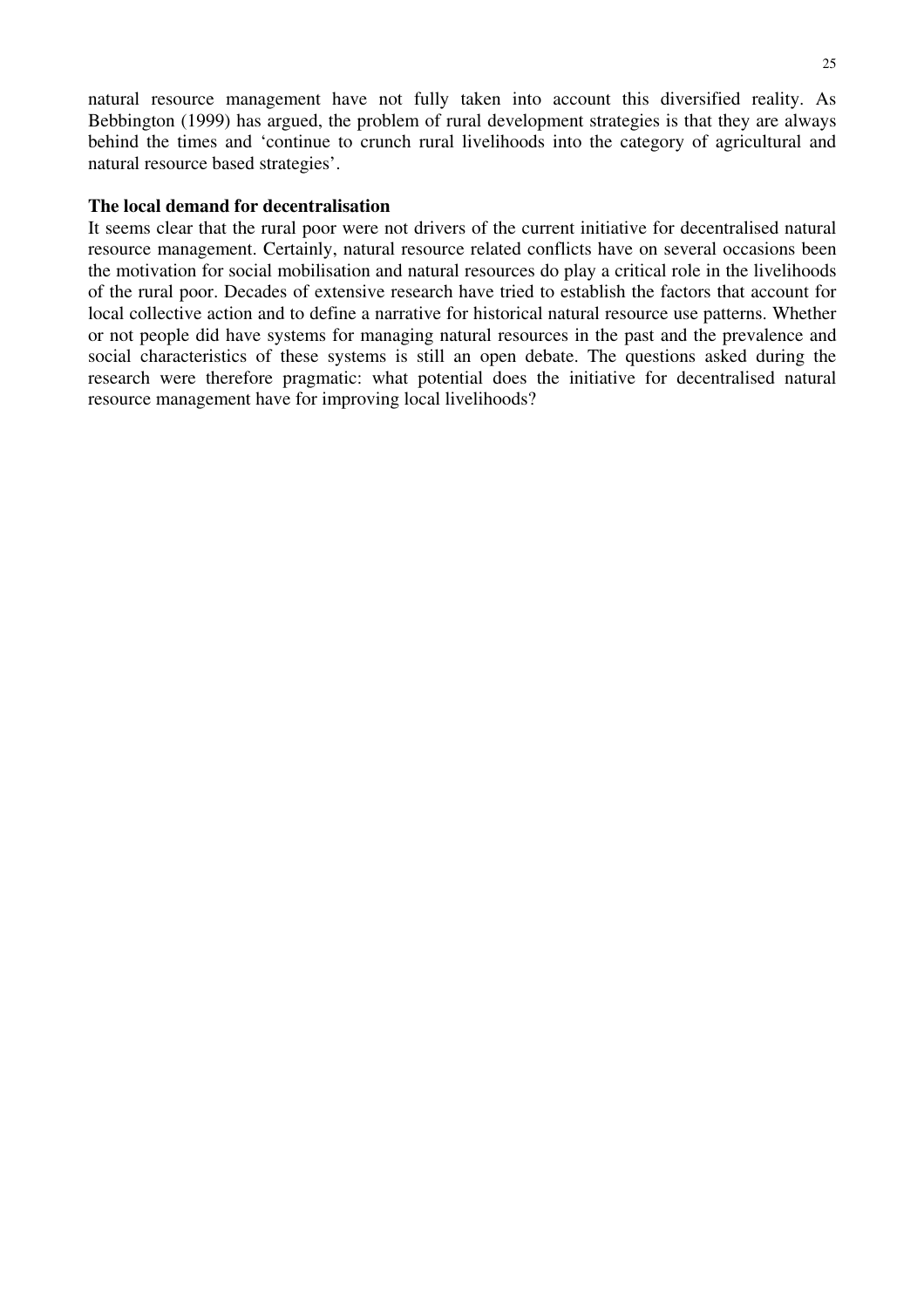natural resource management have not fully taken into account this diversified reality. As Bebbington (1999) has argued, the problem of rural development strategies is that they are always behind the times and 'continue to crunch rural livelihoods into the category of agricultural and natural resource based strategies'.

#### **The local demand for decentralisation**

It seems clear that the rural poor were not drivers of the current initiative for decentralised natural resource management. Certainly, natural resource related conflicts have on several occasions been the motivation for social mobilisation and natural resources do play a critical role in the livelihoods of the rural poor. Decades of extensive research have tried to establish the factors that account for local collective action and to define a narrative for historical natural resource use patterns. Whether or not people did have systems for managing natural resources in the past and the prevalence and social characteristics of these systems is still an open debate. The questions asked during the research were therefore pragmatic: what potential does the initiative for decentralised natural resource management have for improving local livelihoods?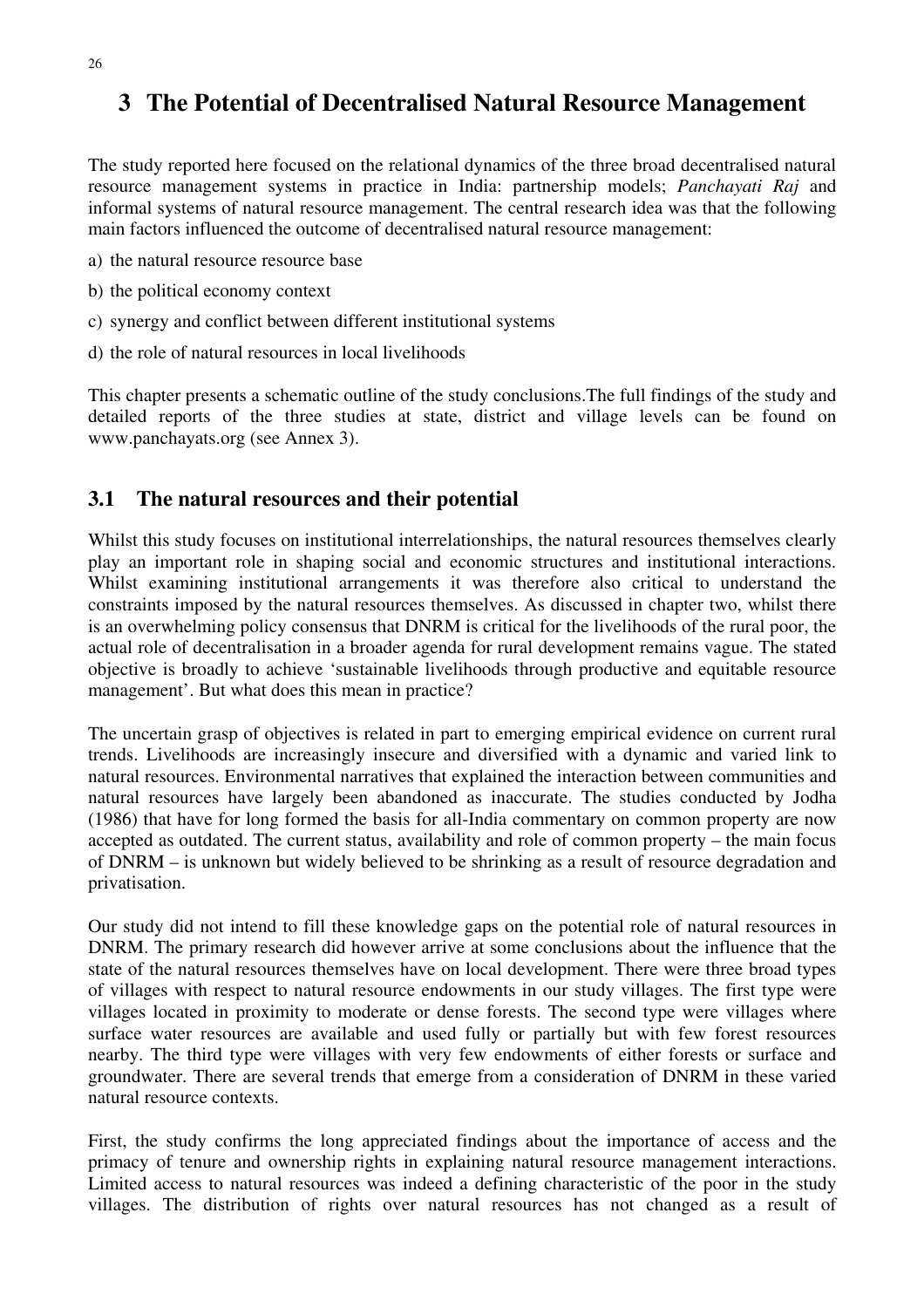# **3 The Potential of Decentralised Natural Resource Management**

The study reported here focused on the relational dynamics of the three broad decentralised natural resource management systems in practice in India: partnership models; *Panchayati Raj* and informal systems of natural resource management. The central research idea was that the following main factors influenced the outcome of decentralised natural resource management:

- a) the natural resource resource base
- b) the political economy context
- c) synergy and conflict between different institutional systems
- d) the role of natural resources in local livelihoods

This chapter presents a schematic outline of the study conclusions.The full findings of the study and detailed reports of the three studies at state, district and village levels can be found on www.panchayats.org (see Annex 3).

# **3.1 The natural resources and their potential**

Whilst this study focuses on institutional interrelationships, the natural resources themselves clearly play an important role in shaping social and economic structures and institutional interactions. Whilst examining institutional arrangements it was therefore also critical to understand the constraints imposed by the natural resources themselves. As discussed in chapter two, whilst there is an overwhelming policy consensus that DNRM is critical for the livelihoods of the rural poor, the actual role of decentralisation in a broader agenda for rural development remains vague. The stated objective is broadly to achieve 'sustainable livelihoods through productive and equitable resource management'. But what does this mean in practice?

The uncertain grasp of objectives is related in part to emerging empirical evidence on current rural trends. Livelihoods are increasingly insecure and diversified with a dynamic and varied link to natural resources. Environmental narratives that explained the interaction between communities and natural resources have largely been abandoned as inaccurate. The studies conducted by Jodha (1986) that have for long formed the basis for all-India commentary on common property are now accepted as outdated. The current status, availability and role of common property – the main focus of DNRM – is unknown but widely believed to be shrinking as a result of resource degradation and privatisation.

Our study did not intend to fill these knowledge gaps on the potential role of natural resources in DNRM. The primary research did however arrive at some conclusions about the influence that the state of the natural resources themselves have on local development. There were three broad types of villages with respect to natural resource endowments in our study villages. The first type were villages located in proximity to moderate or dense forests. The second type were villages where surface water resources are available and used fully or partially but with few forest resources nearby. The third type were villages with very few endowments of either forests or surface and groundwater. There are several trends that emerge from a consideration of DNRM in these varied natural resource contexts.

First, the study confirms the long appreciated findings about the importance of access and the primacy of tenure and ownership rights in explaining natural resource management interactions. Limited access to natural resources was indeed a defining characteristic of the poor in the study villages. The distribution of rights over natural resources has not changed as a result of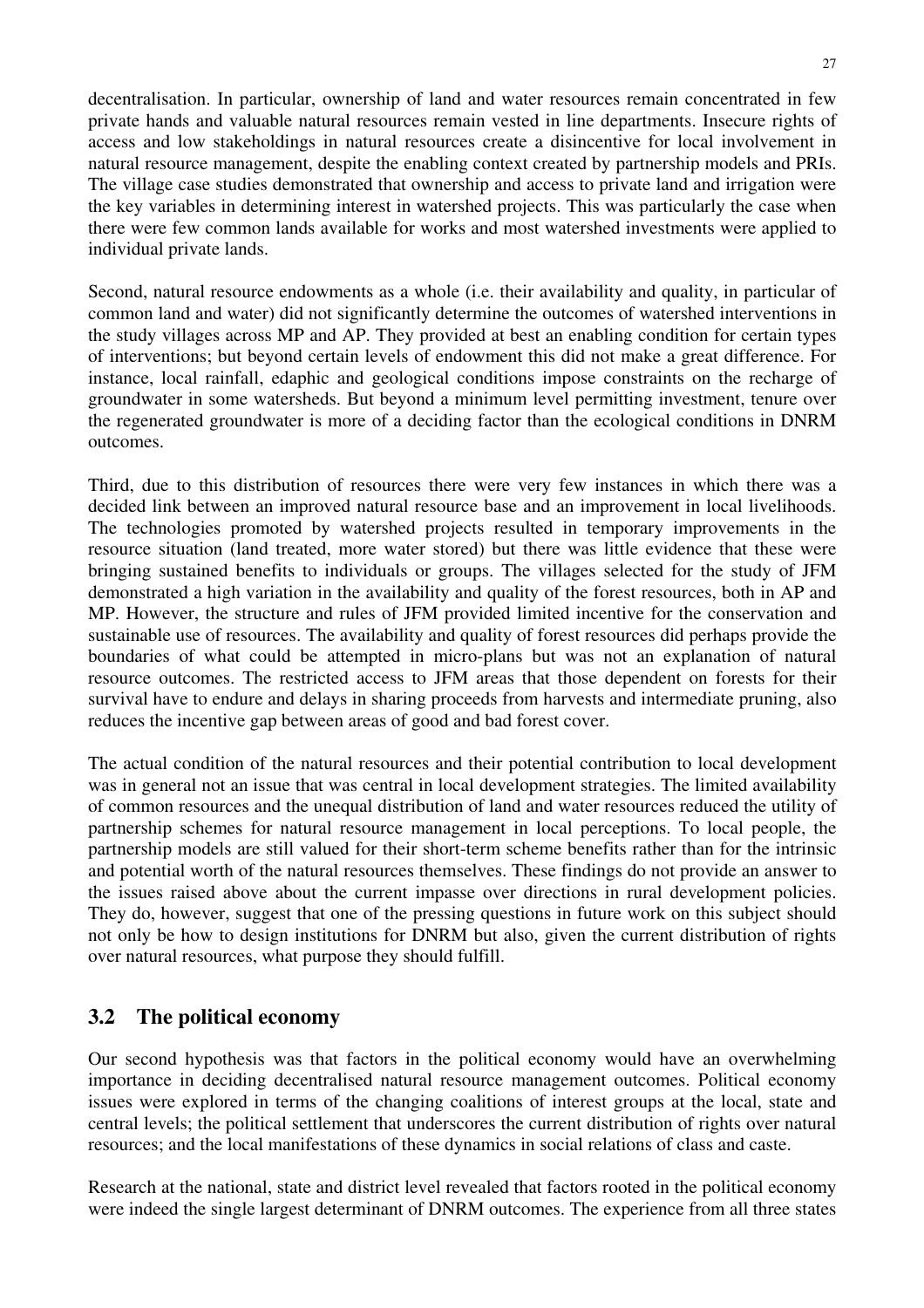decentralisation. In particular, ownership of land and water resources remain concentrated in few private hands and valuable natural resources remain vested in line departments. Insecure rights of access and low stakeholdings in natural resources create a disincentive for local involvement in natural resource management, despite the enabling context created by partnership models and PRIs. The village case studies demonstrated that ownership and access to private land and irrigation were the key variables in determining interest in watershed projects. This was particularly the case when there were few common lands available for works and most watershed investments were applied to individual private lands.

Second, natural resource endowments as a whole (i.e. their availability and quality, in particular of common land and water) did not significantly determine the outcomes of watershed interventions in the study villages across MP and AP. They provided at best an enabling condition for certain types of interventions; but beyond certain levels of endowment this did not make a great difference. For instance, local rainfall, edaphic and geological conditions impose constraints on the recharge of groundwater in some watersheds. But beyond a minimum level permitting investment, tenure over the regenerated groundwater is more of a deciding factor than the ecological conditions in DNRM outcomes.

Third, due to this distribution of resources there were very few instances in which there was a decided link between an improved natural resource base and an improvement in local livelihoods. The technologies promoted by watershed projects resulted in temporary improvements in the resource situation (land treated, more water stored) but there was little evidence that these were bringing sustained benefits to individuals or groups. The villages selected for the study of JFM demonstrated a high variation in the availability and quality of the forest resources, both in AP and MP. However, the structure and rules of JFM provided limited incentive for the conservation and sustainable use of resources. The availability and quality of forest resources did perhaps provide the boundaries of what could be attempted in micro-plans but was not an explanation of natural resource outcomes. The restricted access to JFM areas that those dependent on forests for their survival have to endure and delays in sharing proceeds from harvests and intermediate pruning, also reduces the incentive gap between areas of good and bad forest cover.

The actual condition of the natural resources and their potential contribution to local development was in general not an issue that was central in local development strategies. The limited availability of common resources and the unequal distribution of land and water resources reduced the utility of partnership schemes for natural resource management in local perceptions. To local people, the partnership models are still valued for their short-term scheme benefits rather than for the intrinsic and potential worth of the natural resources themselves. These findings do not provide an answer to the issues raised above about the current impasse over directions in rural development policies. They do, however, suggest that one of the pressing questions in future work on this subject should not only be how to design institutions for DNRM but also, given the current distribution of rights over natural resources, what purpose they should fulfill.

# **3.2 The political economy**

Our second hypothesis was that factors in the political economy would have an overwhelming importance in deciding decentralised natural resource management outcomes. Political economy issues were explored in terms of the changing coalitions of interest groups at the local, state and central levels; the political settlement that underscores the current distribution of rights over natural resources; and the local manifestations of these dynamics in social relations of class and caste.

Research at the national, state and district level revealed that factors rooted in the political economy were indeed the single largest determinant of DNRM outcomes. The experience from all three states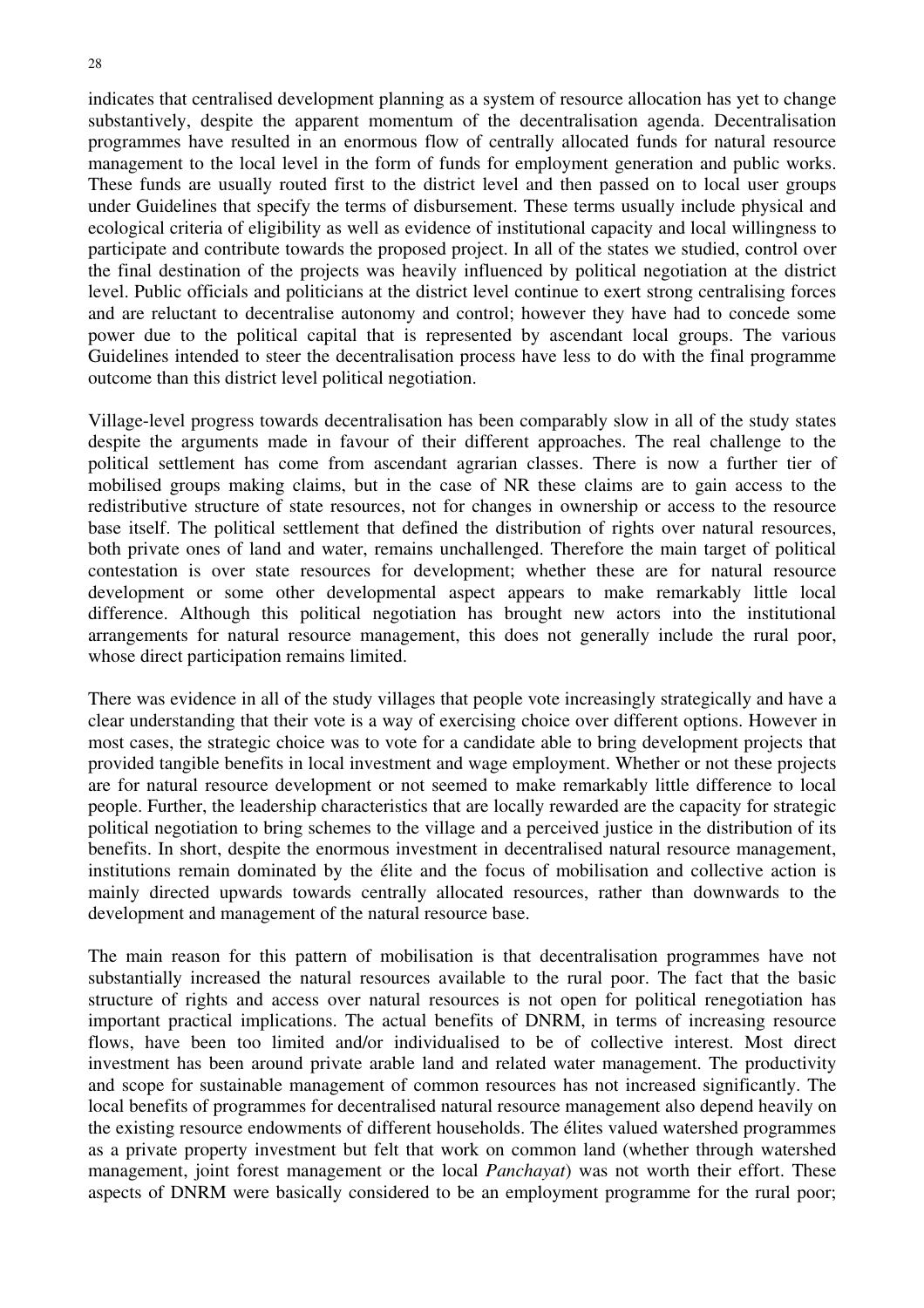indicates that centralised development planning as a system of resource allocation has yet to change substantively, despite the apparent momentum of the decentralisation agenda. Decentralisation programmes have resulted in an enormous flow of centrally allocated funds for natural resource management to the local level in the form of funds for employment generation and public works. These funds are usually routed first to the district level and then passed on to local user groups under Guidelines that specify the terms of disbursement. These terms usually include physical and ecological criteria of eligibility as well as evidence of institutional capacity and local willingness to participate and contribute towards the proposed project. In all of the states we studied, control over the final destination of the projects was heavily influenced by political negotiation at the district level. Public officials and politicians at the district level continue to exert strong centralising forces and are reluctant to decentralise autonomy and control; however they have had to concede some power due to the political capital that is represented by ascendant local groups. The various Guidelines intended to steer the decentralisation process have less to do with the final programme outcome than this district level political negotiation.

Village-level progress towards decentralisation has been comparably slow in all of the study states despite the arguments made in favour of their different approaches. The real challenge to the political settlement has come from ascendant agrarian classes. There is now a further tier of mobilised groups making claims, but in the case of NR these claims are to gain access to the redistributive structure of state resources, not for changes in ownership or access to the resource base itself. The political settlement that defined the distribution of rights over natural resources, both private ones of land and water, remains unchallenged. Therefore the main target of political contestation is over state resources for development; whether these are for natural resource development or some other developmental aspect appears to make remarkably little local difference. Although this political negotiation has brought new actors into the institutional arrangements for natural resource management, this does not generally include the rural poor, whose direct participation remains limited.

There was evidence in all of the study villages that people vote increasingly strategically and have a clear understanding that their vote is a way of exercising choice over different options. However in most cases, the strategic choice was to vote for a candidate able to bring development projects that provided tangible benefits in local investment and wage employment. Whether or not these projects are for natural resource development or not seemed to make remarkably little difference to local people. Further, the leadership characteristics that are locally rewarded are the capacity for strategic political negotiation to bring schemes to the village and a perceived justice in the distribution of its benefits. In short, despite the enormous investment in decentralised natural resource management, institutions remain dominated by the élite and the focus of mobilisation and collective action is mainly directed upwards towards centrally allocated resources, rather than downwards to the development and management of the natural resource base.

The main reason for this pattern of mobilisation is that decentralisation programmes have not substantially increased the natural resources available to the rural poor. The fact that the basic structure of rights and access over natural resources is not open for political renegotiation has important practical implications. The actual benefits of DNRM, in terms of increasing resource flows, have been too limited and/or individualised to be of collective interest. Most direct investment has been around private arable land and related water management. The productivity and scope for sustainable management of common resources has not increased significantly. The local benefits of programmes for decentralised natural resource management also depend heavily on the existing resource endowments of different households. The élites valued watershed programmes as a private property investment but felt that work on common land (whether through watershed management, joint forest management or the local *Panchayat*) was not worth their effort. These aspects of DNRM were basically considered to be an employment programme for the rural poor;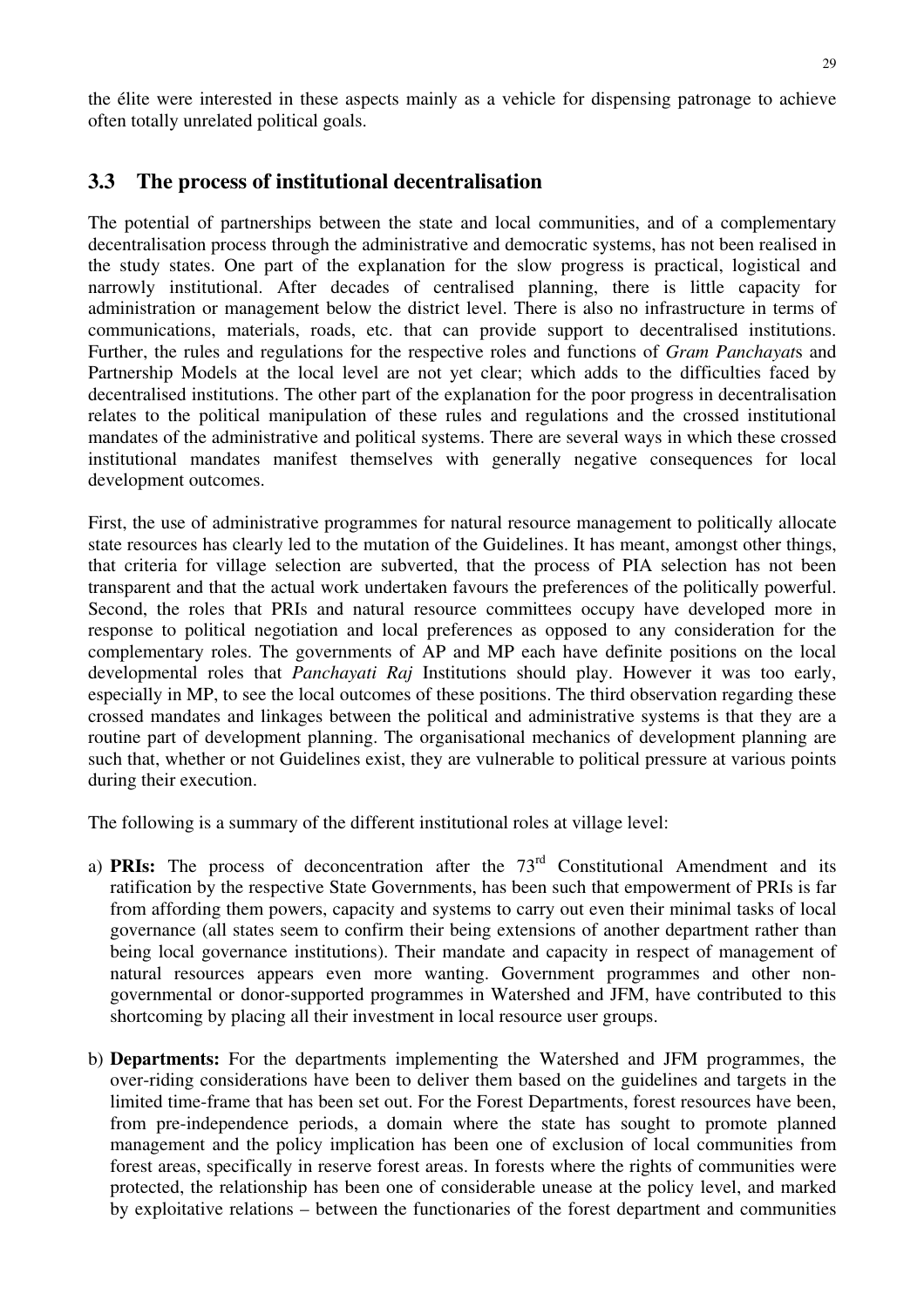# **3.3 The process of institutional decentralisation**

The potential of partnerships between the state and local communities, and of a complementary decentralisation process through the administrative and democratic systems, has not been realised in the study states. One part of the explanation for the slow progress is practical, logistical and narrowly institutional. After decades of centralised planning, there is little capacity for administration or management below the district level. There is also no infrastructure in terms of communications, materials, roads, etc. that can provide support to decentralised institutions. Further, the rules and regulations for the respective roles and functions of *Gram Panchayat*s and Partnership Models at the local level are not yet clear; which adds to the difficulties faced by decentralised institutions. The other part of the explanation for the poor progress in decentralisation relates to the political manipulation of these rules and regulations and the crossed institutional mandates of the administrative and political systems. There are several ways in which these crossed institutional mandates manifest themselves with generally negative consequences for local development outcomes.

First, the use of administrative programmes for natural resource management to politically allocate state resources has clearly led to the mutation of the Guidelines. It has meant, amongst other things, that criteria for village selection are subverted, that the process of PIA selection has not been transparent and that the actual work undertaken favours the preferences of the politically powerful. Second, the roles that PRIs and natural resource committees occupy have developed more in response to political negotiation and local preferences as opposed to any consideration for the complementary roles. The governments of AP and MP each have definite positions on the local developmental roles that *Panchayati Raj* Institutions should play. However it was too early, especially in MP, to see the local outcomes of these positions. The third observation regarding these crossed mandates and linkages between the political and administrative systems is that they are a routine part of development planning. The organisational mechanics of development planning are such that, whether or not Guidelines exist, they are vulnerable to political pressure at various points during their execution.

The following is a summary of the different institutional roles at village level:

- a) **PRIs:** The process of deconcentration after the 73<sup>rd</sup> Constitutional Amendment and its ratification by the respective State Governments, has been such that empowerment of PRIs is far from affording them powers, capacity and systems to carry out even their minimal tasks of local governance (all states seem to confirm their being extensions of another department rather than being local governance institutions). Their mandate and capacity in respect of management of natural resources appears even more wanting. Government programmes and other nongovernmental or donor-supported programmes in Watershed and JFM, have contributed to this shortcoming by placing all their investment in local resource user groups.
- b) **Departments:** For the departments implementing the Watershed and JFM programmes, the over-riding considerations have been to deliver them based on the guidelines and targets in the limited time-frame that has been set out. For the Forest Departments, forest resources have been, from pre-independence periods, a domain where the state has sought to promote planned management and the policy implication has been one of exclusion of local communities from forest areas, specifically in reserve forest areas. In forests where the rights of communities were protected, the relationship has been one of considerable unease at the policy level, and marked by exploitative relations – between the functionaries of the forest department and communities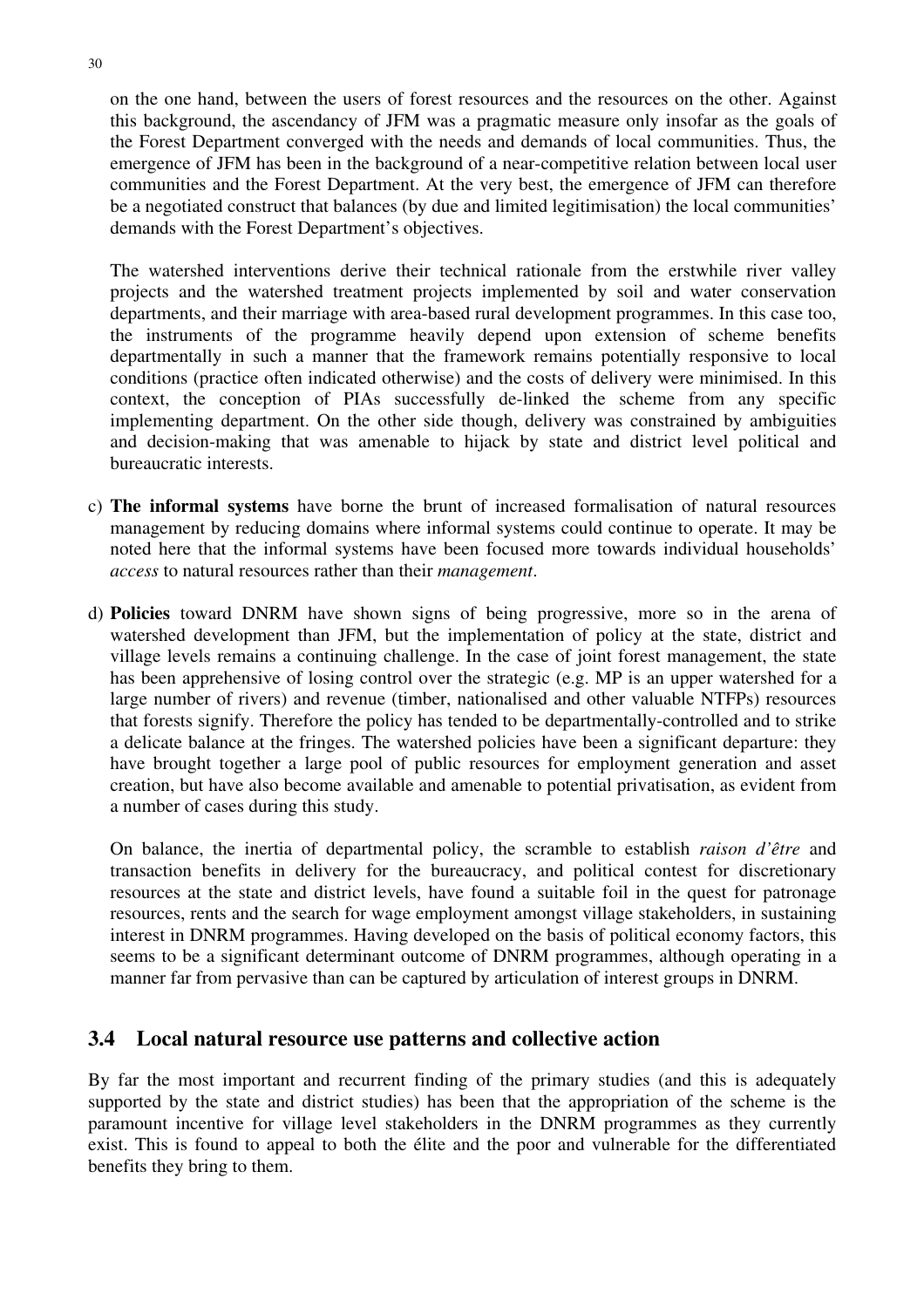on the one hand, between the users of forest resources and the resources on the other. Against this background, the ascendancy of JFM was a pragmatic measure only insofar as the goals of the Forest Department converged with the needs and demands of local communities. Thus, the emergence of JFM has been in the background of a near-competitive relation between local user communities and the Forest Department. At the very best, the emergence of JFM can therefore be a negotiated construct that balances (by due and limited legitimisation) the local communities' demands with the Forest Department's objectives.

The watershed interventions derive their technical rationale from the erstwhile river valley projects and the watershed treatment projects implemented by soil and water conservation departments, and their marriage with area-based rural development programmes. In this case too, the instruments of the programme heavily depend upon extension of scheme benefits departmentally in such a manner that the framework remains potentially responsive to local conditions (practice often indicated otherwise) and the costs of delivery were minimised. In this context, the conception of PIAs successfully de-linked the scheme from any specific implementing department. On the other side though, delivery was constrained by ambiguities and decision-making that was amenable to hijack by state and district level political and bureaucratic interests.

- c) **The informal systems** have borne the brunt of increased formalisation of natural resources management by reducing domains where informal systems could continue to operate. It may be noted here that the informal systems have been focused more towards individual households' *access* to natural resources rather than their *management*.
- d) **Policies** toward DNRM have shown signs of being progressive, more so in the arena of watershed development than JFM, but the implementation of policy at the state, district and village levels remains a continuing challenge. In the case of joint forest management, the state has been apprehensive of losing control over the strategic (e.g. MP is an upper watershed for a large number of rivers) and revenue (timber, nationalised and other valuable NTFPs) resources that forests signify. Therefore the policy has tended to be departmentally-controlled and to strike a delicate balance at the fringes. The watershed policies have been a significant departure: they have brought together a large pool of public resources for employment generation and asset creation, but have also become available and amenable to potential privatisation, as evident from a number of cases during this study.

On balance, the inertia of departmental policy, the scramble to establish *raison d'être* and transaction benefits in delivery for the bureaucracy, and political contest for discretionary resources at the state and district levels, have found a suitable foil in the quest for patronage resources, rents and the search for wage employment amongst village stakeholders, in sustaining interest in DNRM programmes. Having developed on the basis of political economy factors, this seems to be a significant determinant outcome of DNRM programmes, although operating in a manner far from pervasive than can be captured by articulation of interest groups in DNRM.

### **3.4 Local natural resource use patterns and collective action**

By far the most important and recurrent finding of the primary studies (and this is adequately supported by the state and district studies) has been that the appropriation of the scheme is the paramount incentive for village level stakeholders in the DNRM programmes as they currently exist. This is found to appeal to both the élite and the poor and vulnerable for the differentiated benefits they bring to them.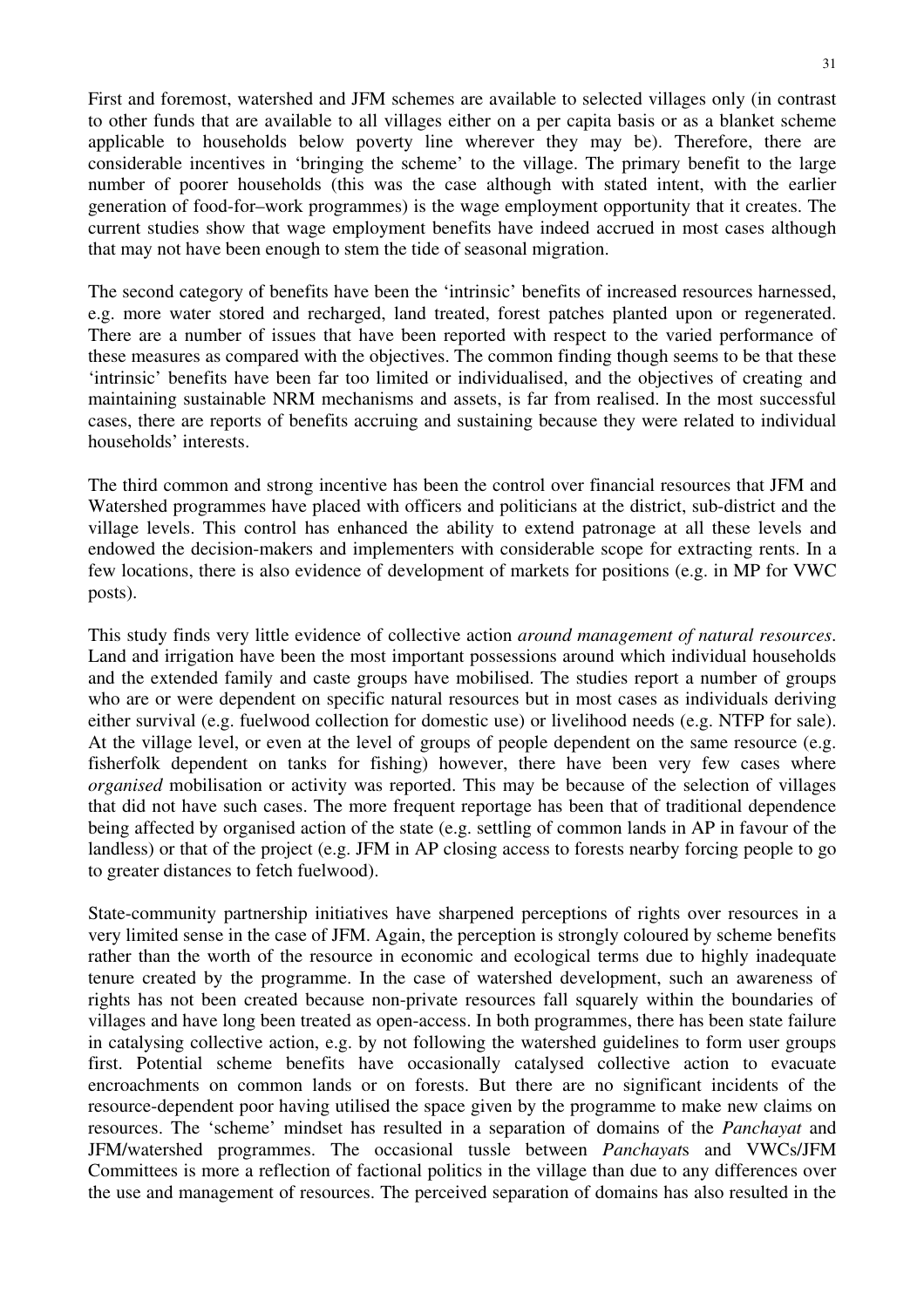First and foremost, watershed and JFM schemes are available to selected villages only (in contrast to other funds that are available to all villages either on a per capita basis or as a blanket scheme applicable to households below poverty line wherever they may be). Therefore, there are considerable incentives in 'bringing the scheme' to the village. The primary benefit to the large number of poorer households (this was the case although with stated intent, with the earlier generation of food-for–work programmes) is the wage employment opportunity that it creates. The current studies show that wage employment benefits have indeed accrued in most cases although that may not have been enough to stem the tide of seasonal migration.

The second category of benefits have been the 'intrinsic' benefits of increased resources harnessed, e.g. more water stored and recharged, land treated, forest patches planted upon or regenerated. There are a number of issues that have been reported with respect to the varied performance of these measures as compared with the objectives. The common finding though seems to be that these 'intrinsic' benefits have been far too limited or individualised, and the objectives of creating and maintaining sustainable NRM mechanisms and assets, is far from realised. In the most successful cases, there are reports of benefits accruing and sustaining because they were related to individual households' interests.

The third common and strong incentive has been the control over financial resources that JFM and Watershed programmes have placed with officers and politicians at the district, sub-district and the village levels. This control has enhanced the ability to extend patronage at all these levels and endowed the decision-makers and implementers with considerable scope for extracting rents. In a few locations, there is also evidence of development of markets for positions (e.g. in MP for VWC posts).

This study finds very little evidence of collective action *around management of natural resources*. Land and irrigation have been the most important possessions around which individual households and the extended family and caste groups have mobilised. The studies report a number of groups who are or were dependent on specific natural resources but in most cases as individuals deriving either survival (e.g. fuelwood collection for domestic use) or livelihood needs (e.g. NTFP for sale). At the village level, or even at the level of groups of people dependent on the same resource (e.g. fisherfolk dependent on tanks for fishing) however, there have been very few cases where *organised* mobilisation or activity was reported. This may be because of the selection of villages that did not have such cases. The more frequent reportage has been that of traditional dependence being affected by organised action of the state (e.g. settling of common lands in AP in favour of the landless) or that of the project (e.g. JFM in AP closing access to forests nearby forcing people to go to greater distances to fetch fuelwood).

State-community partnership initiatives have sharpened perceptions of rights over resources in a very limited sense in the case of JFM. Again, the perception is strongly coloured by scheme benefits rather than the worth of the resource in economic and ecological terms due to highly inadequate tenure created by the programme. In the case of watershed development, such an awareness of rights has not been created because non-private resources fall squarely within the boundaries of villages and have long been treated as open-access. In both programmes, there has been state failure in catalysing collective action, e.g. by not following the watershed guidelines to form user groups first. Potential scheme benefits have occasionally catalysed collective action to evacuate encroachments on common lands or on forests. But there are no significant incidents of the resource-dependent poor having utilised the space given by the programme to make new claims on resources. The 'scheme' mindset has resulted in a separation of domains of the *Panchayat* and JFM/watershed programmes. The occasional tussle between *Panchayat*s and VWCs/JFM Committees is more a reflection of factional politics in the village than due to any differences over the use and management of resources. The perceived separation of domains has also resulted in the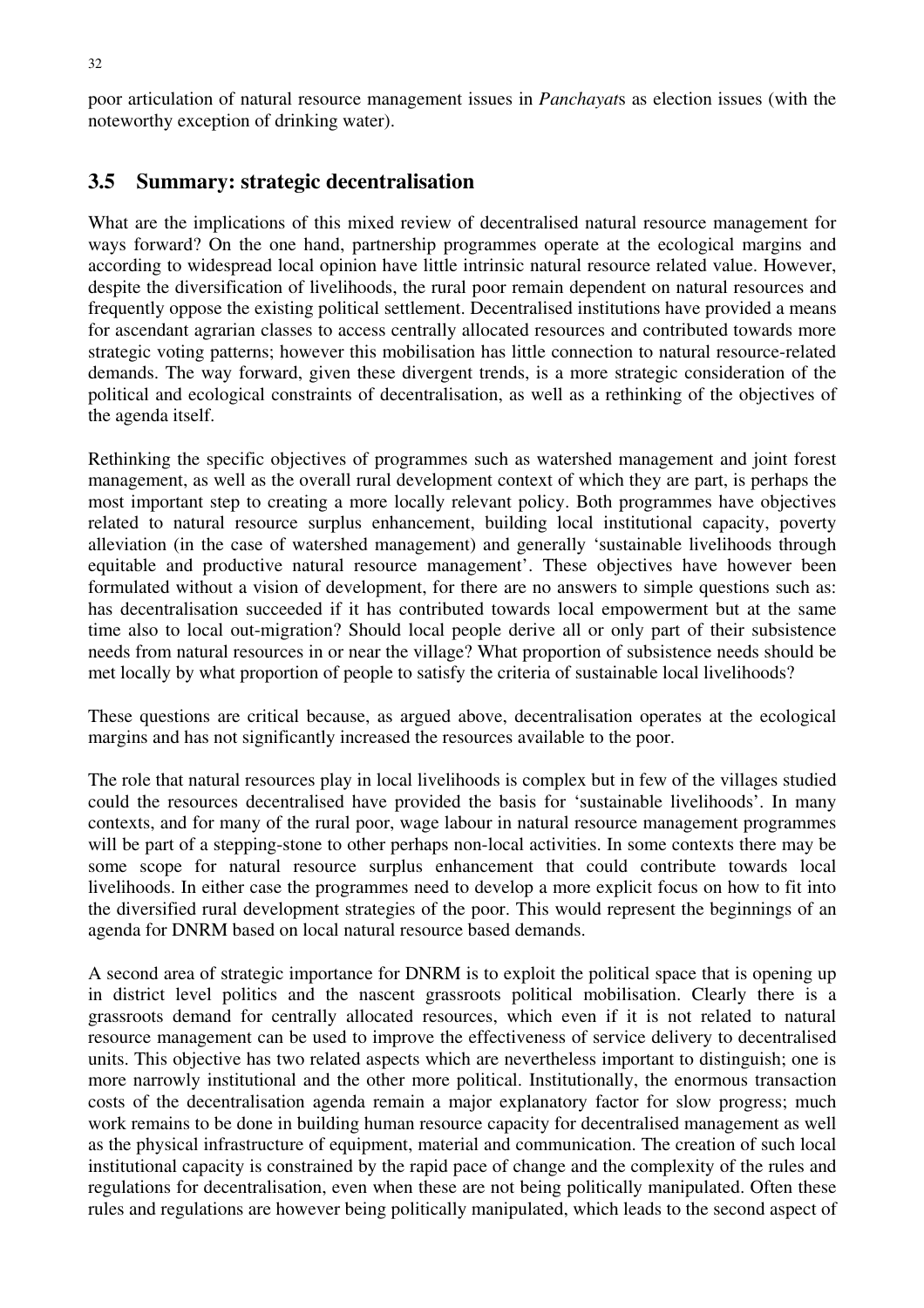poor articulation of natural resource management issues in *Panchayat*s as election issues (with the noteworthy exception of drinking water).

#### **3.5 Summary: strategic decentralisation**

What are the implications of this mixed review of decentralised natural resource management for ways forward? On the one hand, partnership programmes operate at the ecological margins and according to widespread local opinion have little intrinsic natural resource related value. However, despite the diversification of livelihoods, the rural poor remain dependent on natural resources and frequently oppose the existing political settlement. Decentralised institutions have provided a means for ascendant agrarian classes to access centrally allocated resources and contributed towards more strategic voting patterns; however this mobilisation has little connection to natural resource-related demands. The way forward, given these divergent trends, is a more strategic consideration of the political and ecological constraints of decentralisation, as well as a rethinking of the objectives of the agenda itself.

Rethinking the specific objectives of programmes such as watershed management and joint forest management, as well as the overall rural development context of which they are part, is perhaps the most important step to creating a more locally relevant policy. Both programmes have objectives related to natural resource surplus enhancement, building local institutional capacity, poverty alleviation (in the case of watershed management) and generally 'sustainable livelihoods through equitable and productive natural resource management'. These objectives have however been formulated without a vision of development, for there are no answers to simple questions such as: has decentralisation succeeded if it has contributed towards local empowerment but at the same time also to local out-migration? Should local people derive all or only part of their subsistence needs from natural resources in or near the village? What proportion of subsistence needs should be met locally by what proportion of people to satisfy the criteria of sustainable local livelihoods?

These questions are critical because, as argued above, decentralisation operates at the ecological margins and has not significantly increased the resources available to the poor.

The role that natural resources play in local livelihoods is complex but in few of the villages studied could the resources decentralised have provided the basis for 'sustainable livelihoods'. In many contexts, and for many of the rural poor, wage labour in natural resource management programmes will be part of a stepping-stone to other perhaps non-local activities. In some contexts there may be some scope for natural resource surplus enhancement that could contribute towards local livelihoods. In either case the programmes need to develop a more explicit focus on how to fit into the diversified rural development strategies of the poor. This would represent the beginnings of an agenda for DNRM based on local natural resource based demands.

A second area of strategic importance for DNRM is to exploit the political space that is opening up in district level politics and the nascent grassroots political mobilisation. Clearly there is a grassroots demand for centrally allocated resources, which even if it is not related to natural resource management can be used to improve the effectiveness of service delivery to decentralised units. This objective has two related aspects which are nevertheless important to distinguish; one is more narrowly institutional and the other more political. Institutionally, the enormous transaction costs of the decentralisation agenda remain a major explanatory factor for slow progress; much work remains to be done in building human resource capacity for decentralised management as well as the physical infrastructure of equipment, material and communication. The creation of such local institutional capacity is constrained by the rapid pace of change and the complexity of the rules and regulations for decentralisation, even when these are not being politically manipulated. Often these rules and regulations are however being politically manipulated, which leads to the second aspect of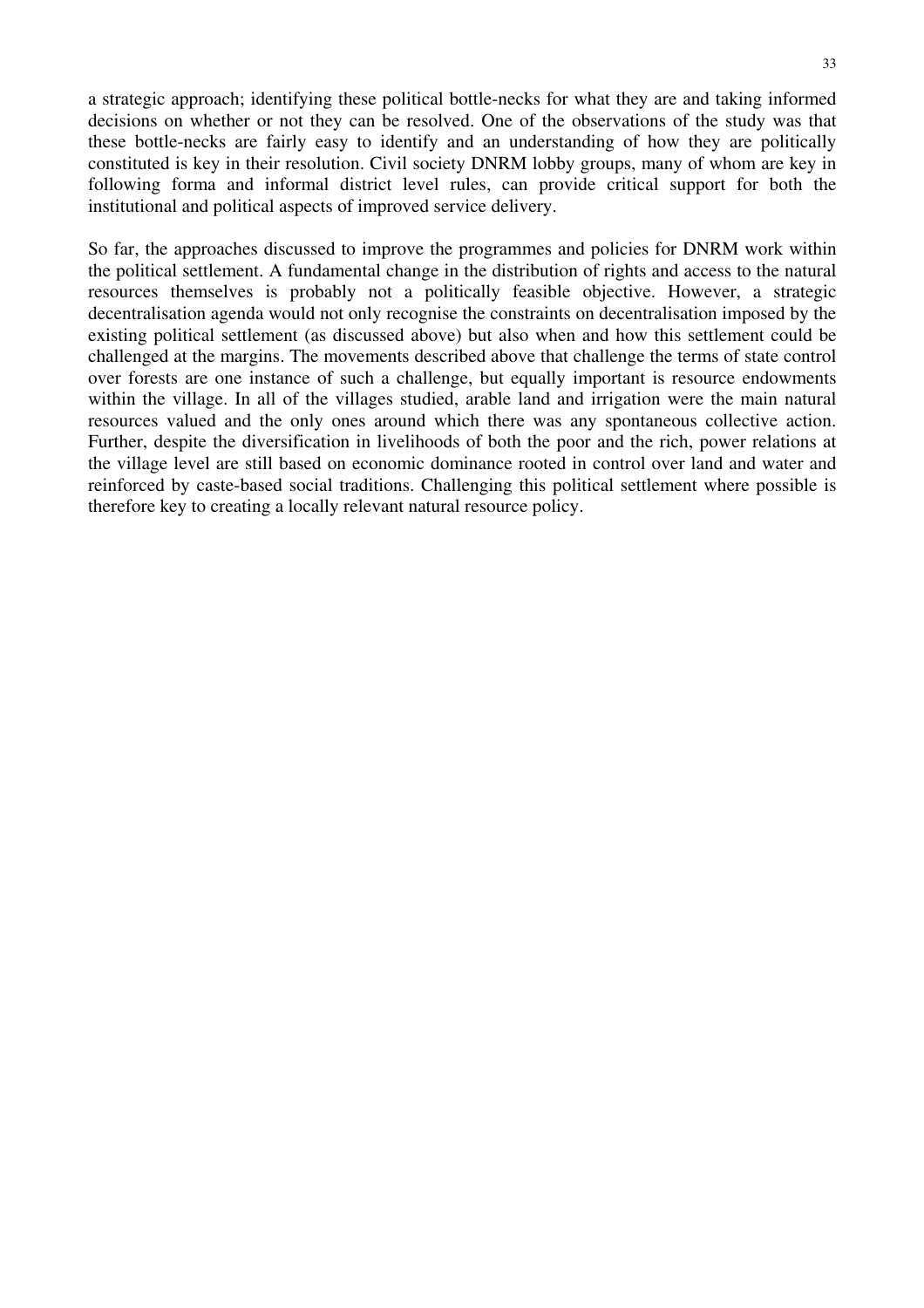a strategic approach; identifying these political bottle-necks for what they are and taking informed decisions on whether or not they can be resolved. One of the observations of the study was that these bottle-necks are fairly easy to identify and an understanding of how they are politically constituted is key in their resolution. Civil society DNRM lobby groups, many of whom are key in following forma and informal district level rules, can provide critical support for both the institutional and political aspects of improved service delivery.

So far, the approaches discussed to improve the programmes and policies for DNRM work within the political settlement. A fundamental change in the distribution of rights and access to the natural resources themselves is probably not a politically feasible objective. However, a strategic decentralisation agenda would not only recognise the constraints on decentralisation imposed by the existing political settlement (as discussed above) but also when and how this settlement could be challenged at the margins. The movements described above that challenge the terms of state control over forests are one instance of such a challenge, but equally important is resource endowments within the village. In all of the villages studied, arable land and irrigation were the main natural resources valued and the only ones around which there was any spontaneous collective action. Further, despite the diversification in livelihoods of both the poor and the rich, power relations at the village level are still based on economic dominance rooted in control over land and water and reinforced by caste-based social traditions. Challenging this political settlement where possible is therefore key to creating a locally relevant natural resource policy.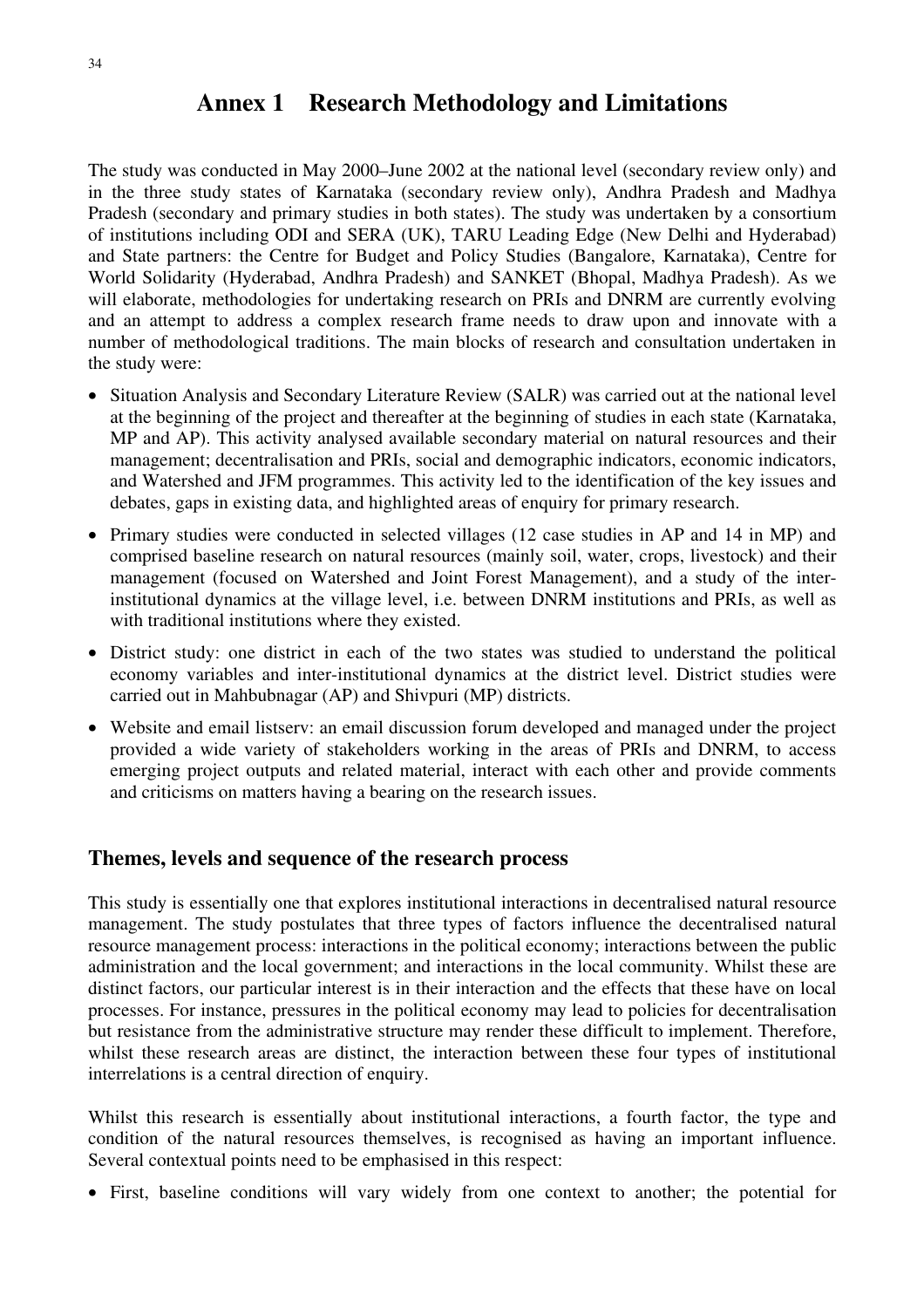# **Annex 1 Research Methodology and Limitations**

The study was conducted in May 2000–June 2002 at the national level (secondary review only) and in the three study states of Karnataka (secondary review only), Andhra Pradesh and Madhya Pradesh (secondary and primary studies in both states). The study was undertaken by a consortium of institutions including ODI and SERA (UK), TARU Leading Edge (New Delhi and Hyderabad) and State partners: the Centre for Budget and Policy Studies (Bangalore, Karnataka), Centre for World Solidarity (Hyderabad, Andhra Pradesh) and SANKET (Bhopal, Madhya Pradesh). As we will elaborate, methodologies for undertaking research on PRIs and DNRM are currently evolving and an attempt to address a complex research frame needs to draw upon and innovate with a number of methodological traditions. The main blocks of research and consultation undertaken in the study were:

- Situation Analysis and Secondary Literature Review (SALR) was carried out at the national level at the beginning of the project and thereafter at the beginning of studies in each state (Karnataka, MP and AP). This activity analysed available secondary material on natural resources and their management; decentralisation and PRIs, social and demographic indicators, economic indicators, and Watershed and JFM programmes. This activity led to the identification of the key issues and debates, gaps in existing data, and highlighted areas of enquiry for primary research.
- Primary studies were conducted in selected villages (12 case studies in AP and 14 in MP) and comprised baseline research on natural resources (mainly soil, water, crops, livestock) and their management (focused on Watershed and Joint Forest Management), and a study of the interinstitutional dynamics at the village level, i.e. between DNRM institutions and PRIs, as well as with traditional institutions where they existed.
- District study: one district in each of the two states was studied to understand the political economy variables and inter-institutional dynamics at the district level. District studies were carried out in Mahbubnagar (AP) and Shivpuri (MP) districts.
- Website and email listserv: an email discussion forum developed and managed under the project provided a wide variety of stakeholders working in the areas of PRIs and DNRM, to access emerging project outputs and related material, interact with each other and provide comments and criticisms on matters having a bearing on the research issues.

### **Themes, levels and sequence of the research process**

This study is essentially one that explores institutional interactions in decentralised natural resource management. The study postulates that three types of factors influence the decentralised natural resource management process: interactions in the political economy; interactions between the public administration and the local government; and interactions in the local community. Whilst these are distinct factors, our particular interest is in their interaction and the effects that these have on local processes. For instance, pressures in the political economy may lead to policies for decentralisation but resistance from the administrative structure may render these difficult to implement. Therefore, whilst these research areas are distinct, the interaction between these four types of institutional interrelations is a central direction of enquiry.

Whilst this research is essentially about institutional interactions, a fourth factor, the type and condition of the natural resources themselves, is recognised as having an important influence. Several contextual points need to be emphasised in this respect:

• First, baseline conditions will vary widely from one context to another; the potential for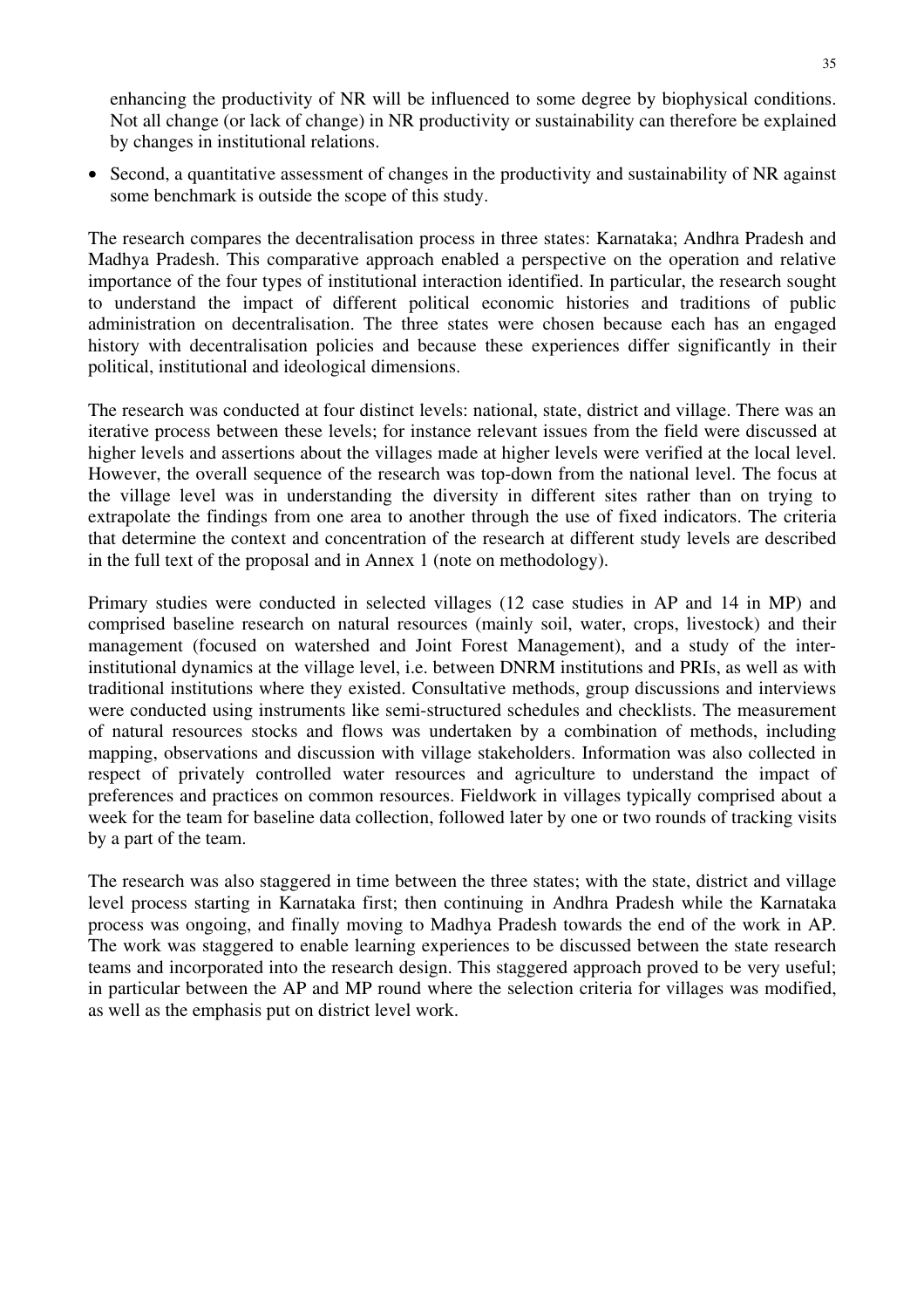enhancing the productivity of NR will be influenced to some degree by biophysical conditions. Not all change (or lack of change) in NR productivity or sustainability can therefore be explained by changes in institutional relations.

• Second, a quantitative assessment of changes in the productivity and sustainability of NR against some benchmark is outside the scope of this study.

The research compares the decentralisation process in three states: Karnataka; Andhra Pradesh and Madhya Pradesh. This comparative approach enabled a perspective on the operation and relative importance of the four types of institutional interaction identified. In particular, the research sought to understand the impact of different political economic histories and traditions of public administration on decentralisation. The three states were chosen because each has an engaged history with decentralisation policies and because these experiences differ significantly in their political, institutional and ideological dimensions.

The research was conducted at four distinct levels: national, state, district and village. There was an iterative process between these levels; for instance relevant issues from the field were discussed at higher levels and assertions about the villages made at higher levels were verified at the local level. However, the overall sequence of the research was top-down from the national level. The focus at the village level was in understanding the diversity in different sites rather than on trying to extrapolate the findings from one area to another through the use of fixed indicators. The criteria that determine the context and concentration of the research at different study levels are described in the full text of the proposal and in Annex 1 (note on methodology).

Primary studies were conducted in selected villages (12 case studies in AP and 14 in MP) and comprised baseline research on natural resources (mainly soil, water, crops, livestock) and their management (focused on watershed and Joint Forest Management), and a study of the interinstitutional dynamics at the village level, i.e. between DNRM institutions and PRIs, as well as with traditional institutions where they existed. Consultative methods, group discussions and interviews were conducted using instruments like semi-structured schedules and checklists. The measurement of natural resources stocks and flows was undertaken by a combination of methods, including mapping, observations and discussion with village stakeholders. Information was also collected in respect of privately controlled water resources and agriculture to understand the impact of preferences and practices on common resources. Fieldwork in villages typically comprised about a week for the team for baseline data collection, followed later by one or two rounds of tracking visits by a part of the team.

The research was also staggered in time between the three states; with the state, district and village level process starting in Karnataka first; then continuing in Andhra Pradesh while the Karnataka process was ongoing, and finally moving to Madhya Pradesh towards the end of the work in AP. The work was staggered to enable learning experiences to be discussed between the state research teams and incorporated into the research design. This staggered approach proved to be very useful; in particular between the AP and MP round where the selection criteria for villages was modified, as well as the emphasis put on district level work.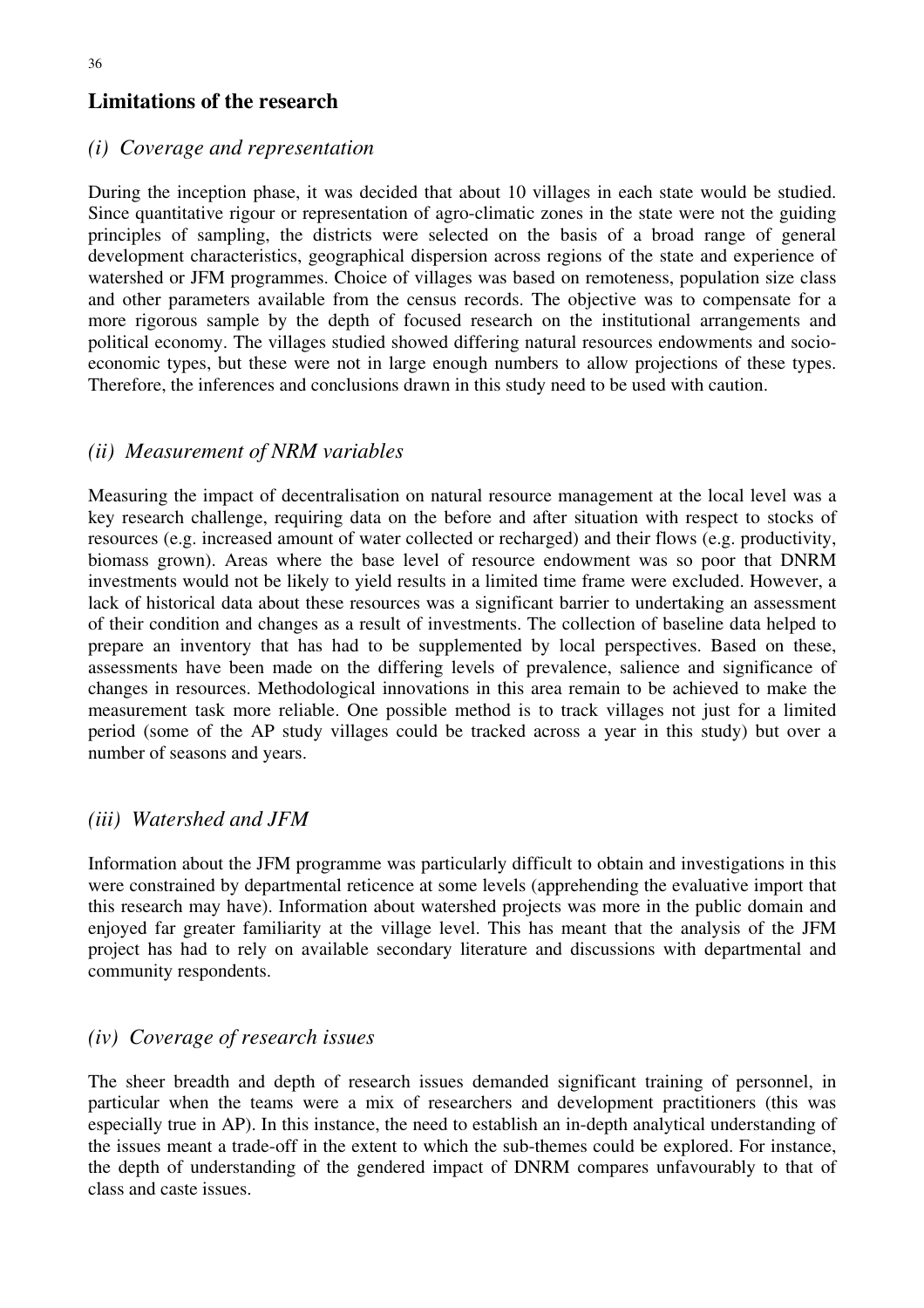# **Limitations of the research**

### *(i) Coverage and representation*

During the inception phase, it was decided that about 10 villages in each state would be studied. Since quantitative rigour or representation of agro-climatic zones in the state were not the guiding principles of sampling, the districts were selected on the basis of a broad range of general development characteristics, geographical dispersion across regions of the state and experience of watershed or JFM programmes. Choice of villages was based on remoteness, population size class and other parameters available from the census records. The objective was to compensate for a more rigorous sample by the depth of focused research on the institutional arrangements and political economy. The villages studied showed differing natural resources endowments and socioeconomic types, but these were not in large enough numbers to allow projections of these types. Therefore, the inferences and conclusions drawn in this study need to be used with caution.

# *(ii) Measurement of NRM variables*

Measuring the impact of decentralisation on natural resource management at the local level was a key research challenge, requiring data on the before and after situation with respect to stocks of resources (e.g. increased amount of water collected or recharged) and their flows (e.g. productivity, biomass grown). Areas where the base level of resource endowment was so poor that DNRM investments would not be likely to yield results in a limited time frame were excluded. However, a lack of historical data about these resources was a significant barrier to undertaking an assessment of their condition and changes as a result of investments. The collection of baseline data helped to prepare an inventory that has had to be supplemented by local perspectives. Based on these, assessments have been made on the differing levels of prevalence, salience and significance of changes in resources. Methodological innovations in this area remain to be achieved to make the measurement task more reliable. One possible method is to track villages not just for a limited period (some of the AP study villages could be tracked across a year in this study) but over a number of seasons and years.

### *(iii) Watershed and JFM*

Information about the JFM programme was particularly difficult to obtain and investigations in this were constrained by departmental reticence at some levels (apprehending the evaluative import that this research may have). Information about watershed projects was more in the public domain and enjoyed far greater familiarity at the village level. This has meant that the analysis of the JFM project has had to rely on available secondary literature and discussions with departmental and community respondents.

### *(iv) Coverage of research issues*

The sheer breadth and depth of research issues demanded significant training of personnel, in particular when the teams were a mix of researchers and development practitioners (this was especially true in AP). In this instance, the need to establish an in-depth analytical understanding of the issues meant a trade-off in the extent to which the sub-themes could be explored. For instance, the depth of understanding of the gendered impact of DNRM compares unfavourably to that of class and caste issues.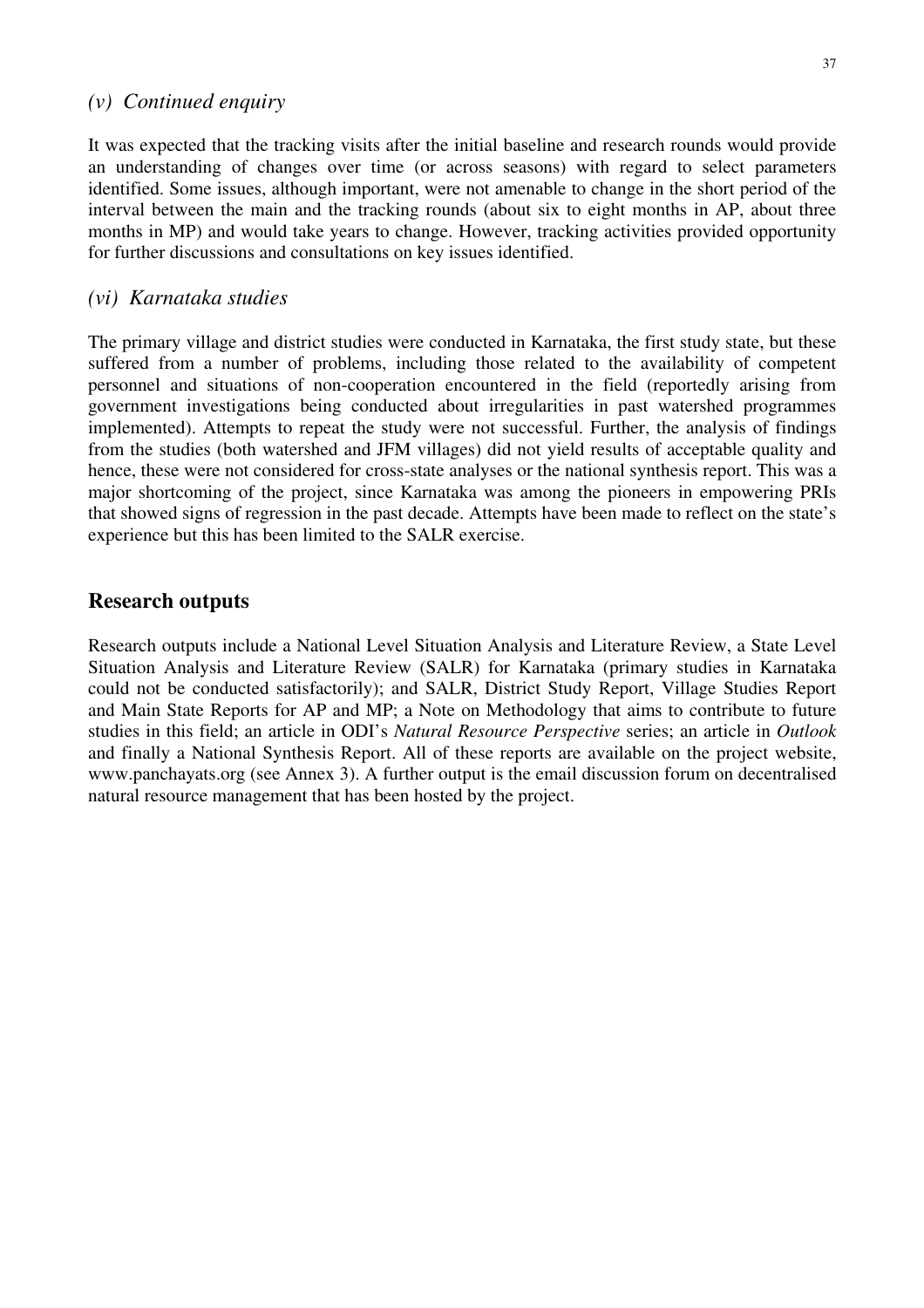#### *(v) Continued enquiry*

It was expected that the tracking visits after the initial baseline and research rounds would provide an understanding of changes over time (or across seasons) with regard to select parameters identified. Some issues, although important, were not amenable to change in the short period of the interval between the main and the tracking rounds (about six to eight months in AP, about three months in MP) and would take years to change. However, tracking activities provided opportunity for further discussions and consultations on key issues identified.

#### *(vi) Karnataka studies*

The primary village and district studies were conducted in Karnataka, the first study state, but these suffered from a number of problems, including those related to the availability of competent personnel and situations of non-cooperation encountered in the field (reportedly arising from government investigations being conducted about irregularities in past watershed programmes implemented). Attempts to repeat the study were not successful. Further, the analysis of findings from the studies (both watershed and JFM villages) did not yield results of acceptable quality and hence, these were not considered for cross-state analyses or the national synthesis report. This was a major shortcoming of the project, since Karnataka was among the pioneers in empowering PRIs that showed signs of regression in the past decade. Attempts have been made to reflect on the state's experience but this has been limited to the SALR exercise.

#### **Research outputs**

Research outputs include a National Level Situation Analysis and Literature Review, a State Level Situation Analysis and Literature Review (SALR) for Karnataka (primary studies in Karnataka could not be conducted satisfactorily); and SALR, District Study Report, Village Studies Report and Main State Reports for AP and MP; a Note on Methodology that aims to contribute to future studies in this field; an article in ODI's *Natural Resource Perspective* series; an article in *Outlook* and finally a National Synthesis Report. All of these reports are available on the project website, www.panchayats.org (see Annex 3). A further output is the email discussion forum on decentralised natural resource management that has been hosted by the project.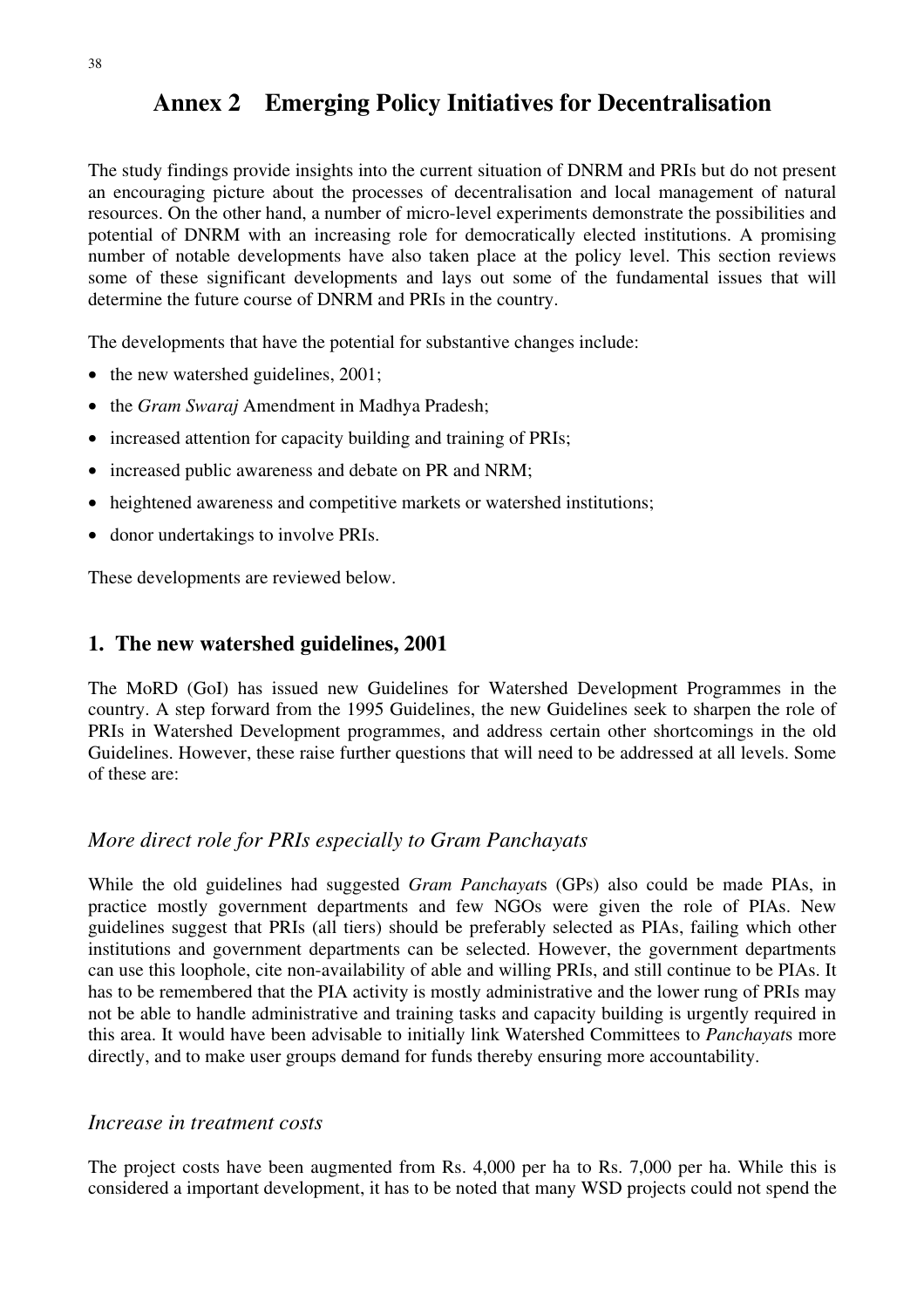The study findings provide insights into the current situation of DNRM and PRIs but do not present an encouraging picture about the processes of decentralisation and local management of natural resources. On the other hand, a number of micro-level experiments demonstrate the possibilities and potential of DNRM with an increasing role for democratically elected institutions. A promising number of notable developments have also taken place at the policy level. This section reviews some of these significant developments and lays out some of the fundamental issues that will determine the future course of DNRM and PRIs in the country.

The developments that have the potential for substantive changes include:

- the new watershed guidelines, 2001;
- the *Gram Swaraj* Amendment in Madhya Pradesh;
- increased attention for capacity building and training of PRIs;
- increased public awareness and debate on PR and NRM;
- heightened awareness and competitive markets or watershed institutions;
- donor undertakings to involve PRIs.

These developments are reviewed below.

# **1. The new watershed guidelines, 2001**

The MoRD (GoI) has issued new Guidelines for Watershed Development Programmes in the country. A step forward from the 1995 Guidelines, the new Guidelines seek to sharpen the role of PRIs in Watershed Development programmes, and address certain other shortcomings in the old Guidelines. However, these raise further questions that will need to be addressed at all levels. Some of these are:

# *More direct role for PRIs especially to Gram Panchayats*

While the old guidelines had suggested *Gram Panchayat*s (GPs) also could be made PIAs, in practice mostly government departments and few NGOs were given the role of PIAs. New guidelines suggest that PRIs (all tiers) should be preferably selected as PIAs, failing which other institutions and government departments can be selected. However, the government departments can use this loophole, cite non-availability of able and willing PRIs, and still continue to be PIAs. It has to be remembered that the PIA activity is mostly administrative and the lower rung of PRIs may not be able to handle administrative and training tasks and capacity building is urgently required in this area. It would have been advisable to initially link Watershed Committees to *Panchayat*s more directly, and to make user groups demand for funds thereby ensuring more accountability.

### *Increase in treatment costs*

The project costs have been augmented from Rs. 4,000 per ha to Rs. 7,000 per ha. While this is considered a important development, it has to be noted that many WSD projects could not spend the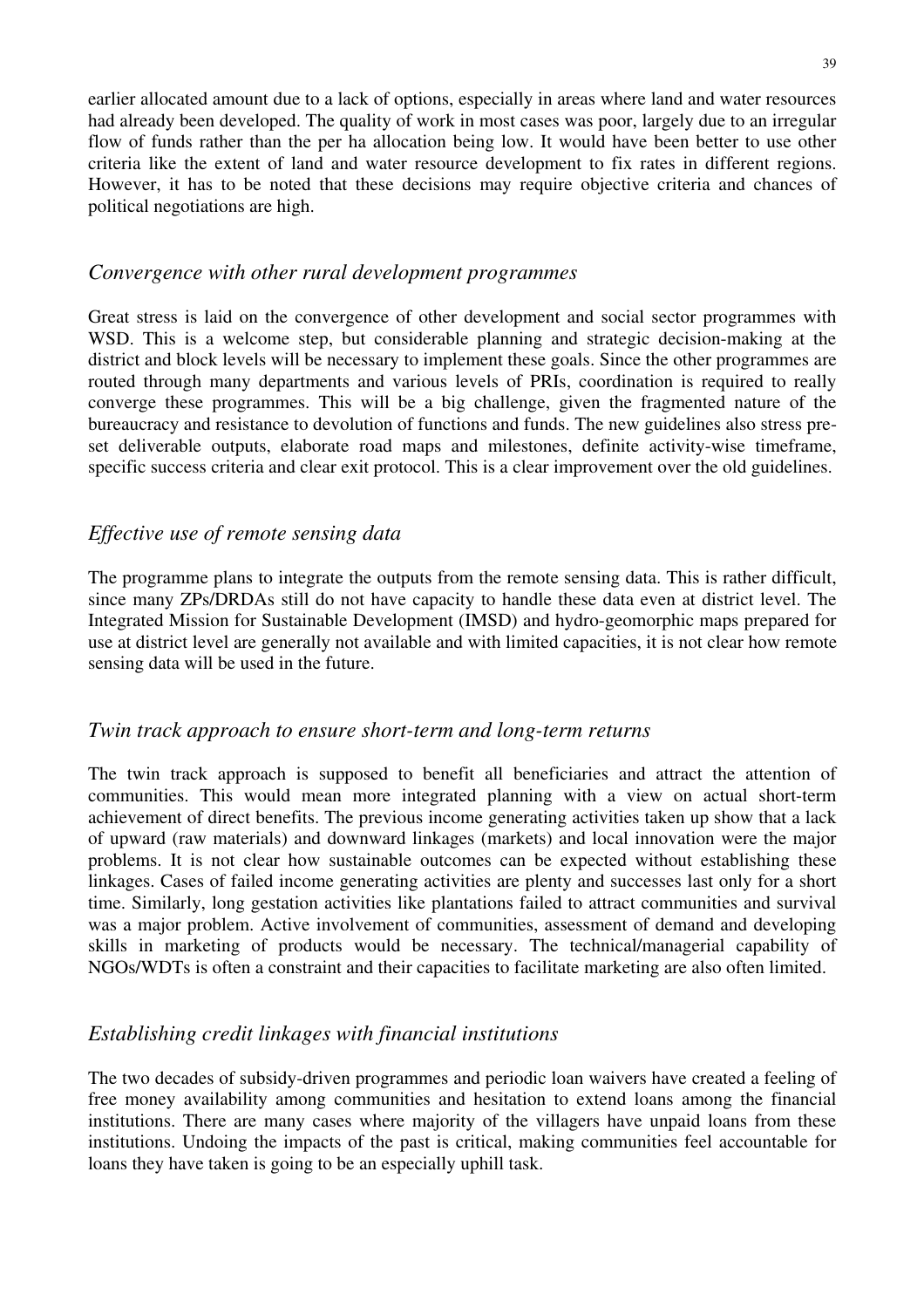earlier allocated amount due to a lack of options, especially in areas where land and water resources had already been developed. The quality of work in most cases was poor, largely due to an irregular flow of funds rather than the per ha allocation being low. It would have been better to use other criteria like the extent of land and water resource development to fix rates in different regions. However, it has to be noted that these decisions may require objective criteria and chances of political negotiations are high.

### *Convergence with other rural development programmes*

Great stress is laid on the convergence of other development and social sector programmes with WSD. This is a welcome step, but considerable planning and strategic decision-making at the district and block levels will be necessary to implement these goals. Since the other programmes are routed through many departments and various levels of PRIs, coordination is required to really converge these programmes. This will be a big challenge, given the fragmented nature of the bureaucracy and resistance to devolution of functions and funds. The new guidelines also stress preset deliverable outputs, elaborate road maps and milestones, definite activity-wise timeframe, specific success criteria and clear exit protocol. This is a clear improvement over the old guidelines.

# *Effective use of remote sensing data*

The programme plans to integrate the outputs from the remote sensing data. This is rather difficult, since many ZPs/DRDAs still do not have capacity to handle these data even at district level. The Integrated Mission for Sustainable Development (IMSD) and hydro-geomorphic maps prepared for use at district level are generally not available and with limited capacities, it is not clear how remote sensing data will be used in the future.

# *Twin track approach to ensure short-term and long-term returns*

The twin track approach is supposed to benefit all beneficiaries and attract the attention of communities. This would mean more integrated planning with a view on actual short-term achievement of direct benefits. The previous income generating activities taken up show that a lack of upward (raw materials) and downward linkages (markets) and local innovation were the major problems. It is not clear how sustainable outcomes can be expected without establishing these linkages. Cases of failed income generating activities are plenty and successes last only for a short time. Similarly, long gestation activities like plantations failed to attract communities and survival was a major problem. Active involvement of communities, assessment of demand and developing skills in marketing of products would be necessary. The technical/managerial capability of NGOs/WDTs is often a constraint and their capacities to facilitate marketing are also often limited.

# *Establishing credit linkages with financial institutions*

The two decades of subsidy-driven programmes and periodic loan waivers have created a feeling of free money availability among communities and hesitation to extend loans among the financial institutions. There are many cases where majority of the villagers have unpaid loans from these institutions. Undoing the impacts of the past is critical, making communities feel accountable for loans they have taken is going to be an especially uphill task.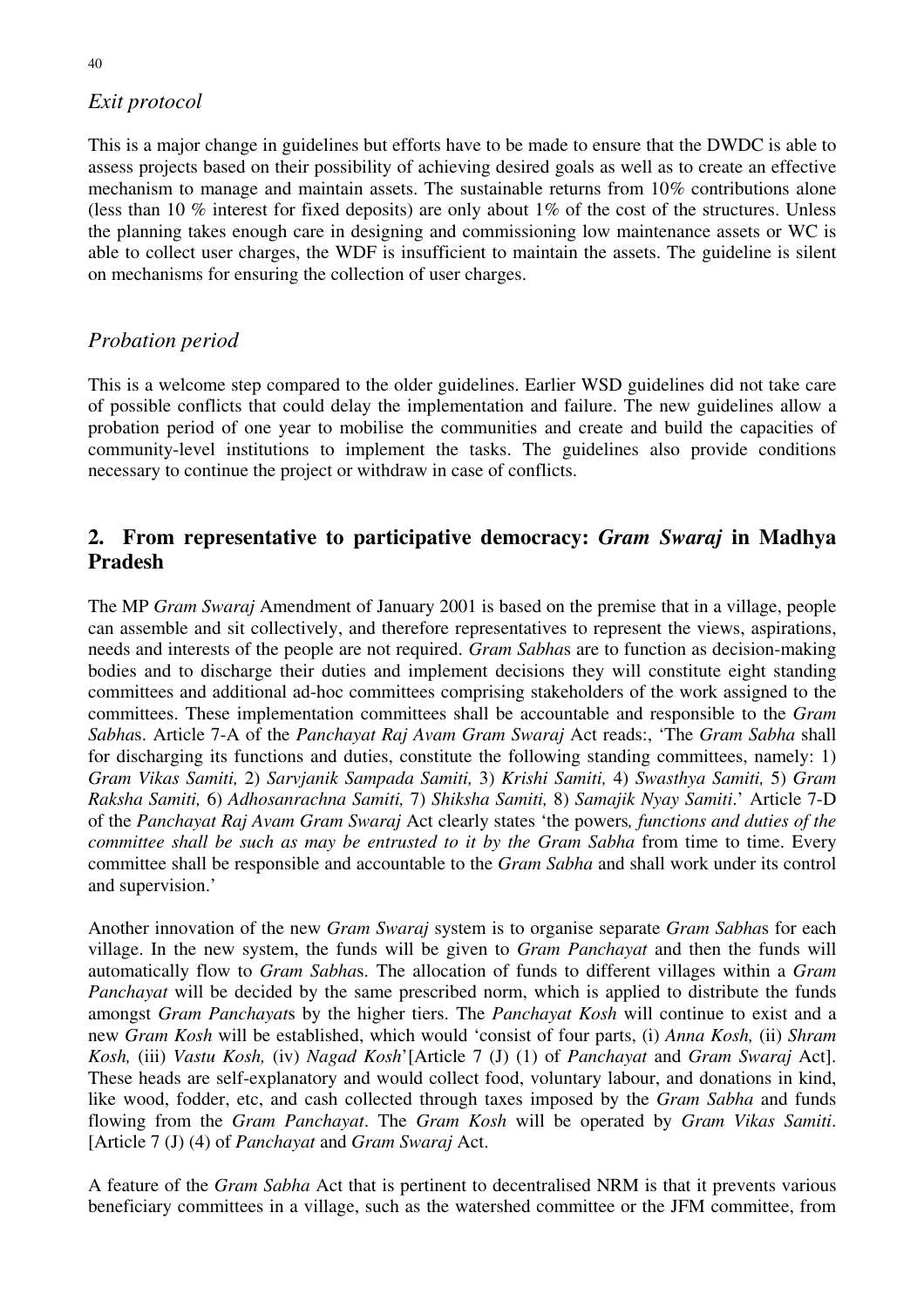# *Exit protocol*

This is a major change in guidelines but efforts have to be made to ensure that the DWDC is able to assess projects based on their possibility of achieving desired goals as well as to create an effective mechanism to manage and maintain assets. The sustainable returns from 10*%* contributions alone (less than 10 % interest for fixed deposits) are only about 1*%* of the cost of the structures. Unless the planning takes enough care in designing and commissioning low maintenance assets or WC is able to collect user charges, the WDF is insufficient to maintain the assets. The guideline is silent on mechanisms for ensuring the collection of user charges.

# *Probation period*

This is a welcome step compared to the older guidelines. Earlier WSD guidelines did not take care of possible conflicts that could delay the implementation and failure. The new guidelines allow a probation period of one year to mobilise the communities and create and build the capacities of community-level institutions to implement the tasks. The guidelines also provide conditions necessary to continue the project or withdraw in case of conflicts.

# **2. From representative to participative democracy:** *Gram Swaraj* **in Madhya Pradesh**

The MP *Gram Swaraj* Amendment of January 2001 is based on the premise that in a village, people can assemble and sit collectively, and therefore representatives to represent the views, aspirations, needs and interests of the people are not required. *Gram Sabha*s are to function as decision-making bodies and to discharge their duties and implement decisions they will constitute eight standing committees and additional ad-hoc committees comprising stakeholders of the work assigned to the committees. These implementation committees shall be accountable and responsible to the *Gram Sabha*s. Article 7-A of the *Panchayat Raj Avam Gram Swaraj* Act reads:, 'The *Gram Sabha* shall for discharging its functions and duties, constitute the following standing committees, namely: 1) *Gram Vikas Samiti,* 2) *Sarvjanik Sampada Samiti,* 3) *Krishi Samiti,* 4) *Swasthya Samiti,* 5) *Gram Raksha Samiti,* 6) *Adhosanrachna Samiti,* 7) *Shiksha Samiti,* 8) *Samajik Nyay Samiti*.' Article 7-D of the *Panchayat Raj Avam Gram Swaraj* Act clearly states 'the powers*, functions and duties of the committee shall be such as may be entrusted to it by the Gram Sabha* from time to time. Every committee shall be responsible and accountable to the *Gram Sabha* and shall work under its control and supervision.'

Another innovation of the new *Gram Swaraj* system is to organise separate *Gram Sabha*s for each village. In the new system, the funds will be given to *Gram Panchayat* and then the funds will automatically flow to *Gram Sabha*s. The allocation of funds to different villages within a *Gram Panchayat* will be decided by the same prescribed norm, which is applied to distribute the funds amongst *Gram Panchayat*s by the higher tiers. The *Panchayat Kosh* will continue to exist and a new *Gram Kosh* will be established, which would 'consist of four parts, (i) *Anna Kosh,* (ii) *Shram Kosh,* (iii) *Vastu Kosh,* (iv) *Nagad Kosh*'[Article 7 (J) (1) of *Panchayat* and *Gram Swaraj* Act]. These heads are self-explanatory and would collect food, voluntary labour, and donations in kind, like wood, fodder, etc, and cash collected through taxes imposed by the *Gram Sabha* and funds flowing from the *Gram Panchayat*. The *Gram Kosh* will be operated by *Gram Vikas Samiti*. [Article 7 (J) (4) of *Panchayat* and *Gram Swaraj* Act.

A feature of the *Gram Sabha* Act that is pertinent to decentralised NRM is that it prevents various beneficiary committees in a village, such as the watershed committee or the JFM committee, from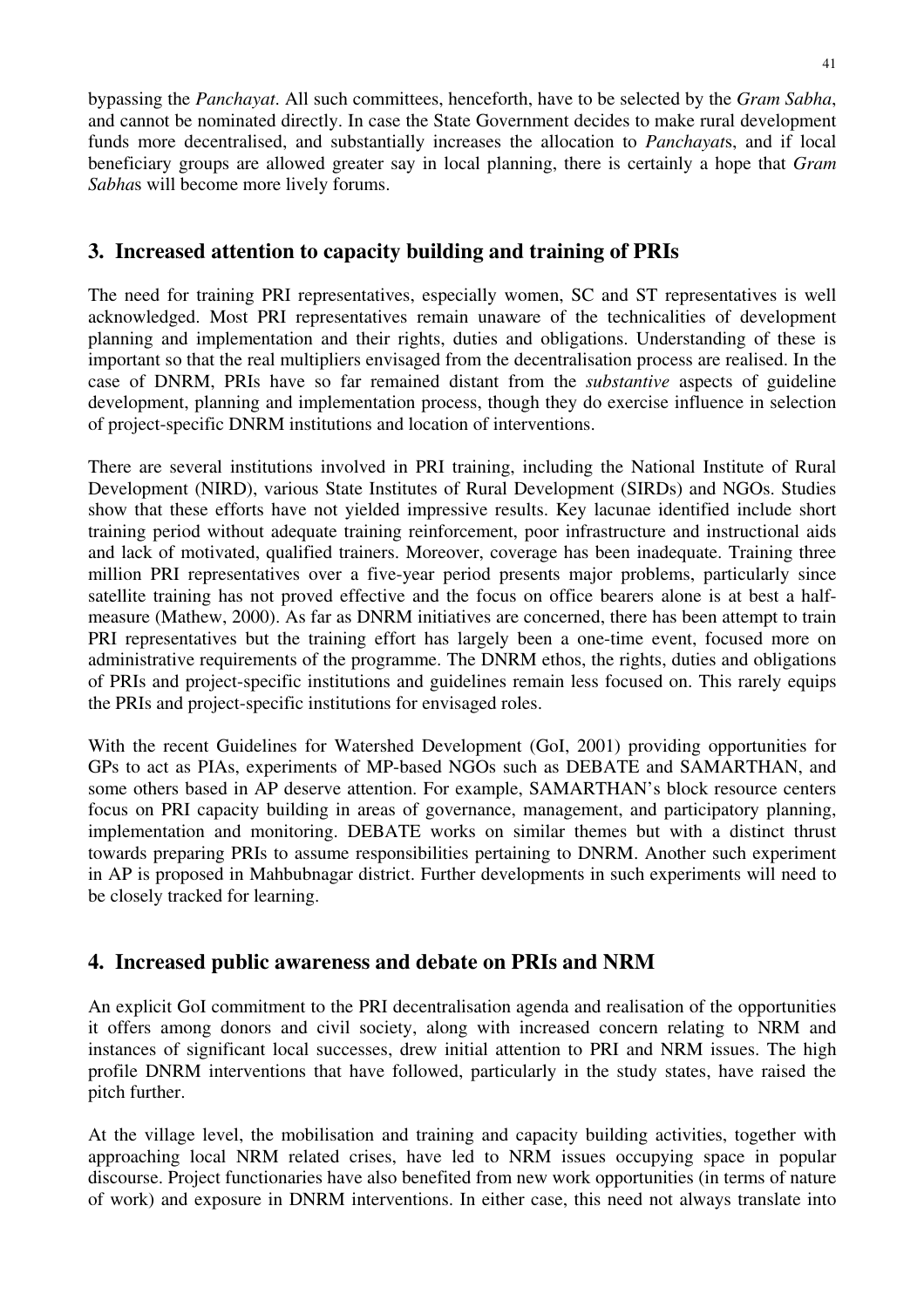bypassing the *Panchayat*. All such committees, henceforth, have to be selected by the *Gram Sabha*, and cannot be nominated directly. In case the State Government decides to make rural development funds more decentralised, and substantially increases the allocation to *Panchayat*s, and if local beneficiary groups are allowed greater say in local planning, there is certainly a hope that *Gram Sabha*s will become more lively forums.

# **3. Increased attention to capacity building and training of PRIs**

The need for training PRI representatives, especially women, SC and ST representatives is well acknowledged. Most PRI representatives remain unaware of the technicalities of development planning and implementation and their rights, duties and obligations. Understanding of these is important so that the real multipliers envisaged from the decentralisation process are realised. In the case of DNRM, PRIs have so far remained distant from the *substantive* aspects of guideline development, planning and implementation process, though they do exercise influence in selection of project-specific DNRM institutions and location of interventions.

There are several institutions involved in PRI training, including the National Institute of Rural Development (NIRD), various State Institutes of Rural Development (SIRDs) and NGOs. Studies show that these efforts have not yielded impressive results. Key lacunae identified include short training period without adequate training reinforcement, poor infrastructure and instructional aids and lack of motivated, qualified trainers. Moreover, coverage has been inadequate. Training three million PRI representatives over a five-year period presents major problems, particularly since satellite training has not proved effective and the focus on office bearers alone is at best a halfmeasure (Mathew, 2000). As far as DNRM initiatives are concerned, there has been attempt to train PRI representatives but the training effort has largely been a one-time event, focused more on administrative requirements of the programme. The DNRM ethos, the rights, duties and obligations of PRIs and project-specific institutions and guidelines remain less focused on. This rarely equips the PRIs and project-specific institutions for envisaged roles.

With the recent Guidelines for Watershed Development (GoI, 2001) providing opportunities for GPs to act as PIAs, experiments of MP-based NGOs such as DEBATE and SAMARTHAN, and some others based in AP deserve attention. For example, SAMARTHAN's block resource centers focus on PRI capacity building in areas of governance, management, and participatory planning, implementation and monitoring. DEBATE works on similar themes but with a distinct thrust towards preparing PRIs to assume responsibilities pertaining to DNRM. Another such experiment in AP is proposed in Mahbubnagar district. Further developments in such experiments will need to be closely tracked for learning.

# **4. Increased public awareness and debate on PRIs and NRM**

An explicit GoI commitment to the PRI decentralisation agenda and realisation of the opportunities it offers among donors and civil society, along with increased concern relating to NRM and instances of significant local successes, drew initial attention to PRI and NRM issues. The high profile DNRM interventions that have followed, particularly in the study states, have raised the pitch further.

At the village level, the mobilisation and training and capacity building activities, together with approaching local NRM related crises, have led to NRM issues occupying space in popular discourse. Project functionaries have also benefited from new work opportunities (in terms of nature of work) and exposure in DNRM interventions. In either case, this need not always translate into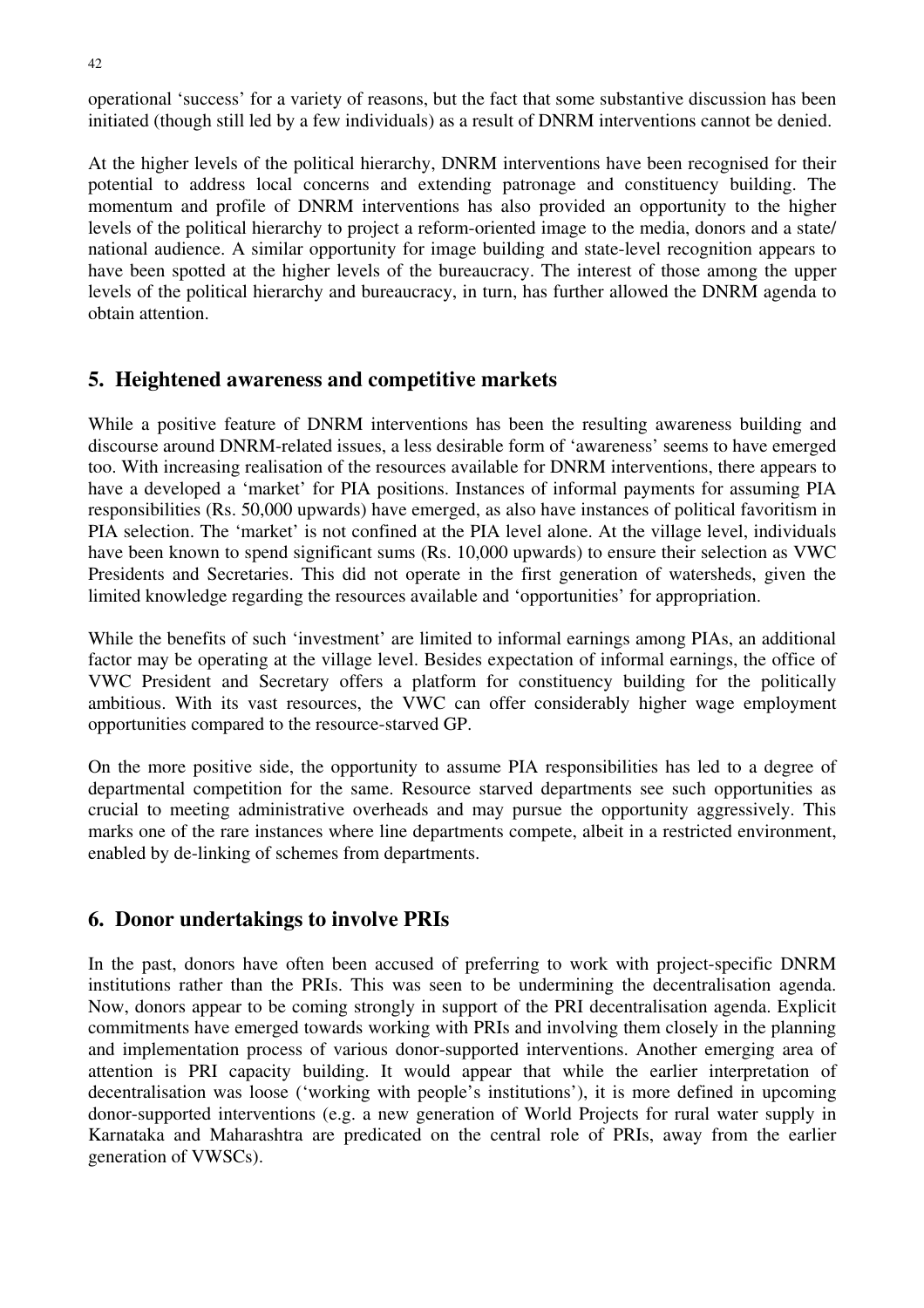operational 'success' for a variety of reasons, but the fact that some substantive discussion has been initiated (though still led by a few individuals) as a result of DNRM interventions cannot be denied.

At the higher levels of the political hierarchy, DNRM interventions have been recognised for their potential to address local concerns and extending patronage and constituency building. The momentum and profile of DNRM interventions has also provided an opportunity to the higher levels of the political hierarchy to project a reform-oriented image to the media, donors and a state/ national audience. A similar opportunity for image building and state-level recognition appears to have been spotted at the higher levels of the bureaucracy. The interest of those among the upper levels of the political hierarchy and bureaucracy, in turn, has further allowed the DNRM agenda to obtain attention.

# **5. Heightened awareness and competitive markets**

While a positive feature of DNRM interventions has been the resulting awareness building and discourse around DNRM-related issues, a less desirable form of 'awareness' seems to have emerged too. With increasing realisation of the resources available for DNRM interventions, there appears to have a developed a 'market' for PIA positions. Instances of informal payments for assuming PIA responsibilities (Rs. 50,000 upwards) have emerged, as also have instances of political favoritism in PIA selection. The 'market' is not confined at the PIA level alone. At the village level, individuals have been known to spend significant sums (Rs. 10,000 upwards) to ensure their selection as VWC Presidents and Secretaries. This did not operate in the first generation of watersheds, given the limited knowledge regarding the resources available and 'opportunities' for appropriation.

While the benefits of such 'investment' are limited to informal earnings among PIAs, an additional factor may be operating at the village level. Besides expectation of informal earnings, the office of VWC President and Secretary offers a platform for constituency building for the politically ambitious. With its vast resources, the VWC can offer considerably higher wage employment opportunities compared to the resource-starved GP.

On the more positive side, the opportunity to assume PIA responsibilities has led to a degree of departmental competition for the same. Resource starved departments see such opportunities as crucial to meeting administrative overheads and may pursue the opportunity aggressively. This marks one of the rare instances where line departments compete, albeit in a restricted environment, enabled by de-linking of schemes from departments.

# **6. Donor undertakings to involve PRIs**

In the past, donors have often been accused of preferring to work with project-specific DNRM institutions rather than the PRIs. This was seen to be undermining the decentralisation agenda. Now, donors appear to be coming strongly in support of the PRI decentralisation agenda. Explicit commitments have emerged towards working with PRIs and involving them closely in the planning and implementation process of various donor-supported interventions. Another emerging area of attention is PRI capacity building. It would appear that while the earlier interpretation of decentralisation was loose ('working with people's institutions'), it is more defined in upcoming donor-supported interventions (e.g. a new generation of World Projects for rural water supply in Karnataka and Maharashtra are predicated on the central role of PRIs, away from the earlier generation of VWSCs).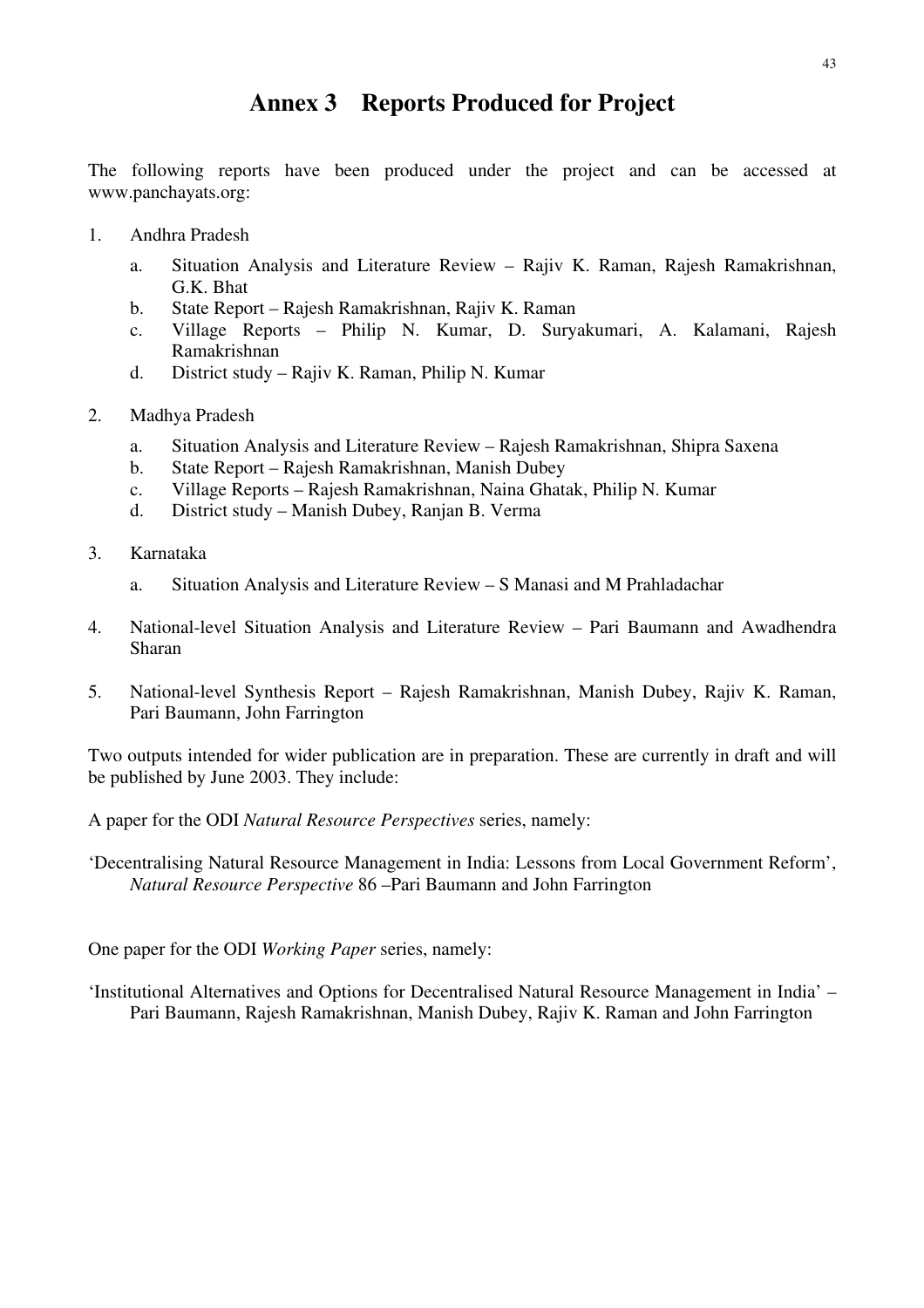# **Annex 3 Reports Produced for Project**

The following reports have been produced under the project and can be accessed at www.panchayats.org:

- 1. Andhra Pradesh
	- a. Situation Analysis and Literature Review Rajiv K. Raman, Rajesh Ramakrishnan, G.K. Bhat
	- b. State Report Rajesh Ramakrishnan, Rajiv K. Raman
	- c. Village Reports Philip N. Kumar, D. Suryakumari, A. Kalamani, Rajesh Ramakrishnan
	- d. District study Rajiv K. Raman, Philip N. Kumar
- 2. Madhya Pradesh
	- a. Situation Analysis and Literature Review Rajesh Ramakrishnan, Shipra Saxena
	- b. State Report Rajesh Ramakrishnan, Manish Dubey
	- c. Village Reports Rajesh Ramakrishnan, Naina Ghatak, Philip N. Kumar
	- d. District study Manish Dubey, Ranjan B. Verma
- 3. Karnataka
	- a. Situation Analysis and Literature Review S Manasi and M Prahladachar
- 4. National-level Situation Analysis and Literature Review Pari Baumann and Awadhendra Sharan
- 5. National-level Synthesis Report Rajesh Ramakrishnan, Manish Dubey, Rajiv K. Raman, Pari Baumann, John Farrington

Two outputs intended for wider publication are in preparation. These are currently in draft and will be published by June 2003. They include:

A paper for the ODI *Natural Resource Perspectives* series, namely:

'Decentralising Natural Resource Management in India: Lessons from Local Government Reform', *Natural Resource Perspective* 86 –Pari Baumann and John Farrington

One paper for the ODI *Working Paper* series, namely:

'Institutional Alternatives and Options for Decentralised Natural Resource Management in India' – Pari Baumann, Rajesh Ramakrishnan, Manish Dubey, Rajiv K. Raman and John Farrington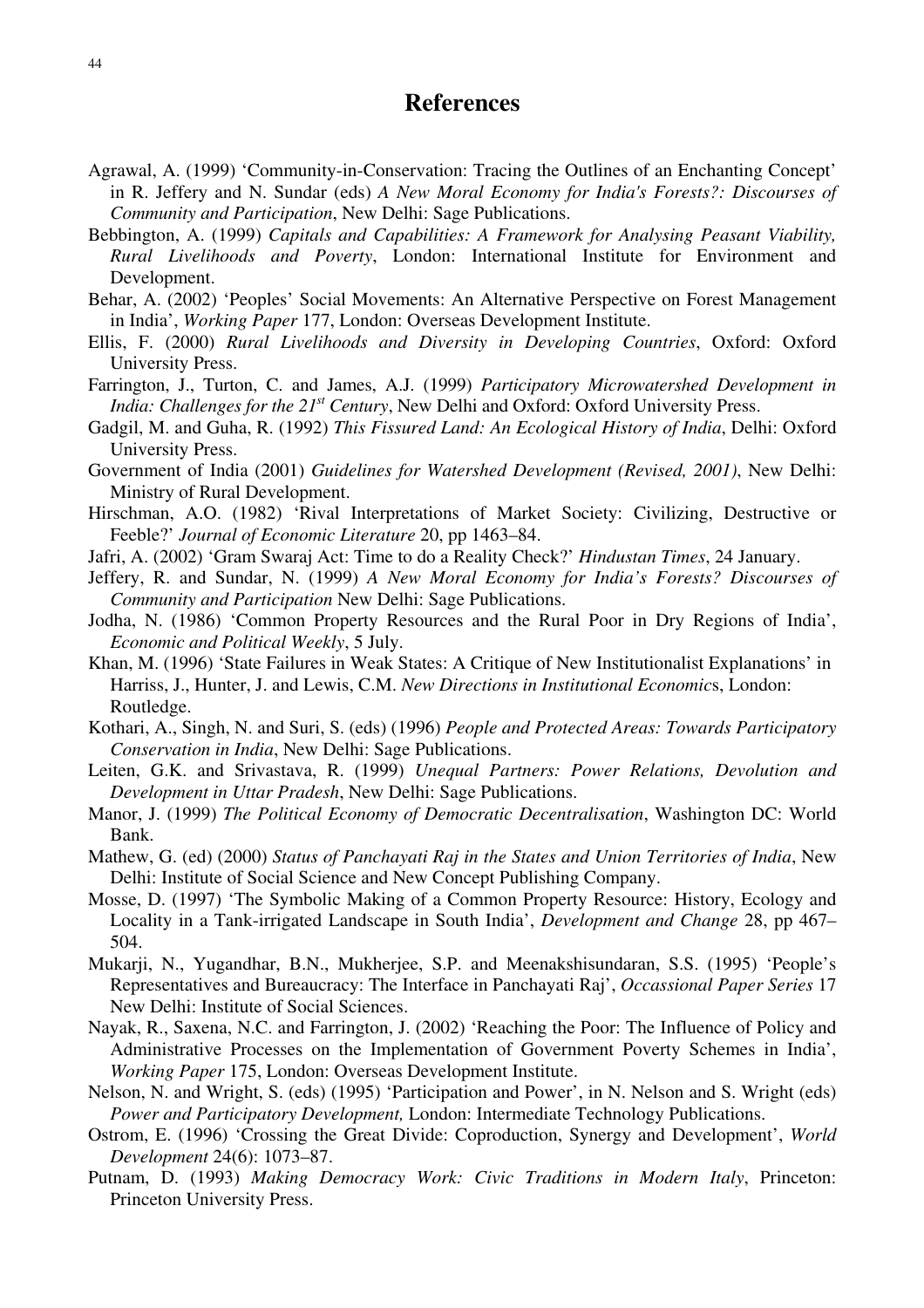# **References**

- Agrawal, A. (1999) 'Community-in-Conservation: Tracing the Outlines of an Enchanting Concept' in R. Jeffery and N. Sundar (eds) *A New Moral Economy for India's Forests?: Discourses of Community and Participation*, New Delhi: Sage Publications.
- Bebbington, A. (1999) *Capitals and Capabilities: A Framework for Analysing Peasant Viability, Rural Livelihoods and Poverty*, London: International Institute for Environment and Development.
- Behar, A. (2002) 'Peoples' Social Movements: An Alternative Perspective on Forest Management in India', *Working Paper* 177, London: Overseas Development Institute.
- Ellis, F. (2000) *Rural Livelihoods and Diversity in Developing Countries*, Oxford: Oxford University Press.
- Farrington, J., Turton, C. and James, A.J. (1999) *Participatory Microwatershed Development in India: Challenges for the 21<sup>st</sup> Century*, New Delhi and Oxford: Oxford University Press.
- Gadgil, M. and Guha, R. (1992) *This Fissured Land: An Ecological History of India*, Delhi: Oxford University Press.
- Government of India (2001) *Guidelines for Watershed Development (Revised, 2001)*, New Delhi: Ministry of Rural Development.
- Hirschman, A.O. (1982) 'Rival Interpretations of Market Society: Civilizing, Destructive or Feeble?' *Journal of Economic Literature* 20, pp 1463–84.
- Jafri, A. (2002) 'Gram Swaraj Act: Time to do a Reality Check?' *Hindustan Times*, 24 January.
- Jeffery, R. and Sundar, N. (1999) *A New Moral Economy for India's Forests? Discourses of Community and Participation* New Delhi: Sage Publications.
- Jodha, N. (1986) 'Common Property Resources and the Rural Poor in Dry Regions of India', *Economic and Political Weekly*, 5 July.
- Khan, M. (1996) 'State Failures in Weak States: A Critique of New Institutionalist Explanations' in Harriss, J., Hunter, J. and Lewis, C.M. *New Directions in Institutional Economic*s, London: Routledge.
- Kothari, A., Singh, N. and Suri, S. (eds) (1996) *People and Protected Areas: Towards Participatory Conservation in India*, New Delhi: Sage Publications.
- Leiten, G.K. and Srivastava, R. (1999) *Unequal Partners: Power Relations, Devolution and Development in Uttar Pradesh*, New Delhi: Sage Publications.
- Manor, J. (1999) *The Political Economy of Democratic Decentralisation*, Washington DC: World Bank.
- Mathew, G. (ed) (2000) *Status of Panchayati Raj in the States and Union Territories of India*, New Delhi: Institute of Social Science and New Concept Publishing Company.
- Mosse, D. (1997) 'The Symbolic Making of a Common Property Resource: History, Ecology and Locality in a Tank-irrigated Landscape in South India', *Development and Change* 28, pp 467– 504.
- Mukarji, N., Yugandhar, B.N., Mukherjee, S.P. and Meenakshisundaran, S.S. (1995) 'People's Representatives and Bureaucracy: The Interface in Panchayati Raj', *Occassional Paper Series* 17 New Delhi: Institute of Social Sciences.
- Nayak, R., Saxena, N.C. and Farrington, J. (2002) 'Reaching the Poor: The Influence of Policy and Administrative Processes on the Implementation of Government Poverty Schemes in India', *Working Paper* 175, London: Overseas Development Institute.
- Nelson, N. and Wright, S. (eds) (1995) 'Participation and Power', in N. Nelson and S. Wright (eds) *Power and Participatory Development,* London: Intermediate Technology Publications.
- Ostrom, E. (1996) 'Crossing the Great Divide: Coproduction, Synergy and Development', *World Development* 24(6): 1073–87.
- Putnam, D. (1993) *Making Democracy Work: Civic Traditions in Modern Italy*, Princeton: Princeton University Press.